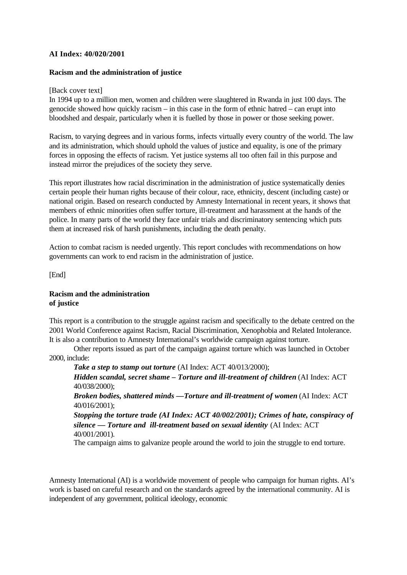## **AI Index: 40/020/2001**

### **Racism and the administration of justice**

### [Back cover text]

In 1994 up to a million men, women and children were slaughtered in Rwanda in just 100 days. The genocide showed how quickly racism – in this case in the form of ethnic hatred – can erupt into bloodshed and despair, particularly when it is fuelled by those in power or those seeking power.

Racism, to varying degrees and in various forms, infects virtually every country of the world. The law and its administration, which should uphold the values of justice and equality, is one of the primary forces in opposing the effects of racism. Yet justice systems all too often fail in this purpose and instead mirror the prejudices of the society they serve.

This report illustrates how racial discrimination in the administration of justice systematically denies certain people their human rights because of their colour, race, ethnicity, descent (including caste) or national origin. Based on research conducted by Amnesty International in recent years, it shows that members of ethnic minorities often suffer torture, ill-treatment and harassment at the hands of the police. In many parts of the world they face unfair trials and discriminatory sentencing which puts them at increased risk of harsh punishments, including the death penalty.

Action to combat racism is needed urgently. This report concludes with recommendations on how governments can work to end racism in the administration of justice.

[End]

### **Racism and the administration of justice**

This report is a contribution to the struggle against racism and specifically to the debate centred on the 2001 World Conference against Racism, Racial Discrimination, Xenophobia and Related Intolerance. It is also a contribution to Amnesty International's worldwide campaign against torture.

Other reports issued as part of the campaign against torture which was launched in October 2000, include:

*Take a step to stamp out torture* (AI Index: ACT 40/013/2000);

*Hidden scandal, secret shame – Torture and ill-treatment of children* (AI Index: ACT 40/038/2000);

*Broken bodies, shattered minds —Torture and ill-treatment of women* (AI Index: ACT 40/016/2001);

*Stopping the torture trade (AI Index: ACT 40/002/2001); Crimes of hate, conspiracy of silence — Torture and ill-treatment based on sexual identity* (AI Index: ACT 40/001/2001).

The campaign aims to galvanize people around the world to join the struggle to end torture.

Amnesty International (AI) is a worldwide movement of people who campaign for human rights. AI's work is based on careful research and on the standards agreed by the international community. AI is independent of any government, political ideology, economic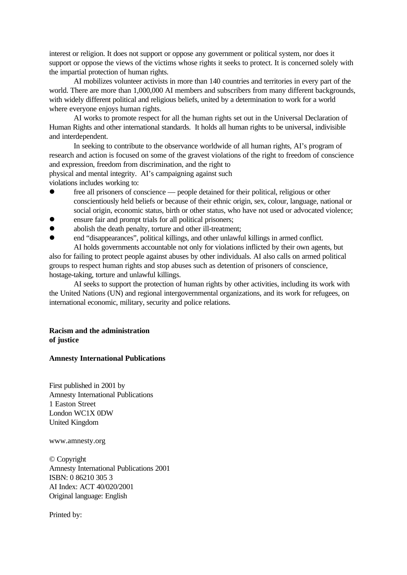interest or religion. It does not support or oppose any government or political system, nor does it support or oppose the views of the victims whose rights it seeks to protect. It is concerned solely with the impartial protection of human rights.

AI mobilizes volunteer activists in more than 140 countries and territories in every part of the world. There are more than 1,000,000 AI members and subscribers from many different backgrounds, with widely different political and religious beliefs, united by a determination to work for a world where everyone enjoys human rights.

AI works to promote respect for all the human rights set out in the Universal Declaration of Human Rights and other international standards. It holds all human rights to be universal, indivisible and interdependent.

In seeking to contribute to the observance worldwide of all human rights, AI's program of research and action is focused on some of the gravest violations of the right to freedom of conscience and expression, freedom from discrimination, and the right to physical and mental integrity. AI's campaigning against such

violations includes working to:

- free all prisoners of conscience people detained for their political, religious or other conscientiously held beliefs or because of their ethnic origin, sex, colour, language, national or social origin, economic status, birth or other status, who have not used or advocated violence;
- ensure fair and prompt trials for all political prisoners;
- abolish the death penalty, torture and other ill-treatment;
- l end "disappearances", political killings, and other unlawful killings in armed conflict. AI holds governments accountable not only for violations inflicted by their own agents, but

also for failing to protect people against abuses by other individuals. AI also calls on armed political groups to respect human rights and stop abuses such as detention of prisoners of conscience, hostage-taking, torture and unlawful killings.

AI seeks to support the protection of human rights by other activities, including its work with the United Nations (UN) and regional intergovernmental organizations, and its work for refugees, on international economic, military, security and police relations.

## **Racism and the administration of justice**

### **Amnesty International Publications**

First published in 2001 by Amnesty International Publications 1 Easton Street London WC1X 0DW United Kingdom

www.amnesty.org

© Copyright Amnesty International Publications 2001 ISBN: 0 86210 305 3 AI Index: ACT 40/020/2001 Original language: English

Printed by: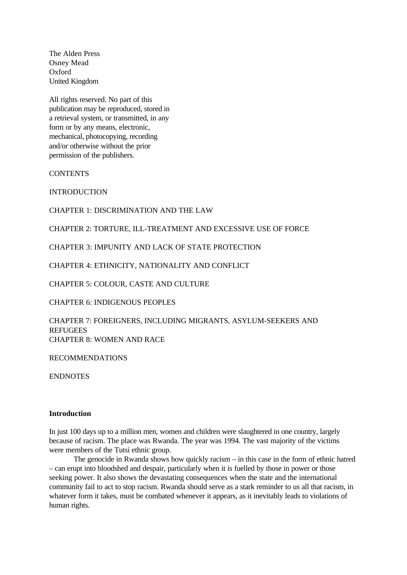The Alden Press Osney Mead Oxford United Kingdom

All rights reserved. No part of this publication may be reproduced, stored in a retrieval system, or transmitted, in any form or by any means, electronic, mechanical, photocopying, recording and/or otherwise without the prior permission of the publishers.

**CONTENTS** 

**INTRODUCTION** 

CHAPTER 1: DISCRIMINATION AND THE LAW

CHAPTER 2: TORTURE, ILL-TREATMENT AND EXCESSIVE USE OF FORCE

CHAPTER 3: IMPUNITY AND LACK OF STATE PROTECTION

CHAPTER 4: ETHNICITY, NATIONALITY AND CONFLICT

CHAPTER 5: COLOUR, CASTE AND CULTURE

CHAPTER 6: INDIGENOUS PEOPLES

CHAPTER 7: FOREIGNERS, INCLUDING MIGRANTS, ASYLUM-SEEKERS AND **REFUGEES** CHAPTER 8: WOMEN AND RACE

RECOMMENDATIONS

ENDNOTES

#### **Introduction**

In just 100 days up to a million men, women and children were slaughtered in one country, largely because of racism. The place was Rwanda. The year was 1994. The vast majority of the victims were members of the Tutsi ethnic group.

The genocide in Rwanda shows how quickly racism – in this case in the form of ethnic hatred – can erupt into bloodshed and despair, particularly when it is fuelled by those in power or those seeking power. It also shows the devastating consequences when the state and the international community fail to act to stop racism. Rwanda should serve as a stark reminder to us all that racism, in whatever form it takes, must be combated whenever it appears, as it inevitably leads to violations of human rights.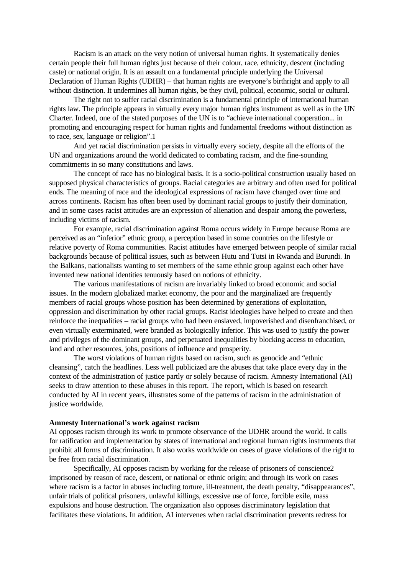Racism is an attack on the very notion of universal human rights. It systematically denies certain people their full human rights just because of their colour, race, ethnicity, descent (including caste) or national origin. It is an assault on a fundamental principle underlying the Universal Declaration of Human Rights (UDHR) – that human rights are everyone's birthright and apply to all without distinction. It undermines all human rights, be they civil, political, economic, social or cultural.

The right not to suffer racial discrimination is a fundamental principle of international human rights law. The principle appears in virtually every major human rights instrument as well as in the UN Charter. Indeed, one of the stated purposes of the UN is to "achieve international cooperation... in promoting and encouraging respect for human rights and fundamental freedoms without distinction as to race, sex, language or religion".1

And yet racial discrimination persists in virtually every society, despite all the efforts of the UN and organizations around the world dedicated to combating racism, and the fine-sounding commitments in so many constitutions and laws.

The concept of race has no biological basis. It is a socio-political construction usually based on supposed physical characteristics of groups. Racial categories are arbitrary and often used for political ends. The meaning of race and the ideological expressions of racism have changed over time and across continents. Racism has often been used by dominant racial groups to justify their domination, and in some cases racist attitudes are an expression of alienation and despair among the powerless, including victims of racism.

For example, racial discrimination against Roma occurs widely in Europe because Roma are perceived as an "inferior" ethnic group, a perception based in some countries on the lifestyle or relative poverty of Roma communities. Racist attitudes have emerged between people of similar racial backgrounds because of political issues, such as between Hutu and Tutsi in Rwanda and Burundi. In the Balkans, nationalists wanting to set members of the same ethnic group against each other have invented new national identities tenuously based on notions of ethnicity.

The various manifestations of racism are invariably linked to broad economic and social issues. In the modern globalized market economy, the poor and the marginalized are frequently members of racial groups whose position has been determined by generations of exploitation, oppression and discrimination by other racial groups. Racist ideologies have helped to create and then reinforce the inequalities – racial groups who had been enslaved, impoverished and disenfranchised, or even virtually exterminated, were branded as biologically inferior. This was used to justify the power and privileges of the dominant groups, and perpetuated inequalities by blocking access to education, land and other resources, jobs, positions of influence and prosperity.

The worst violations of human rights based on racism, such as genocide and "ethnic cleansing", catch the headlines. Less well publicized are the abuses that take place every day in the context of the administration of justice partly or solely because of racism. Amnesty International (AI) seeks to draw attention to these abuses in this report. The report, which is based on research conducted by AI in recent years, illustrates some of the patterns of racism in the administration of justice worldwide.

### **Amnesty International's work against racism**

AI opposes racism through its work to promote observance of the UDHR around the world. It calls for ratification and implementation by states of international and regional human rights instruments that prohibit all forms of discrimination. It also works worldwide on cases of grave violations of the right to be free from racial discrimination.

Specifically, AI opposes racism by working for the release of prisoners of conscience2 imprisoned by reason of race, descent, or national or ethnic origin; and through its work on cases where racism is a factor in abuses including torture, ill-treatment, the death penalty, "disappearances", unfair trials of political prisoners, unlawful killings, excessive use of force, forcible exile, mass expulsions and house destruction. The organization also opposes discriminatory legislation that facilitates these violations. In addition, AI intervenes when racial discrimination prevents redress for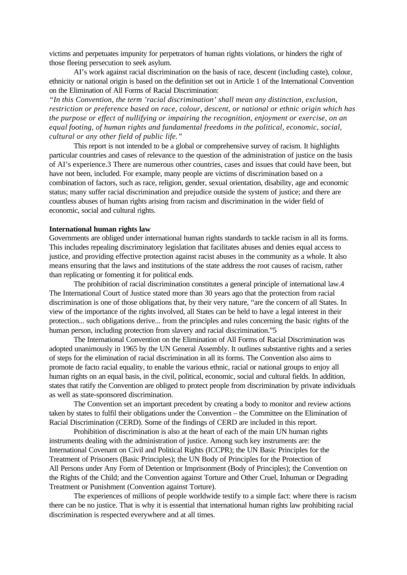victims and perpetuates impunity for perpetrators of human rights violations, or hinders the right of those fleeing persecution to seek asylum.

AI's work against racial discrimination on the basis of race, descent (including caste), colour, ethnicity or national origin is based on the definition set out in Article 1 of the International Convention on the Elimination of All Forms of Racial Discrimination:

*"In this Convention, the term 'racial discrimination' shall mean any distinction, exclusion, restriction or preference based on race, colour, descent, or national or ethnic origin which has the purpose or effect of nullifying or impairing the recognition, enjoyment or exercise, on an equal footing, of human rights and fundamental freedoms in the political, economic, social, cultural or any other field of public life."*

This report is not intended to be a global or comprehensive survey of racism. It highlights particular countries and cases of relevance to the question of the administration of justice on the basis of AI's experience.3 There are numerous other countries, cases and issues that could have been, but have not been, included. For example, many people are victims of discrimination based on a combination of factors, such as race, religion, gender, sexual orientation, disability, age and economic status; many suffer racial discrimination and prejudice outside the system of justice; and there are countless abuses of human rights arising from racism and discrimination in the wider field of economic, social and cultural rights.

### **International human rights law**

Governments are obliged under international human rights standards to tackle racism in all its forms. This includes repealing discriminatory legislation that facilitates abuses and denies equal access to justice, and providing effective protection against racist abuses in the community as a whole. It also means ensuring that the laws and institutions of the state address the root causes of racism, rather than replicating or fomenting it for political ends.

The prohibition of racial discrimination constitutes a general principle of international law.4 The International Court of Justice stated more than 30 years ago that the protection from racial discrimination is one of those obligations that, by their very nature, "are the concern of all States. In view of the importance of the rights involved, all States can be held to have a legal interest in their protection... such obligations derive... from the principles and rules concerning the basic rights of the human person, including protection from slavery and racial discrimination."5

The International Convention on the Elimination of All Forms of Racial Discrimination was adopted unanimously in 1965 by the UN General Assembly. It outlines substantive rights and a series of steps for the elimination of racial discrimination in all its forms. The Convention also aims to promote de facto racial equality, to enable the various ethnic, racial or national groups to enjoy all human rights on an equal basis, in the civil, political, economic, social and cultural fields. In addition, states that ratify the Convention are obliged to protect people from discrimination by private individuals as well as state-sponsored discrimination.

The Convention set an important precedent by creating a body to monitor and review actions taken by states to fulfil their obligations under the Convention – the Committee on the Elimination of Racial Discrimination (CERD). Some of the findings of CERD are included in this report.

Prohibition of discrimination is also at the heart of each of the main UN human rights instruments dealing with the administration of justice. Among such key instruments are: the International Covenant on Civil and Political Rights (ICCPR); the UN Basic Principles for the Treatment of Prisoners (Basic Principles); the UN Body of Principles for the Protection of All Persons under Any Form of Detention or Imprisonment (Body of Principles); the Convention on the Rights of the Child; and the Convention against Torture and Other Cruel, Inhuman or Degrading Treatment or Punishment (Convention against Torture).

The experiences of millions of people worldwide testify to a simple fact: where there is racism there can be no justice. That is why it is essential that international human rights law prohibiting racial discrimination is respected everywhere and at all times.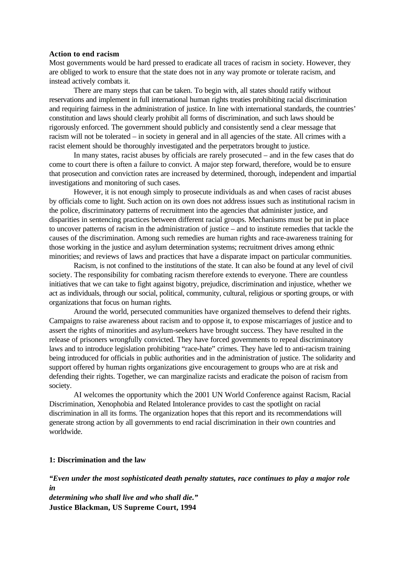### **Action to end racism**

Most governments would be hard pressed to eradicate all traces of racism in society. However, they are obliged to work to ensure that the state does not in any way promote or tolerate racism, and instead actively combats it.

There are many steps that can be taken. To begin with, all states should ratify without reservations and implement in full international human rights treaties prohibiting racial discrimination and requiring fairness in the administration of justice. In line with international standards, the countries' constitution and laws should clearly prohibit all forms of discrimination, and such laws should be rigorously enforced. The government should publicly and consistently send a clear message that racism will not be tolerated – in society in general and in all agencies of the state. All crimes with a racist element should be thoroughly investigated and the perpetrators brought to justice.

In many states, racist abuses by officials are rarely prosecuted – and in the few cases that do come to court there is often a failure to convict. A major step forward, therefore, would be to ensure that prosecution and conviction rates are increased by determined, thorough, independent and impartial investigations and monitoring of such cases.

However, it is not enough simply to prosecute individuals as and when cases of racist abuses by officials come to light. Such action on its own does not address issues such as institutional racism in the police, discriminatory patterns of recruitment into the agencies that administer justice, and disparities in sentencing practices between different racial groups. Mechanisms must be put in place to uncover patterns of racism in the administration of justice – and to institute remedies that tackle the causes of the discrimination. Among such remedies are human rights and race-awareness training for those working in the justice and asylum determination systems; recruitment drives among ethnic minorities; and reviews of laws and practices that have a disparate impact on particular communities.

Racism, is not confined to the institutions of the state. It can also be found at any level of civil society. The responsibility for combating racism therefore extends to everyone. There are countless initiatives that we can take to fight against bigotry, prejudice, discrimination and injustice, whether we act as individuals, through our social, political, community, cultural, religious or sporting groups, or with organizations that focus on human rights.

Around the world, persecuted communities have organized themselves to defend their rights. Campaigns to raise awareness about racism and to oppose it, to expose miscarriages of justice and to assert the rights of minorities and asylum-seekers have brought success. They have resulted in the release of prisoners wrongfully convicted. They have forced governments to repeal discriminatory laws and to introduce legislation prohibiting "race-hate" crimes. They have led to anti-racism training being introduced for officials in public authorities and in the administration of justice. The solidarity and support offered by human rights organizations give encouragement to groups who are at risk and defending their rights. Together, we can marginalize racists and eradicate the poison of racism from society.

AI welcomes the opportunity which the 2001 UN World Conference against Racism, Racial Discrimination, Xenophobia and Related Intolerance provides to cast the spotlight on racial discrimination in all its forms. The organization hopes that this report and its recommendations will generate strong action by all governments to end racial discrimination in their own countries and worldwide.

## **1: Discrimination and the law**

*"Even under the most sophisticated death penalty statutes, race continues to play a major role in* 

*determining who shall live and who shall die."* **Justice Blackman, US Supreme Court, 1994**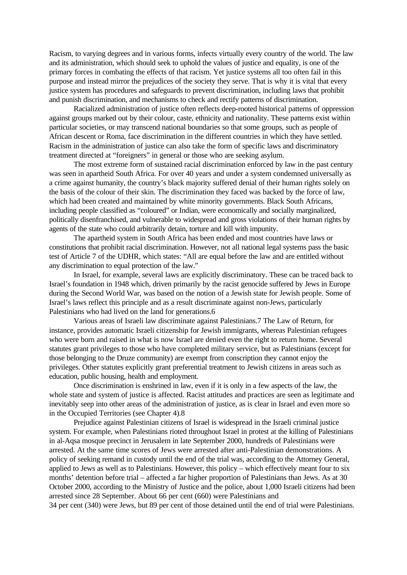Racism, to varying degrees and in various forms, infects virtually every country of the world. The law and its administration, which should seek to uphold the values of justice and equality, is one of the primary forces in combating the effects of that racism. Yet justice systems all too often fail in this purpose and instead mirror the prejudices of the society they serve. That is why it is vital that every justice system has procedures and safeguards to prevent discrimination, including laws that prohibit and punish discrimination, and mechanisms to check and rectify patterns of discrimination.

Racialized administration of justice often reflects deep-rooted historical patterns of oppression against groups marked out by their colour, caste, ethnicity and nationality. These patterns exist within particular societies, or may transcend national boundaries so that some groups, such as people of African descent or Roma, face discrimination in the different countries in which they have settled. Racism in the administration of justice can also take the form of specific laws and discriminatory treatment directed at "foreigners" in general or those who are seeking asylum.

The most extreme form of sustained racial discrimination enforced by law in the past century was seen in apartheid South Africa. For over 40 years and under a system condemned universally as a crime against humanity, the country's black majority suffered denial of their human rights solely on the basis of the colour of their skin. The discrimination they faced was backed by the force of law, which had been created and maintained by white minority governments. Black South Africans, including people classified as "coloured" or Indian, were economically and socially marginalized, politically disenfranchised, and vulnerable to widespread and gross violations of their human rights by agents of the state who could arbitrarily detain, torture and kill with impunity.

The apartheid system in South Africa has been ended and most countries have laws or constitutions that prohibit racial discrimination. However, not all national legal systems pass the basic test of Article 7 of the UDHR, which states: "All are equal before the law and are entitled without any discrimination to equal protection of the law."

In Israel, for example, several laws are explicitly discriminatory. These can be traced back to Israel's foundation in 1948 which, driven primarily by the racist genocide suffered by Jews in Europe during the Second World War, was based on the notion of a Jewish state for Jewish people. Some of Israel's laws reflect this principle and as a result discriminate against non-Jews, particularly Palestinians who had lived on the land for generations.6

Various areas of Israeli law discriminate against Palestinians.7 The Law of Return, for instance, provides automatic Israeli citizenship for Jewish immigrants, whereas Palestinian refugees who were born and raised in what is now Israel are denied even the right to return home. Several statutes grant privileges to those who have completed military service, but as Palestinians (except for those belonging to the Druze community) are exempt from conscription they cannot enjoy the privileges. Other statutes explicitly grant preferential treatment to Jewish citizens in areas such as education, public housing, health and employment.

Once discrimination is enshrined in law, even if it is only in a few aspects of the law, the whole state and system of justice is affected. Racist attitudes and practices are seen as legitimate and inevitably seep into other areas of the administration of justice, as is clear in Israel and even more so in the Occupied Territories (see Chapter 4).8

Prejudice against Palestinian citizens of Israel is widespread in the Israeli criminal justice system. For example, when Palestinians rioted throughout Israel in protest at the killing of Palestinians in al-Aqsa mosque precinct in Jerusalem in late September 2000, hundreds of Palestinians were arrested. At the same time scores of Jews were arrested after anti-Palestinian demonstrations. A policy of seeking remand in custody until the end of the trial was, according to the Attorney General, applied to Jews as well as to Palestinians. However, this policy – which effectively meant four to six months' detention before trial – affected a far higher proportion of Palestinians than Jews. As at 30 October 2000, according to the Ministry of Justice and the police, about 1,000 Israeli citizens had been arrested since 28 September. About 66 per cent (660) were Palestinians and

34 per cent (340) were Jews, but 89 per cent of those detained until the end of trial were Palestinians.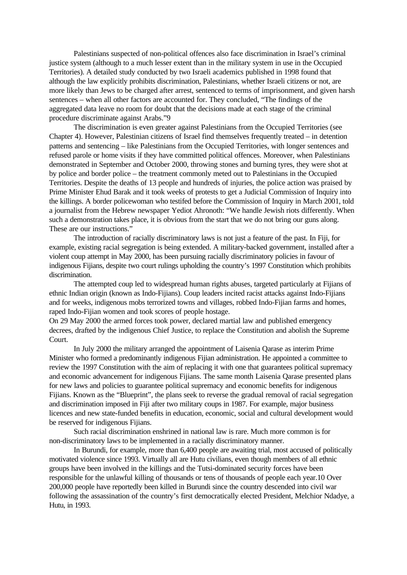Palestinians suspected of non-political offences also face discrimination in Israel's criminal justice system (although to a much lesser extent than in the military system in use in the Occupied Territories). A detailed study conducted by two Israeli academics published in 1998 found that although the law explicitly prohibits discrimination, Palestinians, whether Israeli citizens or not, are more likely than Jews to be charged after arrest, sentenced to terms of imprisonment, and given harsh sentences – when all other factors are accounted for. They concluded, "The findings of the aggregated data leave no room for doubt that the decisions made at each stage of the criminal procedure discriminate against Arabs."9

The discrimination is even greater against Palestinians from the Occupied Territories (see Chapter 4). However, Palestinian citizens of Israel find themselves frequently treated – in detention patterns and sentencing – like Palestinians from the Occupied Territories, with longer sentences and refused parole or home visits if they have committed political offences. Moreover, when Palestinians demonstrated in September and October 2000, throwing stones and burning tyres, they were shot at by police and border police – the treatment commonly meted out to Palestinians in the Occupied Territories. Despite the deaths of 13 people and hundreds of injuries, the police action was praised by Prime Minister Ehud Barak and it took weeks of protests to get a Judicial Commission of Inquiry into the killings. A border policewoman who testifed before the Commission of Inquiry in March 2001, told a journalist from the Hebrew newspaper Yediot Ahronoth: "We handle Jewish riots differently. When such a demonstration takes place, it is obvious from the start that we do not bring our guns along. These are our instructions."

The introduction of racially discriminatory laws is not just a feature of the past. In Fiji, for example, existing racial segregation is being extended. A military-backed government, installed after a violent coup attempt in May 2000, has been pursuing racially discriminatory policies in favour of indigenous Fijians, despite two court rulings upholding the country's 1997 Constitution which prohibits discrimination.

The attempted coup led to widespread human rights abuses, targeted particularly at Fijians of ethnic Indian origin (known as Indo-Fijians). Coup leaders incited racist attacks against Indo-Fijians and for weeks, indigenous mobs terrorized towns and villages, robbed Indo-Fijian farms and homes, raped Indo-Fijian women and took scores of people hostage.

On 29 May 2000 the armed forces took power, declared martial law and published emergency decrees, drafted by the indigenous Chief Justice, to replace the Constitution and abolish the Supreme Court.

In July 2000 the military arranged the appointment of Laisenia Qarase as interim Prime Minister who formed a predominantly indigenous Fijian administration. He appointed a committee to review the 1997 Constitution with the aim of replacing it with one that guarantees political supremacy and economic advancement for indigenous Fijians. The same month Laisenia Qarase presented plans for new laws and policies to guarantee political supremacy and economic benefits for indigenous Fijians. Known as the "Blueprint", the plans seek to reverse the gradual removal of racial segregation and discrimination imposed in Fiji after two military coups in 1987. For example, major business licences and new state-funded benefits in education, economic, social and cultural development would be reserved for indigenous Fijians.

Such racial discrimination enshrined in national law is rare. Much more common is for non-discriminatory laws to be implemented in a racially discriminatory manner.

In Burundi, for example, more than 6,400 people are awaiting trial, most accused of politically motivated violence since 1993. Virtually all are Hutu civilians, even though members of all ethnic groups have been involved in the killings and the Tutsi-dominated security forces have been responsible for the unlawful killing of thousands or tens of thousands of people each year.10 Over 200,000 people have reportedly been killed in Burundi since the country descended into civil war following the assassination of the country's first democratically elected President, Melchior Ndadye, a Hutu, in 1993.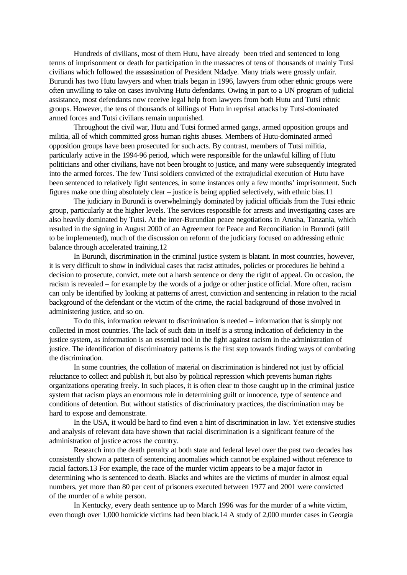Hundreds of civilians, most of them Hutu, have already been tried and sentenced to long terms of imprisonment or death for participation in the massacres of tens of thousands of mainly Tutsi civilians which followed the assassination of President Ndadye. Many trials were grossly unfair. Burundi has two Hutu lawyers and when trials began in 1996, lawyers from other ethnic groups were often unwilling to take on cases involving Hutu defendants. Owing in part to a UN program of judicial assistance, most defendants now receive legal help from lawyers from both Hutu and Tutsi ethnic groups. However, the tens of thousands of killings of Hutu in reprisal attacks by Tutsi-dominated armed forces and Tutsi civilians remain unpunished.

Throughout the civil war, Hutu and Tutsi formed armed gangs, armed opposition groups and militia, all of which committed gross human rights abuses. Members of Hutu-dominated armed opposition groups have been prosecuted for such acts. By contrast, members of Tutsi militia, particularly active in the 1994-96 period, which were responsible for the unlawful killing of Hutu politicians and other civilians, have not been brought to justice, and many were subsequently integrated into the armed forces. The few Tutsi soldiers convicted of the extrajudicial execution of Hutu have been sentenced to relatively light sentences, in some instances only a few months' imprisonment. Such figures make one thing absolutely clear – justice is being applied selectively, with ethnic bias.11

The judiciary in Burundi is overwhelmingly dominated by judicial officials from the Tutsi ethnic group, particularly at the higher levels. The services responsible for arrests and investigating cases are also heavily dominated by Tutsi. At the inter-Burundian peace negotiations in Arusha, Tanzania, which resulted in the signing in August 2000 of an Agreement for Peace and Reconciliation in Burundi (still to be implemented), much of the discussion on reform of the judiciary focused on addressing ethnic balance through accelerated training.12

In Burundi, discrimination in the criminal justice system is blatant. In most countries, however, it is very difficult to show in individual cases that racist attitudes, policies or procedures lie behind a decision to prosecute, convict, mete out a harsh sentence or deny the right of appeal. On occasion, the racism is revealed – for example by the words of a judge or other justice official. More often, racism can only be identified by looking at patterns of arrest, conviction and sentencing in relation to the racial background of the defendant or the victim of the crime, the racial background of those involved in administering justice, and so on.

To do this, information relevant to discrimination is needed – information that is simply not collected in most countries. The lack of such data in itself is a strong indication of deficiency in the justice system, as information is an essential tool in the fight against racism in the administration of justice. The identification of discriminatory patterns is the first step towards finding ways of combating the discrimination.

In some countries, the collation of material on discrimination is hindered not just by official reluctance to collect and publish it, but also by political repression which prevents human rights organizations operating freely. In such places, it is often clear to those caught up in the criminal justice system that racism plays an enormous role in determining guilt or innocence, type of sentence and conditions of detention. But without statistics of discriminatory practices, the discrimination may be hard to expose and demonstrate.

In the USA, it would be hard to find even a hint of discrimination in law. Yet extensive studies and analysis of relevant data have shown that racial discrimination is a significant feature of the administration of justice across the country.

Research into the death penalty at both state and federal level over the past two decades has consistently shown a pattern of sentencing anomalies which cannot be explained without reference to racial factors.13 For example, the race of the murder victim appears to be a major factor in determining who is sentenced to death. Blacks and whites are the victims of murder in almost equal numbers, yet more than 80 per cent of prisoners executed between 1977 and 2001 were convicted of the murder of a white person.

In Kentucky, every death sentence up to March 1996 was for the murder of a white victim, even though over 1,000 homicide victims had been black.14 A study of 2,000 murder cases in Georgia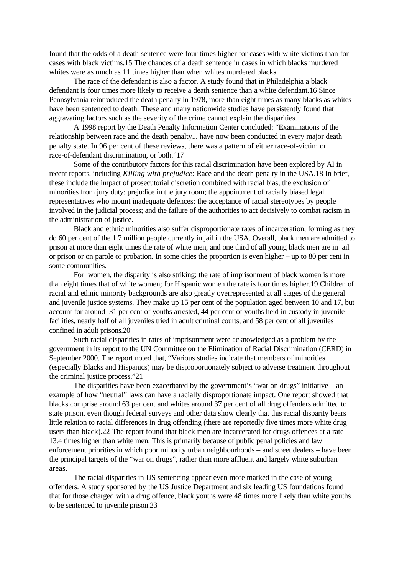found that the odds of a death sentence were four times higher for cases with white victims than for cases with black victims.15 The chances of a death sentence in cases in which blacks murdered whites were as much as 11 times higher than when whites murdered blacks.

The race of the defendant is also a factor. A study found that in Philadelphia a black defendant is four times more likely to receive a death sentence than a white defendant.16 Since Pennsylvania reintroduced the death penalty in 1978, more than eight times as many blacks as whites have been sentenced to death. These and many nationwide studies have persistently found that aggravating factors such as the severity of the crime cannot explain the disparities.

A 1998 report by the Death Penalty Information Center concluded: "Examinations of the relationship between race and the death penalty... have now been conducted in every major death penalty state. In 96 per cent of these reviews, there was a pattern of either race-of-victim or race-of-defendant discrimination, or both."17

Some of the contributory factors for this racial discrimination have been explored by AI in recent reports, including *Killing with prejudice*: Race and the death penalty in the USA.18 In brief, these include the impact of prosecutorial discretion combined with racial bias; the exclusion of minorities from jury duty; prejudice in the jury room; the appointment of racially biased legal representatives who mount inadequate defences; the acceptance of racial stereotypes by people involved in the judicial process; and the failure of the authorities to act decisively to combat racism in the administration of justice.

Black and ethnic minorities also suffer disproportionate rates of incarceration, forming as they do 60 per cent of the 1.7 million people currently in jail in the USA. Overall, black men are admitted to prison at more than eight times the rate of white men, and one third of all young black men are in jail or prison or on parole or probation. In some cities the proportion is even higher – up to 80 per cent in some communities.

For women, the disparity is also striking: the rate of imprisonment of black women is more than eight times that of white women; for Hispanic women the rate is four times higher.19 Children of racial and ethnic minority backgrounds are also greatly overrepresented at all stages of the general and juvenile justice systems. They make up 15 per cent of the population aged between 10 and 17, but account for around 31 per cent of youths arrested, 44 per cent of youths held in custody in juvenile facilities, nearly half of all juveniles tried in adult criminal courts, and 58 per cent of all juveniles confined in adult prisons.20

Such racial disparities in rates of imprisonment were acknowledged as a problem by the government in its report to the UN Committee on the Elimination of Racial Discrimination (CERD) in September 2000. The report noted that, "Various studies indicate that members of minorities (especially Blacks and Hispanics) may be disproportionately subject to adverse treatment throughout the criminal justice process."21

The disparities have been exacerbated by the government's "war on drugs" initiative – an example of how "neutral" laws can have a racially disproportionate impact. One report showed that blacks comprise around 63 per cent and whites around 37 per cent of all drug offenders admitted to state prison, even though federal surveys and other data show clearly that this racial disparity bears little relation to racial differences in drug offending (there are reportedly five times more white drug users than black).22 The report found that black men are incarcerated for drugs offences at a rate 13.4 times higher than white men. This is primarily because of public penal policies and law enforcement priorities in which poor minority urban neighbourhoods – and street dealers – have been the principal targets of the "war on drugs", rather than more affluent and largely white suburban areas.

The racial disparities in US sentencing appear even more marked in the case of young offenders. A study sponsored by the US Justice Department and six leading US foundations found that for those charged with a drug offence, black youths were 48 times more likely than white youths to be sentenced to juvenile prison.23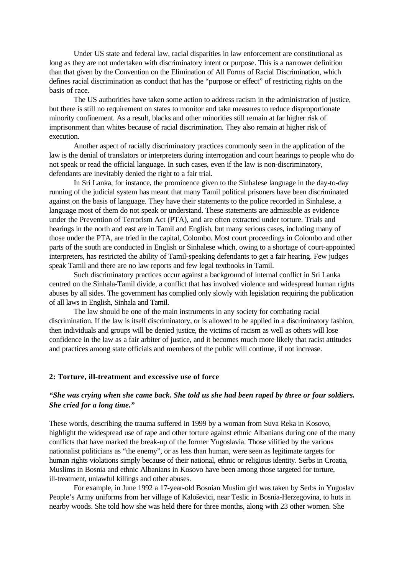Under US state and federal law, racial disparities in law enforcement are constitutional as long as they are not undertaken with discriminatory intent or purpose. This is a narrower definition than that given by the Convention on the Elimination of All Forms of Racial Discrimination, which defines racial discrimination as conduct that has the "purpose or effect" of restricting rights on the basis of race.

The US authorities have taken some action to address racism in the administration of justice, but there is still no requirement on states to monitor and take measures to reduce disproportionate minority confinement. As a result, blacks and other minorities still remain at far higher risk of imprisonment than whites because of racial discrimination. They also remain at higher risk of execution.

Another aspect of racially discriminatory practices commonly seen in the application of the law is the denial of translators or interpreters during interrogation and court hearings to people who do not speak or read the official language. In such cases, even if the law is non-discriminatory, defendants are inevitably denied the right to a fair trial.

In Sri Lanka, for instance, the prominence given to the Sinhalese language in the day-to-day running of the judicial system has meant that many Tamil political prisoners have been discriminated against on the basis of language. They have their statements to the police recorded in Sinhalese, a language most of them do not speak or understand. These statements are admissible as evidence under the Prevention of Terrorism Act (PTA), and are often extracted under torture. Trials and hearings in the north and east are in Tamil and English, but many serious cases, including many of those under the PTA, are tried in the capital, Colombo. Most court proceedings in Colombo and other parts of the south are conducted in English or Sinhalese which, owing to a shortage of court-appointed interpreters, has restricted the ability of Tamil-speaking defendants to get a fair hearing. Few judges speak Tamil and there are no law reports and few legal textbooks in Tamil.

Such discriminatory practices occur against a background of internal conflict in Sri Lanka centred on the Sinhala-Tamil divide, a conflict that has involved violence and widespread human rights abuses by all sides. The government has complied only slowly with legislation requiring the publication of all laws in English, Sinhala and Tamil.

The law should be one of the main instruments in any society for combating racial discrimination. If the law is itself discriminatory, or is allowed to be applied in a discriminatory fashion, then individuals and groups will be denied justice, the victims of racism as well as others will lose confidence in the law as a fair arbiter of justice, and it becomes much more likely that racist attitudes and practices among state officials and members of the public will continue, if not increase.

### **2: Torture, ill-treatment and excessive use of force**

## *"She was crying when she came back. She told us she had been raped by three or four soldiers. She cried for a long time."*

These words, describing the trauma suffered in 1999 by a woman from Suva Reka in Kosovo, highlight the widespread use of rape and other torture against ethnic Albanians during one of the many conflicts that have marked the break-up of the former Yugoslavia. Those vilified by the various nationalist politicians as "the enemy", or as less than human, were seen as legitimate targets for human rights violations simply because of their national, ethnic or religious identity. Serbs in Croatia, Muslims in Bosnia and ethnic Albanians in Kosovo have been among those targeted for torture, ill-treatment, unlawful killings and other abuses.

For example, in June 1992 a 17-year-old Bosnian Muslim girl was taken by Serbs in Yugoslav People's Army uniforms from her village of Kaloševici, near Teslic in Bosnia-Herzegovina, to huts in nearby woods. She told how she was held there for three months, along with 23 other women. She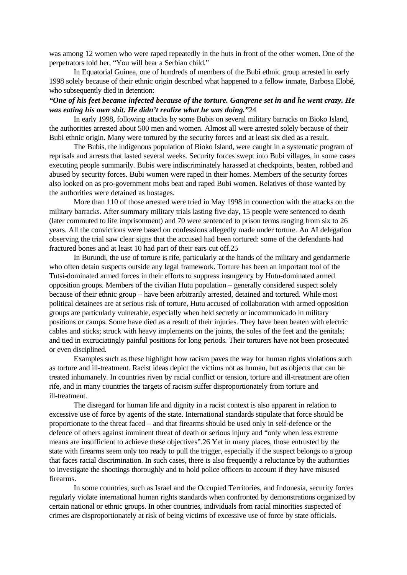was among 12 women who were raped repeatedly in the huts in front of the other women. One of the perpetrators told her, "You will bear a Serbian child."

In Equatorial Guinea, one of hundreds of members of the Bubi ethnic group arrested in early 1998 solely because of their ethnic origin described what happened to a fellow inmate, Barbosa Elobé, who subsequently died in detention:

## *"One of his feet became infected because of the torture. Gangrene set in and he went crazy. He was eating his own shit. He didn't realize what he was doing."*24

In early 1998, following attacks by some Bubis on several military barracks on Bioko Island, the authorities arrested about 500 men and women. Almost all were arrested solely because of their Bubi ethnic origin. Many were tortured by the security forces and at least six died as a result.

The Bubis, the indigenous population of Bioko Island, were caught in a systematic program of reprisals and arrests that lasted several weeks. Security forces swept into Bubi villages, in some cases executing people summarily. Bubis were indiscriminately harassed at checkpoints, beaten, robbed and abused by security forces. Bubi women were raped in their homes. Members of the security forces also looked on as pro-government mobs beat and raped Bubi women. Relatives of those wanted by the authorities were detained as hostages.

More than 110 of those arrested were tried in May 1998 in connection with the attacks on the military barracks. After summary military trials lasting five day, 15 people were sentenced to death (later commuted to life imprisonment) and 70 were sentenced to prison terms ranging from six to 26 years. All the convictions were based on confessions allegedly made under torture. An AI delegation observing the trial saw clear signs that the accused had been tortured: some of the defendants had fractured bones and at least 10 had part of their ears cut off.25

In Burundi, the use of torture is rife, particularly at the hands of the military and gendarmerie who often detain suspects outside any legal framework. Torture has been an important tool of the Tutsi-dominated armed forces in their efforts to suppress insurgency by Hutu-dominated armed opposition groups. Members of the civilian Hutu population – generally considered suspect solely because of their ethnic group – have been arbitrarily arrested, detained and tortured. While most political detainees are at serious risk of torture, Hutu accused of collaboration with armed opposition groups are particularly vulnerable, especially when held secretly or incommunicado in military positions or camps. Some have died as a result of their injuries. They have been beaten with electric cables and sticks; struck with heavy implements on the joints, the soles of the feet and the genitals; and tied in excruciatingly painful positions for long periods. Their torturers have not been prosecuted or even disciplined.

Examples such as these highlight how racism paves the way for human rights violations such as torture and ill-treatment. Racist ideas depict the victims not as human, but as objects that can be treated inhumanely. In countries riven by racial conflict or tension, torture and ill-treatment are often rife, and in many countries the targets of racism suffer disproportionately from torture and ill-treatment.

The disregard for human life and dignity in a racist context is also apparent in relation to excessive use of force by agents of the state. International standards stipulate that force should be proportionate to the threat faced – and that firearms should be used only in self-defence or the defence of others against imminent threat of death or serious injury and "only when less extreme means are insufficient to achieve these objectives".26 Yet in many places, those entrusted by the state with firearms seem only too ready to pull the trigger, especially if the suspect belongs to a group that faces racial discrimination. In such cases, there is also frequently a reluctance by the authorities to investigate the shootings thoroughly and to hold police officers to account if they have misused firearms.

In some countries, such as Israel and the Occupied Territories, and Indonesia, security forces regularly violate international human rights standards when confronted by demonstrations organized by certain national or ethnic groups. In other countries, individuals from racial minorities suspected of crimes are disproportionately at risk of being victims of excessive use of force by state officials.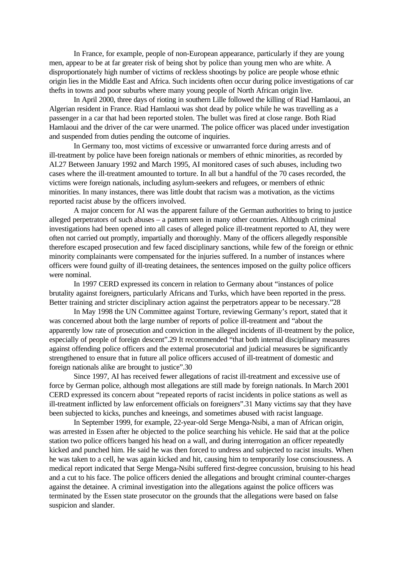In France, for example, people of non-European appearance, particularly if they are young men, appear to be at far greater risk of being shot by police than young men who are white. A disproportionately high number of victims of reckless shootings by police are people whose ethnic origin lies in the Middle East and Africa. Such incidents often occur during police investigations of car thefts in towns and poor suburbs where many young people of North African origin live.

In April 2000, three days of rioting in southern Lille followed the killing of Riad Hamlaoui, an Algerian resident in France. Riad Hamlaoui was shot dead by police while he was travelling as a passenger in a car that had been reported stolen. The bullet was fired at close range. Both Riad Hamlaoui and the driver of the car were unarmed. The police officer was placed under investigation and suspended from duties pending the outcome of inquiries.

In Germany too, most victims of excessive or unwarranted force during arrests and of ill-treatment by police have been foreign nationals or members of ethnic minorities, as recorded by AI.27 Between January 1992 and March 1995, AI monitored cases of such abuses, including two cases where the ill-treatment amounted to torture. In all but a handful of the 70 cases recorded, the victims were foreign nationals, including asylum-seekers and refugees, or members of ethnic minorities. In many instances, there was little doubt that racism was a motivation, as the victims reported racist abuse by the officers involved.

A major concern for AI was the apparent failure of the German authorities to bring to justice alleged perpetrators of such abuses – a pattern seen in many other countries. Although criminal investigations had been opened into all cases of alleged police ill-treatment reported to AI, they were often not carried out promptly, impartially and thoroughly. Many of the officers allegedly responsible therefore escaped prosecution and few faced disciplinary sanctions, while few of the foreign or ethnic minority complainants were compensated for the injuries suffered. In a number of instances where officers were found guilty of ill-treating detainees, the sentences imposed on the guilty police officers were nominal.

In 1997 CERD expressed its concern in relation to Germany about "instances of police brutality against foreigners, particularly Africans and Turks, which have been reported in the press. Better training and stricter disciplinary action against the perpetrators appear to be necessary."28

In May 1998 the UN Committee against Torture, reviewing Germany's report, stated that it was concerned about both the large number of reports of police ill-treatment and "about the apparently low rate of prosecution and conviction in the alleged incidents of ill-treatment by the police, especially of people of foreign descent".29 It recommended "that both internal disciplinary measures against offending police officers and the external prosecutorial and judicial measures be significantly strengthened to ensure that in future all police officers accused of ill-treatment of domestic and foreign nationals alike are brought to justice".30

Since 1997, AI has received fewer allegations of racist ill-treatment and excessive use of force by German police, although most allegations are still made by foreign nationals. In March 2001 CERD expressed its concern about "repeated reports of racist incidents in police stations as well as ill-treatment inflicted by law enforcement officials on foreigners".31 Many victims say that they have been subjected to kicks, punches and kneeings, and sometimes abused with racist language.

In September 1999, for example, 22-year-old Serge Menga-Nsibi, a man of African origin, was arrested in Essen after he objected to the police searching his vehicle. He said that at the police station two police officers banged his head on a wall, and during interrogation an officer repeatedly kicked and punched him. He said he was then forced to undress and subjected to racist insults. When he was taken to a cell, he was again kicked and hit, causing him to temporarily lose consciousness. A medical report indicated that Serge Menga-Nsibi suffered first-degree concussion, bruising to his head and a cut to his face. The police officers denied the allegations and brought criminal counter-charges against the detainee. A criminal investigation into the allegations against the police officers was terminated by the Essen state prosecutor on the grounds that the allegations were based on false suspicion and slander.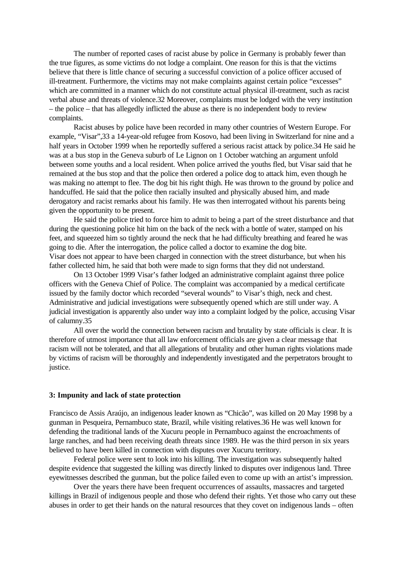The number of reported cases of racist abuse by police in Germany is probably fewer than the true figures, as some victims do not lodge a complaint. One reason for this is that the victims believe that there is little chance of securing a successful conviction of a police officer accused of ill-treatment. Furthermore, the victims may not make complaints against certain police "excesses" which are committed in a manner which do not constitute actual physical ill-treatment, such as racist verbal abuse and threats of violence.32 Moreover, complaints must be lodged with the very institution – the police – that has allegedly inflicted the abuse as there is no independent body to review complaints.

Racist abuses by police have been recorded in many other countries of Western Europe. For example, "Visar",33 a 14-year-old refugee from Kosovo, had been living in Switzerland for nine and a half years in October 1999 when he reportedly suffered a serious racist attack by police.34 He said he was at a bus stop in the Geneva suburb of Le Lignon on 1 October watching an argument unfold between some youths and a local resident. When police arrived the youths fled, but Visar said that he remained at the bus stop and that the police then ordered a police dog to attack him, even though he was making no attempt to flee. The dog bit his right thigh. He was thrown to the ground by police and handcuffed. He said that the police then racially insulted and physically abused him, and made derogatory and racist remarks about his family. He was then interrogated without his parents being given the opportunity to be present.

He said the police tried to force him to admit to being a part of the street disturbance and that during the questioning police hit him on the back of the neck with a bottle of water, stamped on his feet, and squeezed him so tightly around the neck that he had difficulty breathing and feared he was going to die. After the interrogation, the police called a doctor to examine the dog bite. Visar does not appear to have been charged in connection with the street disturbance, but when his father collected him, he said that both were made to sign forms that they did not understand.

On 13 October 1999 Visar's father lodged an administrative complaint against three police officers with the Geneva Chief of Police. The complaint was accompanied by a medical certificate issued by the family doctor which recorded "several wounds" to Visar's thigh, neck and chest. Administrative and judicial investigations were subsequently opened which are still under way. A judicial investigation is apparently also under way into a complaint lodged by the police, accusing Visar of calumny.35

All over the world the connection between racism and brutality by state officials is clear. It is therefore of utmost importance that all law enforcement officials are given a clear message that racism will not be tolerated, and that all allegations of brutality and other human rights violations made by victims of racism will be thoroughly and independently investigated and the perpetrators brought to justice.

### **3: Impunity and lack of state protection**

Francisco de Assis Araújo, an indigenous leader known as "Chicão", was killed on 20 May 1998 by a gunman in Pesqueira, Pernambuco state, Brazil, while visiting relatives.36 He was well known for defending the traditional lands of the Xucuru people in Pernambuco against the encroachments of large ranches, and had been receiving death threats since 1989. He was the third person in six years believed to have been killed in connection with disputes over Xucuru territory.

Federal police were sent to look into his killing. The investigation was subsequently halted despite evidence that suggested the killing was directly linked to disputes over indigenous land. Three eyewitnesses described the gunman, but the police failed even to come up with an artist's impression.

Over the years there have been frequent occurrences of assaults, massacres and targeted killings in Brazil of indigenous people and those who defend their rights. Yet those who carry out these abuses in order to get their hands on the natural resources that they covet on indigenous lands – often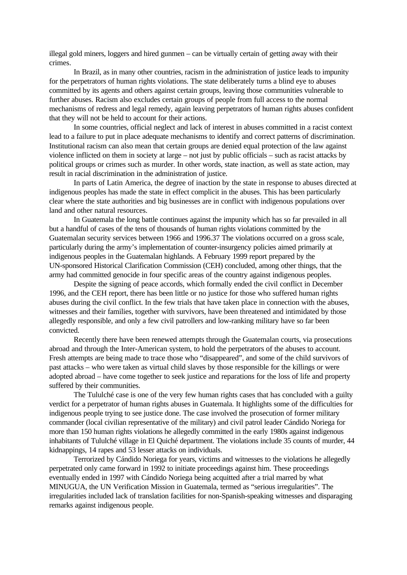illegal gold miners, loggers and hired gunmen – can be virtually certain of getting away with their crimes.

In Brazil, as in many other countries, racism in the administration of justice leads to impunity for the perpetrators of human rights violations. The state deliberately turns a blind eye to abuses committed by its agents and others against certain groups, leaving those communities vulnerable to further abuses. Racism also excludes certain groups of people from full access to the normal mechanisms of redress and legal remedy, again leaving perpetrators of human rights abuses confident that they will not be held to account for their actions.

In some countries, official neglect and lack of interest in abuses committed in a racist context lead to a failure to put in place adequate mechanisms to identify and correct patterns of discrimination. Institutional racism can also mean that certain groups are denied equal protection of the law against violence inflicted on them in society at large – not just by public officials – such as racist attacks by political groups or crimes such as murder. In other words, state inaction, as well as state action, may result in racial discrimination in the administration of justice.

In parts of Latin America, the degree of inaction by the state in response to abuses directed at indigenous peoples has made the state in effect complicit in the abuses. This has been particularly clear where the state authorities and big businesses are in conflict with indigenous populations over land and other natural resources.

In Guatemala the long battle continues against the impunity which has so far prevailed in all but a handful of cases of the tens of thousands of human rights violations committed by the Guatemalan security services between 1966 and 1996.37 The violations occurred on a gross scale, particularly during the army's implementation of counter-insurgency policies aimed primarily at indigenous peoples in the Guatemalan highlands. A February 1999 report prepared by the UN-sponsored Historical Clarification Commission (CEH) concluded, among other things, that the army had committed genocide in four specific areas of the country against indigenous peoples.

Despite the signing of peace accords, which formally ended the civil conflict in December 1996, and the CEH report, there has been little or no justice for those who suffered human rights abuses during the civil conflict. In the few trials that have taken place in connection with the abuses, witnesses and their families, together with survivors, have been threatened and intimidated by those allegedly responsible, and only a few civil patrollers and low-ranking military have so far been convicted.

Recently there have been renewed attempts through the Guatemalan courts, via prosecutions abroad and through the Inter-American system, to hold the perpetrators of the abuses to account. Fresh attempts are being made to trace those who "disappeared", and some of the child survivors of past attacks – who were taken as virtual child slaves by those responsible for the killings or were adopted abroad – have come together to seek justice and reparations for the loss of life and property suffered by their communities.

The Tululché case is one of the very few human rights cases that has concluded with a guilty verdict for a perpetrator of human rights abuses in Guatemala. It highlights some of the difficulties for indigenous people trying to see justice done. The case involved the prosecution of former military commander (local civilian representative of the military) and civil patrol leader Cándido Noriega for more than 150 human rights violations he allegedly committed in the early 1980s against indigenous inhabitants of Tululché village in El Quiché department. The violations include 35 counts of murder, 44 kidnappings, 14 rapes and 53 lesser attacks on individuals.

Terrorized by Cándido Noriega for years, victims and witnesses to the violations he allegedly perpetrated only came forward in 1992 to initiate proceedings against him. These proceedings eventually ended in 1997 with Cándido Noriega being acquitted after a trial marred by what MINUGUA, the UN Verification Mission in Guatemala, termed as "serious irregularities". The irregularities included lack of translation facilities for non-Spanish-speaking witnesses and disparaging remarks against indigenous people.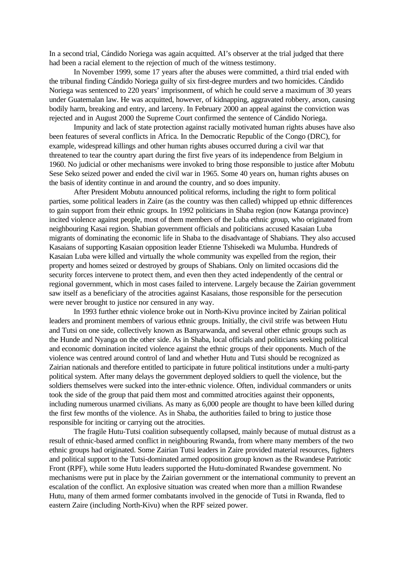In a second trial, Cándido Noriega was again acquitted. AI's observer at the trial judged that there had been a racial element to the rejection of much of the witness testimony.

In November 1999, some 17 years after the abuses were committed, a third trial ended with the tribunal finding Cándido Noriega guilty of six first-degree murders and two homicides. Cándido Noriega was sentenced to 220 years' imprisonment, of which he could serve a maximum of 30 years under Guatemalan law. He was acquitted, however, of kidnapping, aggravated robbery, arson, causing bodily harm, breaking and entry, and larceny. In February 2000 an appeal against the conviction was rejected and in August 2000 the Supreme Court confirmed the sentence of Cándido Noriega.

Impunity and lack of state protection against racially motivated human rights abuses have also been features of several conflicts in Africa. In the Democratic Republic of the Congo (DRC), for example, widespread killings and other human rights abuses occurred during a civil war that threatened to tear the country apart during the first five years of its independence from Belgium in 1960. No judicial or other mechanisms were invoked to bring those responsible to justice after Mobutu Sese Seko seized power and ended the civil war in 1965. Some 40 years on, human rights abuses on the basis of identity continue in and around the country, and so does impunity.

After President Mobutu announced political reforms, including the right to form political parties, some political leaders in Zaire (as the country was then called) whipped up ethnic differences to gain support from their ethnic groups. In 1992 politicians in Shaba region (now Katanga province) incited violence against people, most of them members of the Luba ethnic group, who originated from neighbouring Kasai region. Shabian government officials and politicians accused Kasaian Luba migrants of dominating the economic life in Shaba to the disadvantage of Shabians. They also accused Kasaians of supporting Kasaian opposition leader Etienne Tshisekedi wa Mulumba. Hundreds of Kasaian Luba were killed and virtually the whole community was expelled from the region, their property and homes seized or destroyed by groups of Shabians. Only on limited occasions did the security forces intervene to protect them, and even then they acted independently of the central or regional government, which in most cases failed to intervene. Largely because the Zairian government saw itself as a beneficiary of the atrocities against Kasaians, those responsible for the persecution were never brought to justice nor censured in any way.

In 1993 further ethnic violence broke out in North-Kivu province incited by Zairian political leaders and prominent members of various ethnic groups. Initially, the civil strife was between Hutu and Tutsi on one side, collectively known as Banyarwanda, and several other ethnic groups such as the Hunde and Nyanga on the other side. As in Shaba, local officials and politicians seeking political and economic domination incited violence against the ethnic groups of their opponents. Much of the violence was centred around control of land and whether Hutu and Tutsi should be recognized as Zairian nationals and therefore entitled to participate in future political institutions under a multi-party political system. After many delays the government deployed soldiers to quell the violence, but the soldiers themselves were sucked into the inter-ethnic violence. Often, individual commanders or units took the side of the group that paid them most and committed atrocities against their opponents, including numerous unarmed civilians. As many as 6,000 people are thought to have been killed during the first few months of the violence. As in Shaba, the authorities failed to bring to justice those responsible for inciting or carrying out the atrocities.

The fragile Hutu-Tutsi coalition subsequently collapsed, mainly because of mutual distrust as a result of ethnic-based armed conflict in neighbouring Rwanda, from where many members of the two ethnic groups had originated. Some Zairian Tutsi leaders in Zaire provided material resources, fighters and political support to the Tutsi-dominated armed opposition group known as the Rwandese Patriotic Front (RPF), while some Hutu leaders supported the Hutu-dominated Rwandese government. No mechanisms were put in place by the Zairian government or the international community to prevent an escalation of the conflict. An explosive situation was created when more than a million Rwandese Hutu, many of them armed former combatants involved in the genocide of Tutsi in Rwanda, fled to eastern Zaire (including North-Kivu) when the RPF seized power.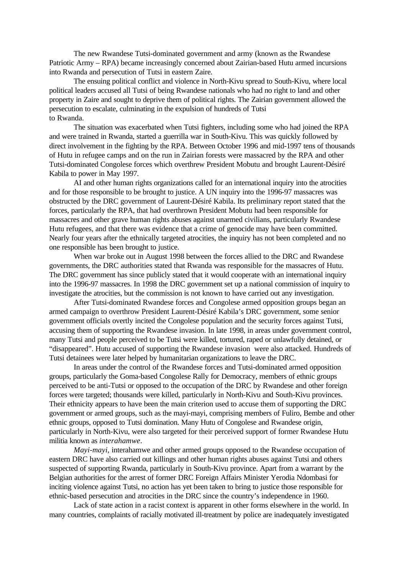The new Rwandese Tutsi-dominated government and army (known as the Rwandese Patriotic Army – RPA) became increasingly concerned about Zairian-based Hutu armed incursions into Rwanda and persecution of Tutsi in eastern Zaire.

The ensuing political conflict and violence in North-Kivu spread to South-Kivu, where local political leaders accused all Tutsi of being Rwandese nationals who had no right to land and other property in Zaire and sought to deprive them of political rights. The Zairian government allowed the persecution to escalate, culminating in the expulsion of hundreds of Tutsi to Rwanda.

The situation was exacerbated when Tutsi fighters, including some who had joined the RPA and were trained in Rwanda, started a guerrilla war in South-Kivu. This was quickly followed by direct involvement in the fighting by the RPA. Between October 1996 and mid-1997 tens of thousands of Hutu in refugee camps and on the run in Zairian forests were massacred by the RPA and other Tutsi-dominated Congolese forces which overthrew President Mobutu and brought Laurent-Désiré Kabila to power in May 1997.

AI and other human rights organizations called for an international inquiry into the atrocities and for those responsible to be brought to justice. A UN inquiry into the 1996-97 massacres was obstructed by the DRC government of Laurent-Désiré Kabila. Its preliminary report stated that the forces, particularly the RPA, that had overthrown President Mobutu had been responsible for massacres and other grave human rights abuses against unarmed civilians, particularly Rwandese Hutu refugees, and that there was evidence that a crime of genocide may have been committed. Nearly four years after the ethnically targeted atrocities, the inquiry has not been completed and no one responsible has been brought to justice.

When war broke out in August 1998 between the forces allied to the DRC and Rwandese governments, the DRC authorities stated that Rwanda was responsible for the massacres of Hutu. The DRC government has since publicly stated that it would cooperate with an international inquiry into the 1996-97 massacres. In 1998 the DRC government set up a national commission of inquiry to investigate the atrocities, but the commission is not known to have carried out any investigation.

After Tutsi-dominated Rwandese forces and Congolese armed opposition groups began an armed campaign to overthrow President Laurent-Désiré Kabila's DRC government, some senior government officials overtly incited the Congolese population and the security forces against Tutsi, accusing them of supporting the Rwandese invasion. In late 1998, in areas under government control, many Tutsi and people perceived to be Tutsi were killed, tortured, raped or unlawfully detained, or "disappeared". Hutu accused of supporting the Rwandese invasion were also attacked. Hundreds of Tutsi detainees were later helped by humanitarian organizations to leave the DRC.

In areas under the control of the Rwandese forces and Tutsi-dominated armed opposition groups, particularly the Goma-based Congolese Rally for Democracy, members of ethnic groups perceived to be anti-Tutsi or opposed to the occupation of the DRC by Rwandese and other foreign forces were targeted; thousands were killed, particularly in North-Kivu and South-Kivu provinces. Their ethnicity appears to have been the main criterion used to accuse them of supporting the DRC government or armed groups, such as the mayi-mayi, comprising members of Fuliro, Bembe and other ethnic groups, opposed to Tutsi domination. Many Hutu of Congolese and Rwandese origin, particularly in North-Kivu, were also targeted for their perceived support of former Rwandese Hutu militia known as *interahamwe*.

*Mayi-mayi,* interahamwe and other armed groups opposed to the Rwandese occupation of eastern DRC have also carried out killings and other human rights abuses against Tutsi and others suspected of supporting Rwanda, particularly in South-Kivu province. Apart from a warrant by the Belgian authorities for the arrest of former DRC Foreign Affairs Minister Yerodia Ndombasi for inciting violence against Tutsi, no action has yet been taken to bring to justice those responsible for ethnic-based persecution and atrocities in the DRC since the country's independence in 1960.

Lack of state action in a racist context is apparent in other forms elsewhere in the world. In many countries, complaints of racially motivated ill-treatment by police are inadequately investigated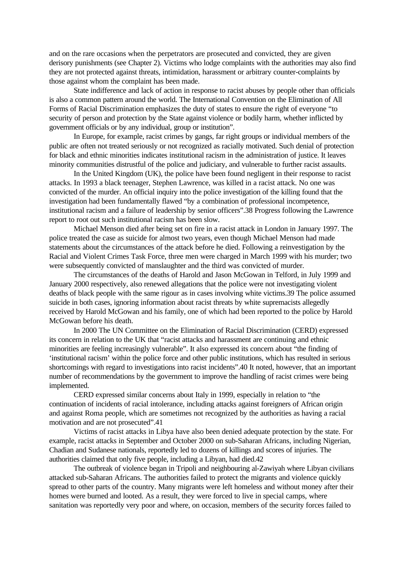and on the rare occasions when the perpetrators are prosecuted and convicted, they are given derisory punishments (see Chapter 2). Victims who lodge complaints with the authorities may also find they are not protected against threats, intimidation, harassment or arbitrary counter-complaints by those against whom the complaint has been made.

State indifference and lack of action in response to racist abuses by people other than officials is also a common pattern around the world. The International Convention on the Elimination of All Forms of Racial Discrimination emphasizes the duty of states to ensure the right of everyone "to security of person and protection by the State against violence or bodily harm, whether inflicted by government officials or by any individual, group or institution".

In Europe, for example, racist crimes by gangs, far right groups or individual members of the public are often not treated seriously or not recognized as racially motivated. Such denial of protection for black and ethnic minorities indicates institutional racism in the administration of justice. It leaves minority communities distrustful of the police and judiciary, and vulnerable to further racist assaults.

In the United Kingdom (UK), the police have been found negligent in their response to racist attacks. In 1993 a black teenager, Stephen Lawrence, was killed in a racist attack. No one was convicted of the murder. An official inquiry into the police investigation of the killing found that the investigation had been fundamentally flawed "by a combination of professional incompetence, institutional racism and a failure of leadership by senior officers".38 Progress following the Lawrence report to root out such institutional racism has been slow.

Michael Menson died after being set on fire in a racist attack in London in January 1997. The police treated the case as suicide for almost two years, even though Michael Menson had made statements about the circumstances of the attack before he died. Following a reinvestigation by the Racial and Violent Crimes Task Force, three men were charged in March 1999 with his murder; two were subsequently convicted of manslaughter and the third was convicted of murder.

The circumstances of the deaths of Harold and Jason McGowan in Telford, in July 1999 and January 2000 respectively, also renewed allegations that the police were not investigating violent deaths of black people with the same rigour as in cases involving white victims.39 The police assumed suicide in both cases, ignoring information about racist threats by white supremacists allegedly received by Harold McGowan and his family, one of which had been reported to the police by Harold McGowan before his death.

In 2000 The UN Committee on the Elimination of Racial Discrimination (CERD) expressed its concern in relation to the UK that "racist attacks and harassment are continuing and ethnic minorities are feeling increasingly vulnerable". It also expressed its concern about "the finding of 'institutional racism' within the police force and other public institutions, which has resulted in serious shortcomings with regard to investigations into racist incidents".40 It noted, however, that an important number of recommendations by the government to improve the handling of racist crimes were being implemented.

CERD expressed similar concerns about Italy in 1999, especially in relation to "the continuation of incidents of racial intolerance, including attacks against foreigners of African origin and against Roma people, which are sometimes not recognized by the authorities as having a racial motivation and are not prosecuted".41

Victims of racist attacks in Libya have also been denied adequate protection by the state. For example, racist attacks in September and October 2000 on sub-Saharan Africans, including Nigerian, Chadian and Sudanese nationals, reportedly led to dozens of killings and scores of injuries. The authorities claimed that only five people, including a Libyan, had died.42

The outbreak of violence began in Tripoli and neighbouring al-Zawiyah where Libyan civilians attacked sub-Saharan Africans. The authorities failed to protect the migrants and violence quickly spread to other parts of the country. Many migrants were left homeless and without money after their homes were burned and looted. As a result, they were forced to live in special camps, where sanitation was reportedly very poor and where, on occasion, members of the security forces failed to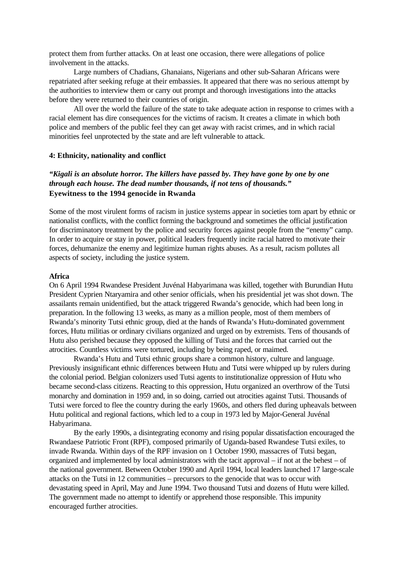protect them from further attacks. On at least one occasion, there were allegations of police involvement in the attacks.

Large numbers of Chadians, Ghanaians, Nigerians and other sub-Saharan Africans were repatriated after seeking refuge at their embassies. It appeared that there was no serious attempt by the authorities to interview them or carry out prompt and thorough investigations into the attacks before they were returned to their countries of origin.

All over the world the failure of the state to take adequate action in response to crimes with a racial element has dire consequences for the victims of racism. It creates a climate in which both police and members of the public feel they can get away with racist crimes, and in which racial minorities feel unprotected by the state and are left vulnerable to attack.

### **4: Ethnicity, nationality and conflict**

## *"Kigali is an absolute horror. The killers have passed by. They have gone by one by one through each house. The dead number thousands, if not tens of thousands."*  **Eyewitness to the 1994 genocide in Rwanda**

Some of the most virulent forms of racism in justice systems appear in societies torn apart by ethnic or nationalist conflicts, with the conflict forming the background and sometimes the official justification for discriminatory treatment by the police and security forces against people from the "enemy" camp. In order to acquire or stay in power, political leaders frequently incite racial hatred to motivate their forces, dehumanize the enemy and legitimize human rights abuses. As a result, racism pollutes all aspects of society, including the justice system.

#### **Africa**

On 6 April 1994 Rwandese President Juvénal Habyarimana was killed, together with Burundian Hutu President Cyprien Ntaryamira and other senior officials, when his presidential jet was shot down. The assailants remain unidentified, but the attack triggered Rwanda's genocide, which had been long in preparation. In the following 13 weeks, as many as a million people, most of them members of Rwanda's minority Tutsi ethnic group, died at the hands of Rwanda's Hutu-dominated government forces, Hutu militias or ordinary civilians organized and urged on by extremists. Tens of thousands of Hutu also perished because they opposed the killing of Tutsi and the forces that carried out the atrocities. Countless victims were tortured, including by being raped, or maimed.

Rwanda's Hutu and Tutsi ethnic groups share a common history, culture and language. Previously insignificant ethnic differences between Hutu and Tutsi were whipped up by rulers during the colonial period. Belgian colonizers used Tutsi agents to institutionalize oppression of Hutu who became second-class citizens. Reacting to this oppression, Hutu organized an overthrow of the Tutsi monarchy and domination in 1959 and, in so doing, carried out atrocities against Tutsi. Thousands of Tutsi were forced to flee the country during the early 1960s, and others fled during upheavals between Hutu political and regional factions, which led to a coup in 1973 led by Major-General Juvénal Habyarimana.

By the early 1990s, a disintegrating economy and rising popular dissatisfaction encouraged the Rwandaese Patriotic Front (RPF), composed primarily of Uganda-based Rwandese Tutsi exiles, to invade Rwanda. Within days of the RPF invasion on 1 October 1990, massacres of Tutsi began, organized and implemented by local administrators with the tacit approval – if not at the behest – of the national government. Between October 1990 and April 1994, local leaders launched 17 large-scale attacks on the Tutsi in 12 communities – precursors to the genocide that was to occur with devastating speed in April, May and June 1994. Two thousand Tutsi and dozens of Hutu were killed. The government made no attempt to identify or apprehend those responsible. This impunity encouraged further atrocities.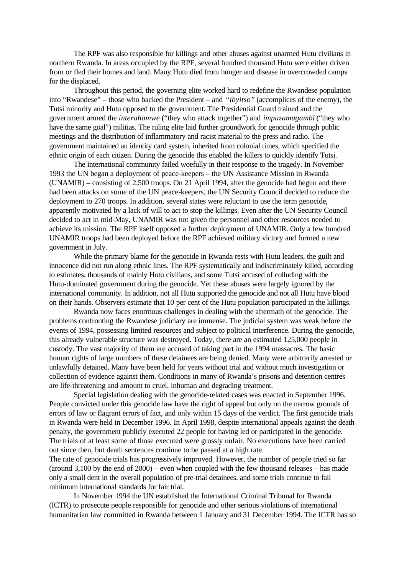The RPF was also responsible for killings and other abuses against unarmed Hutu civilians in northern Rwanda. In areas occupied by the RPF, several hundred thousand Hutu were either driven from or fled their homes and land. Many Hutu died from hunger and disease in overcrowded camps for the displaced.

Throughout this period, the governing elite worked hard to redefine the Rwandese population into "Rwandese" – those who backed the President – and *"ibyitso"* (accomplices of the enemy), the Tutsi minority and Hutu opposed to the government. The Presidential Guard trained and the government armed the *interahamwe* ("they who attack together") and *impuzamugambi* ("they who have the same goal") militias. The ruling elite laid further groundwork for genocide through public meetings and the distribution of inflammatory and racist material to the press and radio. The government maintained an identity card system, inherited from colonial times, which specified the ethnic origin of each citizen. During the genocide this enabled the killers to quickly identify Tutsi.

The international community failed woefully in their response to the tragedy. In November 1993 the UN began a deployment of peace-keepers – the UN Assistance Mission in Rwanda (UNAMIR) – consisting of 2,500 troops. On 21 April 1994, after the genocide had begun and there had been attacks on some of the UN peace-keepers, the UN Security Council decided to reduce the deployment to 270 troops. In addition, several states were reluctant to use the term genocide, apparently motivated by a lack of will to act to stop the killings. Even after the UN Security Council decided to act in mid-May, UNAMIR was not given the personnel and other resources needed to achieve its mission. The RPF itself opposed a further deployment of UNAMIR. Only a few hundred UNAMIR troops had been deployed before the RPF achieved military victory and formed a new government in July.

While the primary blame for the genocide in Rwanda rests with Hutu leaders, the guilt and innocence did not run along ethnic lines. The RPF systematically and indiscriminately killed, according to estimates, thousands of mainly Hutu civilians, and some Tutsi accused of colluding with the Hutu-dominated government during the genocide. Yet these abuses were largely ignored by the international community. In addition, not all Hutu supported the genocide and not all Hutu have blood on their hands. Observers estimate that 10 per cent of the Hutu population participated in the killings.

Rwanda now faces enormous challenges in dealing with the aftermath of the genocide. The problems confronting the Rwandese judiciary are immense. The judicial system was weak before the events of 1994, possessing limited resources and subject to political interference. During the genocide, this already vulnerable structure was destroyed. Today, there are an estimated 125,000 people in custody. The vast majority of them are accused of taking part in the 1994 massacres. The basic human rights of large numbers of these detainees are being denied. Many were arbitrarily arrested or unlawfully detained. Many have been held for years without trial and without much investigation or collection of evidence against them. Conditions in many of Rwanda's prisons and detention centres are life-threatening and amount to cruel, inhuman and degrading treatment.

Special legislation dealing with the genocide-related cases was enacted in September 1996. People convicted under this genocide law have the right of appeal but only on the narrow grounds of errors of law or flagrant errors of fact, and only within 15 days of the verdict. The first genocide trials in Rwanda were held in December 1996. In April 1998, despite international appeals against the death penalty, the government publicly executed 22 people for having led or participated in the genocide. The trials of at least some of those executed were grossly unfair. No executions have been carried out since then, but death sentences continue to be passed at a high rate.

The rate of genocide trials has progressively improved. However, the number of people tried so far (around 3,100 by the end of 2000) – even when coupled with the few thousand releases – has made only a small dent in the overall population of pre-trial detainees, and some trials continue to fail minimum international standards for fair trial.

In November 1994 the UN established the International Criminal Tribunal for Rwanda (ICTR) to prosecute people responsible for genocide and other serious violations of international humanitarian law committed in Rwanda between 1 January and 31 December 1994. The ICTR has so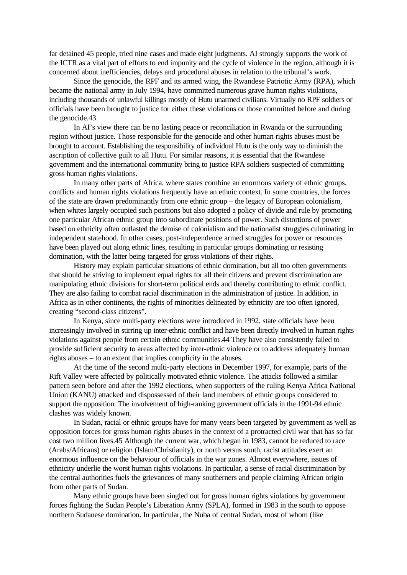far detained 45 people, tried nine cases and made eight judgments. AI strongly supports the work of the ICTR as a vital part of efforts to end impunity and the cycle of violence in the region, although it is concerned about inefficiencies, delays and procedural abuses in relation to the tribunal's work.

Since the genocide, the RPF and its armed wing, the Rwandese Patriotic Army (RPA), which became the national army in July 1994, have committed numerous grave human rights violations, including thousands of unlawful killings mostly of Hutu unarmed civilians. Virtually no RPF soldiers or officials have been brought to justice for either these violations or those committed before and during the genocide.43

In AI's view there can be no lasting peace or reconciliation in Rwanda or the surrounding region without justice. Those responsible for the genocide and other human rights abuses must be brought to account. Establishing the responsibility of individual Hutu is the only way to diminish the ascription of collective guilt to all Hutu. For similar reasons, it is essential that the Rwandese government and the international community bring to justice RPA soldiers suspected of committing gross human rights violations.

In many other parts of Africa, where states combine an enormous variety of ethnic groups, conflicts and human rights violations frequently have an ethnic context. In some countries, the forces of the state are drawn predominantly from one ethnic group – the legacy of European colonialism, when whites largely occupied such positions but also adopted a policy of divide and rule by promoting one particular African ethnic group into subordinate positions of power. Such distortions of power based on ethnicity often outlasted the demise of colonialism and the nationalist struggles culminating in independent statehood. In other cases, post-independence armed struggles for power or resources have been played out along ethnic lines, resulting in particular groups dominating or resisting domination, with the latter being targeted for gross violations of their rights.

History may explain particular situations of ethnic domination, but all too often governments that should be striving to implement equal rights for all their citizens and prevent discrimination are manipulating ethnic divisions for short-term political ends and thereby contributing to ethnic conflict. They are also failing to combat racial discrimination in the administration of justice. In addition, in Africa as in other continents, the rights of minorities delineated by ethnicity are too often ignored, creating "second-class citizens".

In Kenya, since multi-party elections were introduced in 1992, state officials have been increasingly involved in stirring up inter-ethnic conflict and have been directly involved in human rights violations against people from certain ethnic communities.44 They have also consistently failed to provide sufficient security to areas affected by inter-ethnic violence or to address adequately human rights abuses – to an extent that implies complicity in the abuses.

At the time of the second multi-party elections in December 1997, for example, parts of the Rift Valley were affected by politically motivated ethnic violence. The attacks followed a similar pattern seen before and after the 1992 elections, when supporters of the ruling Kenya Africa National Union (KANU) attacked and dispossessed of their land members of ethnic groups considered to support the opposition. The involvement of high-ranking government officials in the 1991-94 ethnic clashes was widely known.

In Sudan, racial or ethnic groups have for many years been targeted by government as well as opposition forces for gross human rights abuses in the context of a protracted civil war that has so far cost two million lives.45 Although the current war, which began in 1983, cannot be reduced to race (Arabs/Africans) or religion (Islam/Christianity), or north versus south, racist attitudes exert an enormous influence on the behaviour of officials in the war zones. Almost everywhere, issues of ethnicity underlie the worst human rights violations. In particular, a sense of racial discrimination by the central authorities fuels the grievances of many southerners and people claiming African origin from other parts of Sudan.

Many ethnic groups have been singled out for gross human rights violations by government forces fighting the Sudan People's Liberation Army (SPLA), formed in 1983 in the south to oppose northern Sudanese domination. In particular, the Nuba of central Sudan, most of whom (like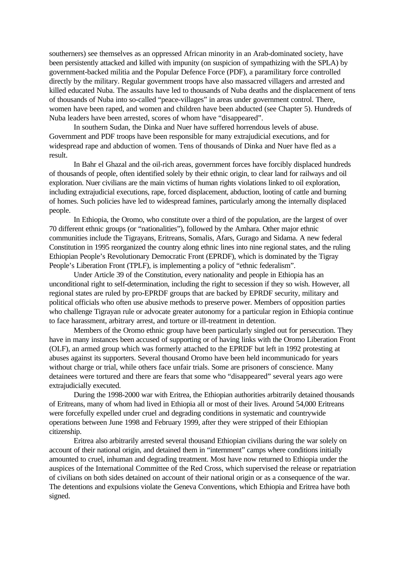southerners) see themselves as an oppressed African minority in an Arab-dominated society, have been persistently attacked and killed with impunity (on suspicion of sympathizing with the SPLA) by government-backed militia and the Popular Defence Force (PDF), a paramilitary force controlled directly by the military. Regular government troops have also massacred villagers and arrested and killed educated Nuba. The assaults have led to thousands of Nuba deaths and the displacement of tens of thousands of Nuba into so-called "peace-villages" in areas under government control. There, women have been raped, and women and children have been abducted (see Chapter 5). Hundreds of Nuba leaders have been arrested, scores of whom have "disappeared".

In southern Sudan, the Dinka and Nuer have suffered horrendous levels of abuse. Government and PDF troops have been responsible for many extrajudicial executions, and for widespread rape and abduction of women. Tens of thousands of Dinka and Nuer have fled as a result.

In Bahr el Ghazal and the oil-rich areas, government forces have forcibly displaced hundreds of thousands of people, often identified solely by their ethnic origin, to clear land for railways and oil exploration. Nuer civilians are the main victims of human rights violations linked to oil exploration, including extrajudicial executions, rape, forced displacement, abduction, looting of cattle and burning of homes. Such policies have led to widespread famines, particularly among the internally displaced people.

In Ethiopia, the Oromo, who constitute over a third of the population, are the largest of over 70 different ethnic groups (or "nationalities"), followed by the Amhara. Other major ethnic communities include the Tigrayans, Eritreans, Somalis, Afars, Gurago and Sidama. A new federal Constitution in 1995 reorganized the country along ethnic lines into nine regional states, and the ruling Ethiopian People's Revolutionary Democratic Front (EPRDF), which is dominated by the Tigray People's Liberation Front (TPLF), is implementing a policy of "ethnic federalism".

Under Article 39 of the Constitution, every nationality and people in Ethiopia has an unconditional right to self-determination, including the right to secession if they so wish. However, all regional states are ruled by pro-EPRDF groups that are backed by EPRDF security, military and political officials who often use abusive methods to preserve power. Members of opposition parties who challenge Tigrayan rule or advocate greater autonomy for a particular region in Ethiopia continue to face harassment, arbitrary arrest, and torture or ill-treatment in detention.

Members of the Oromo ethnic group have been particularly singled out for persecution. They have in many instances been accused of supporting or of having links with the Oromo Liberation Front (OLF), an armed group which was formerly attached to the EPRDF but left in 1992 protesting at abuses against its supporters. Several thousand Oromo have been held incommunicado for years without charge or trial, while others face unfair trials. Some are prisoners of conscience. Many detainees were tortured and there are fears that some who "disappeared" several years ago were extrajudicially executed.

During the 1998-2000 war with Eritrea, the Ethiopian authorities arbitrarily detained thousands of Eritreans, many of whom had lived in Ethiopia all or most of their lives. Around 54,000 Eritreans were forcefully expelled under cruel and degrading conditions in systematic and countrywide operations between June 1998 and February 1999, after they were stripped of their Ethiopian citizenship.

Eritrea also arbitrarily arrested several thousand Ethiopian civilians during the war solely on account of their national origin, and detained them in "internment" camps where conditions initially amounted to cruel, inhuman and degrading treatment. Most have now returned to Ethiopia under the auspices of the International Committee of the Red Cross, which supervised the release or repatriation of civilians on both sides detained on account of their national origin or as a consequence of the war. The detentions and expulsions violate the Geneva Conventions, which Ethiopia and Eritrea have both signed.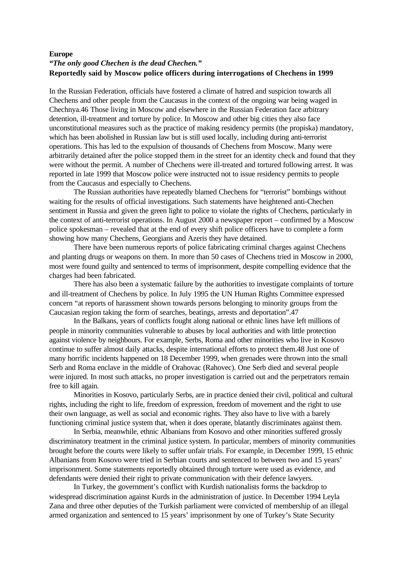#### **Europe**

# *"The only good Chechen is the dead Chechen."* **Reportedly said by Moscow police officers during interrogations of Chechens in 1999**

In the Russian Federation, officials have fostered a climate of hatred and suspicion towards all Chechens and other people from the Caucasus in the context of the ongoing war being waged in Chechnya.46 Those living in Moscow and elsewhere in the Russian Federation face arbitrary detention, ill-treatment and torture by police. In Moscow and other big cities they also face unconstitutional measures such as the practice of making residency permits (the propiska) mandatory, which has been abolished in Russian law but is still used locally, including during anti-terrorist operations. This has led to the expulsion of thousands of Chechens from Moscow. Many were arbitrarily detained after the police stopped them in the street for an identity check and found that they were without the permit. A number of Chechens were ill-treated and tortured following arrest. It was reported in late 1999 that Moscow police were instructed not to issue residency permits to people from the Caucasus and especially to Chechens.

The Russian authorities have repeatedly blamed Chechens for "terrorist" bombings without waiting for the results of official investigations. Such statements have heightened anti-Chechen sentiment in Russia and given the green light to police to violate the rights of Chechens, particularly in the context of anti-terrorist operations. In August 2000 a newspaper report – confirmed by a Moscow police spokesman – revealed that at the end of every shift police officers have to complete a form showing how many Chechens, Georgians and Azeris they have detained.

There have been numerous reports of police fabricating criminal charges against Chechens and planting drugs or weapons on them. In more than 50 cases of Chechens tried in Moscow in 2000, most were found guilty and sentenced to terms of imprisonment, despite compelling evidence that the charges had been fabricated.

There has also been a systematic failure by the authorities to investigate complaints of torture and ill-treatment of Chechens by police. In July 1995 the UN Human Rights Committee expressed concern "at reports of harassment shown towards persons belonging to minority groups from the Caucasian region taking the form of searches, beatings, arrests and deportation".47

In the Balkans, years of conflicts fought along national or ethnic lines have left millions of people in minority communities vulnerable to abuses by local authorities and with little protection against violence by neighbours. For example, Serbs, Roma and other minorities who live in Kosovo continue to suffer almost daily attacks, despite international efforts to protect them.48 Just one of many horrific incidents happened on 18 December 1999, when grenades were thrown into the small Serb and Roma enclave in the middle of Orahovac (Rahovec). One Serb died and several people were injured. In most such attacks, no proper investigation is carried out and the perpetrators remain free to kill again.

Minorities in Kosovo, particularly Serbs, are in practice denied their civil, political and cultural rights, including the right to life, freedom of expression, freedom of movement and the right to use their own language, as well as social and economic rights. They also have to live with a barely functioning criminal justice system that, when it does operate, blatantly discriminates against them.

In Serbia, meanwhile, ethnic Albanians from Kosovo and other minorities suffered grossly discriminatory treatment in the criminal justice system. In particular, members of minority communities brought before the courts were likely to suffer unfair trials. For example, in December 1999, 15 ethnic Albanians from Kosovo were tried in Serbian courts and sentenced to between two and 15 years' imprisonment. Some statements reportedly obtained through torture were used as evidence, and defendants were denied their right to private communication with their defence lawyers.

In Turkey, the government's conflict with Kurdish nationalists forms the backdrop to widespread discrimination against Kurds in the administration of justice. In December 1994 Leyla Zana and three other deputies of the Turkish parliament were convicted of membership of an illegal armed organization and sentenced to 15 years' imprisonment by one of Turkey's State Security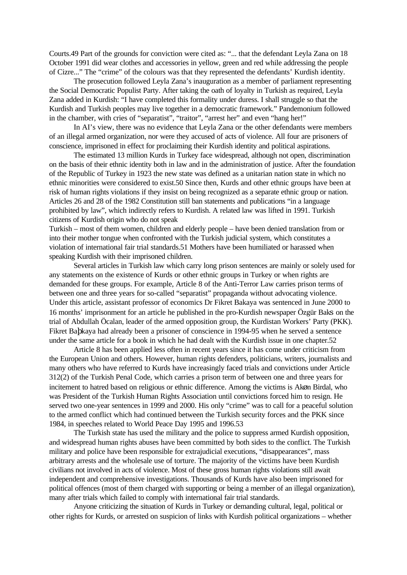Courts.49 Part of the grounds for conviction were cited as: "... that the defendant Leyla Zana on 18 October 1991 did wear clothes and accessories in yellow, green and red while addressing the people of Cizre..." The "crime" of the colours was that they represented the defendants' Kurdish identity.

The prosecution followed Leyla Zana's inauguration as a member of parliament representing the Social Democratic Populist Party. After taking the oath of loyalty in Turkish as required, Leyla Zana added in Kurdish: "I have completed this formality under duress. I shall struggle so that the Kurdish and Turkish peoples may live together in a democratic framework." Pandemonium followed in the chamber, with cries of "separatist", "traitor", "arrest her" and even "hang her!"

In AI's view, there was no evidence that Leyla Zana or the other defendants were members of an illegal armed organization, nor were they accused of acts of violence. All four are prisoners of conscience, imprisoned in effect for proclaiming their Kurdish identity and political aspirations.

The estimated 13 million Kurds in Turkey face widespread, although not open, discrimination on the basis of their ethnic identity both in law and in the administration of justice. After the foundation of the Republic of Turkey in 1923 the new state was defined as a unitarian nation state in which no ethnic minorities were considered to exist.50 Since then, Kurds and other ethnic groups have been at risk of human rights violations if they insist on being recognized as a separate ethnic group or nation. Articles 26 and 28 of the 1982 Constitution still ban statements and publications "in a language prohibited by law", which indirectly refers to Kurdish. A related law was lifted in 1991. Turkish citizens of Kurdish origin who do not speak

Turkish – most of them women, children and elderly people – have been denied translation from or into their mother tongue when confronted with the Turkish judicial system, which constitutes a violation of international fair trial standards.51 Mothers have been humiliated or harassed when speaking Kurdish with their imprisoned children.

Several articles in Turkish law which carry long prison sentences are mainly or solely used for any statements on the existence of Kurds or other ethnic groups in Turkey or when rights are demanded for these groups. For example, Article 8 of the Anti-Terror Law carries prison terms of between one and three years for so-called "separatist" propaganda without advocating violence. Under this article, assistant professor of economics Dr Fikret Bakaya was sentenced in June 2000 to 16 months' imprisonment for an article he published in the pro-Kurdish newspaper Özgür Baks on the trial of Abdullah Öcalan, leader of the armed opposition group, the Kurdistan Workers' Party (PKK). Fikret Baþkaya had already been a prisoner of conscience in 1994-95 when he served a sentence under the same article for a book in which he had dealt with the Kurdish issue in one chapter.52

Article 8 has been applied less often in recent years since it has come under criticism from the European Union and others. However, human rights defenders, politicians, writers, journalists and many others who have referred to Kurds have increasingly faced trials and convictions under Article 312(2) of the Turkish Penal Code, which carries a prison term of between one and three years for incitement to hatred based on religious or ethnic difference. Among the victims is Akøn Birdal, who was President of the Turkish Human Rights Association until convictions forced him to resign. He served two one-year sentences in 1999 and 2000. His only "crime" was to call for a peaceful solution to the armed conflict which had continued between the Turkish security forces and the PKK since 1984, in speeches related to World Peace Day 1995 and 1996.53

The Turkish state has used the military and the police to suppress armed Kurdish opposition, and widespread human rights abuses have been committed by both sides to the conflict. The Turkish military and police have been responsible for extrajudicial executions, "disappearances", mass arbitrary arrests and the wholesale use of torture. The majority of the victims have been Kurdish civilians not involved in acts of violence. Most of these gross human rights violations still await independent and comprehensive investigations. Thousands of Kurds have also been imprisoned for political offences (most of them charged with supporting or being a member of an illegal organization), many after trials which failed to comply with international fair trial standards.

Anyone criticizing the situation of Kurds in Turkey or demanding cultural, legal, political or other rights for Kurds, or arrested on suspicion of links with Kurdish political organizations – whether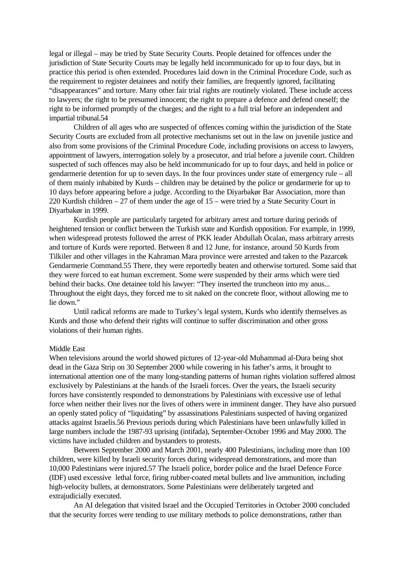legal or illegal – may be tried by State Security Courts. People detained for offences under the jurisdiction of State Security Courts may be legally held incommunicado for up to four days, but in practice this period is often extended. Procedures laid down in the Criminal Procedure Code, such as the requirement to register detainees and notify their families, are frequently ignored, facilitating "disappearances" and torture. Many other fair trial rights are routinely violated. These include access to lawyers; the right to be presumed innocent; the right to prepare a defence and defend oneself; the right to be informed promptly of the charges; and the right to a full trial before an independent and impartial tribunal.54

Children of all ages who are suspected of offences coming within the jurisdiction of the State Security Courts are excluded from all protective mechanisms set out in the law on juvenile justice and also from some provisions of the Criminal Procedure Code, including provisions on access to lawyers, appointment of lawyers, interrogation solely by a prosecutor, and trial before a juvenile court. Children suspected of such offences may also be held incommunicado for up to four days, and held in police or gendarmerie detention for up to seven days. In the four provinces under state of emergency rule – all of them mainly inhabited by Kurds – children may be detained by the police or gendarmerie for up to 10 days before appearing before a judge. According to the Diyarbakør Bar Association, more than 220 Kurdish children – 27 of them under the age of 15 – were tried by a State Security Court in Diyarbakør in 1999.

Kurdish people are particularly targeted for arbitrary arrest and torture during periods of heightened tension or conflict between the Turkish state and Kurdish opposition. For example, in 1999, when widespread protests followed the arrest of PKK leader Abdullah Öcalan, mass arbitrary arrests and torture of Kurds were reported. Between 8 and 12 June, for instance, around 50 Kurds from Tilkiler and other villages in the Kahraman Mara province were arrested and taken to the Pazarcøk Gendarmerie Command.55 There, they were reportedly beaten and otherwise tortured. Some said that they were forced to eat human excrement. Some were suspended by their arms which were tied behind their backs. One detainee told his lawyer: "They inserted the truncheon into my anus... Throughout the eight days, they forced me to sit naked on the concrete floor, without allowing me to lie down."

Until radical reforms are made to Turkey's legal system, Kurds who identify themselves as Kurds and those who defend their rights will continue to suffer discrimination and other gross violations of their human rights.

#### Middle East

When televisions around the world showed pictures of 12-year-old Muhammad al-Dura being shot dead in the Gaza Strip on 30 September 2000 while cowering in his father's arms, it brought to international attention one of the many long-standing patterns of human rights violation suffered almost exclusively by Palestinians at the hands of the Israeli forces. Over the years, the Israeli security forces have consistently responded to demonstrations by Palestinians with excessive use of lethal force when neither their lives nor the lives of others were in imminent danger. They have also pursued an openly stated policy of "liquidating" by assassinations Palestinians suspected of having organized attacks against Israelis.56 Previous periods during which Palestinians have been unlawfully killed in large numbers include the 1987-93 uprising (intifada), September-October 1996 and May 2000. The victims have included children and bystanders to protests.

Between September 2000 and March 2001, nearly 400 Palestinians, including more than 100 children, were killed by Israeli security forces during widespread demonstrations, and more than 10,000 Palestinians were injured.57 The Israeli police, border police and the Israel Defence Force (IDF) used excessive lethal force, firing rubber-coated metal bullets and live ammunition, including high-velocity bullets, at demonstrators. Some Palestinians were deliberately targeted and extrajudicially executed.

An AI delegation that visited Israel and the Occupied Territories in October 2000 concluded that the security forces were tending to use military methods to police demonstrations, rather than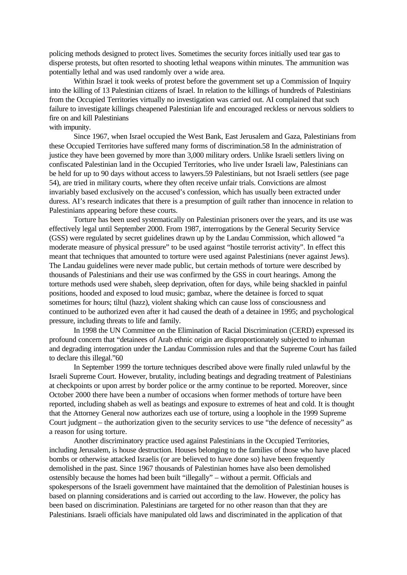policing methods designed to protect lives. Sometimes the security forces initially used tear gas to disperse protests, but often resorted to shooting lethal weapons within minutes. The ammunition was potentially lethal and was used randomly over a wide area.

Within Israel it took weeks of protest before the government set up a Commission of Inquiry into the killing of 13 Palestinian citizens of Israel. In relation to the killings of hundreds of Palestinians from the Occupied Territories virtually no investigation was carried out. AI complained that such failure to investigate killings cheapened Palestinian life and encouraged reckless or nervous soldiers to fire on and kill Palestinians

## with impunity.

Since 1967, when Israel occupied the West Bank, East Jerusalem and Gaza, Palestinians from these Occupied Territories have suffered many forms of discrimination.58 In the administration of justice they have been governed by more than 3,000 military orders. Unlike Israeli settlers living on confiscated Palestinian land in the Occupied Territories, who live under Israeli law, Palestinians can be held for up to 90 days without access to lawyers.59 Palestinians, but not Israeli settlers (see page 54), are tried in military courts, where they often receive unfair trials. Convictions are almost invariably based exclusively on the accused's confession, which has usually been extracted under duress. AI's research indicates that there is a presumption of guilt rather than innocence in relation to Palestinians appearing before these courts.

Torture has been used systematically on Palestinian prisoners over the years, and its use was effectively legal until September 2000. From 1987, interrogations by the General Security Service (GSS) were regulated by secret guidelines drawn up by the Landau Commission, which allowed "a moderate measure of physical pressure" to be used against "hostile terrorist activity". In effect this meant that techniques that amounted to torture were used against Palestinians (never against Jews). The Landau guidelines were never made public, but certain methods of torture were described by thousands of Palestinians and their use was confirmed by the GSS in court hearings. Among the torture methods used were shabeh, sleep deprivation, often for days, while being shackled in painful positions, hooded and exposed to loud music; gambaz, where the detainee is forced to squat sometimes for hours; tiltul (hazz), violent shaking which can cause loss of consciousness and continued to be authorized even after it had caused the death of a detainee in 1995; and psychological pressure, including threats to life and family.

In 1998 the UN Committee on the Elimination of Racial Discrimination (CERD) expressed its profound concern that "detainees of Arab ethnic origin are disproportionately subjected to inhuman and degrading interrogation under the Landau Commission rules and that the Supreme Court has failed to declare this illegal."60

In September 1999 the torture techniques described above were finally ruled unlawful by the Israeli Supreme Court. However, brutality, including beatings and degrading treatment of Palestinians at checkpoints or upon arrest by border police or the army continue to be reported. Moreover, since October 2000 there have been a number of occasions when former methods of torture have been reported, including shabeh as well as beatings and exposure to extremes of heat and cold. It is thought that the Attorney General now authorizes each use of torture, using a loophole in the 1999 Supreme Court judgment – the authorization given to the security services to use "the defence of necessity" as a reason for using torture.

Another discriminatory practice used against Palestinians in the Occupied Territories, including Jerusalem, is house destruction. Houses belonging to the families of those who have placed bombs or otherwise attacked Israelis (or are believed to have done so) have been frequently demolished in the past. Since 1967 thousands of Palestinian homes have also been demolished ostensibly because the homes had been built "illegally" – without a permit. Officials and spokespersons of the Israeli government have maintained that the demolition of Palestinian houses is based on planning considerations and is carried out according to the law. However, the policy has been based on discrimination. Palestinians are targeted for no other reason than that they are Palestinians. Israeli officials have manipulated old laws and discriminated in the application of that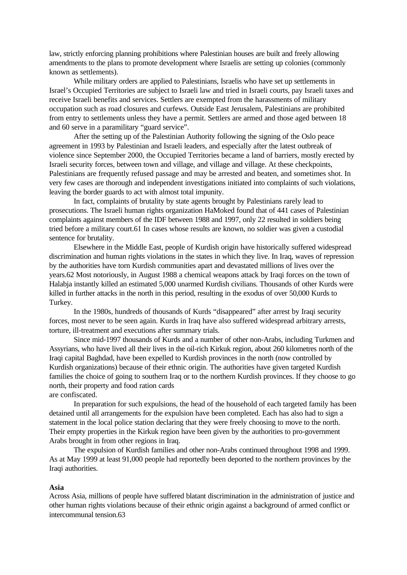law, strictly enforcing planning prohibitions where Palestinian houses are built and freely allowing amendments to the plans to promote development where Israelis are setting up colonies (commonly known as settlements).

While military orders are applied to Palestinians, Israelis who have set up settlements in Israel's Occupied Territories are subject to Israeli law and tried in Israeli courts, pay Israeli taxes and receive Israeli benefits and services. Settlers are exempted from the harassments of military occupation such as road closures and curfews. Outside East Jerusalem, Palestinians are prohibited from entry to settlements unless they have a permit. Settlers are armed and those aged between 18 and 60 serve in a paramilitary "guard service".

After the setting up of the Palestinian Authority following the signing of the Oslo peace agreement in 1993 by Palestinian and Israeli leaders, and especially after the latest outbreak of violence since September 2000, the Occupied Territories became a land of barriers, mostly erected by Israeli security forces, between town and village, and village and village. At these checkpoints, Palestinians are frequently refused passage and may be arrested and beaten, and sometimes shot. In very few cases are thorough and independent investigations initiated into complaints of such violations, leaving the border guards to act with almost total impunity.

In fact, complaints of brutality by state agents brought by Palestinians rarely lead to prosecutions. The Israeli human rights organization HaMoked found that of 441 cases of Palestinian complaints against members of the IDF between 1988 and 1997, only 22 resulted in soldiers being tried before a military court.61 In cases whose results are known, no soldier was given a custodial sentence for brutality.

Elsewhere in the Middle East, people of Kurdish origin have historically suffered widespread discrimination and human rights violations in the states in which they live. In Iraq, waves of repression by the authorities have torn Kurdish communities apart and devastated millions of lives over the years.62 Most notoriously, in August 1988 a chemical weapons attack by Iraqi forces on the town of Halabja instantly killed an estimated 5,000 unarmed Kurdish civilians. Thousands of other Kurds were killed in further attacks in the north in this period, resulting in the exodus of over 50,000 Kurds to Turkey.

In the 1980s, hundreds of thousands of Kurds "disappeared" after arrest by Iraqi security forces, most never to be seen again. Kurds in Iraq have also suffered widespread arbitrary arrests, torture, ill-treatment and executions after summary trials.

Since mid-1997 thousands of Kurds and a number of other non-Arabs, including Turkmen and Assyrians, who have lived all their lives in the oil-rich Kirkuk region, about 260 kilometres north of the Iraqi capital Baghdad, have been expelled to Kurdish provinces in the north (now controlled by Kurdish organizations) because of their ethnic origin. The authorities have given targeted Kurdish families the choice of going to southern Iraq or to the northern Kurdish provinces. If they choose to go north, their property and food ration cards

are confiscated.

In preparation for such expulsions, the head of the household of each targeted family has been detained until all arrangements for the expulsion have been completed. Each has also had to sign a statement in the local police station declaring that they were freely choosing to move to the north. Their empty properties in the Kirkuk region have been given by the authorities to pro-government Arabs brought in from other regions in Iraq.

The expulsion of Kurdish families and other non-Arabs continued throughout 1998 and 1999. As at May 1999 at least 91,000 people had reportedly been deported to the northern provinces by the Iraqi authorities.

#### **Asia**

Across Asia, millions of people have suffered blatant discrimination in the administration of justice and other human rights violations because of their ethnic origin against a background of armed conflict or intercommunal tension.63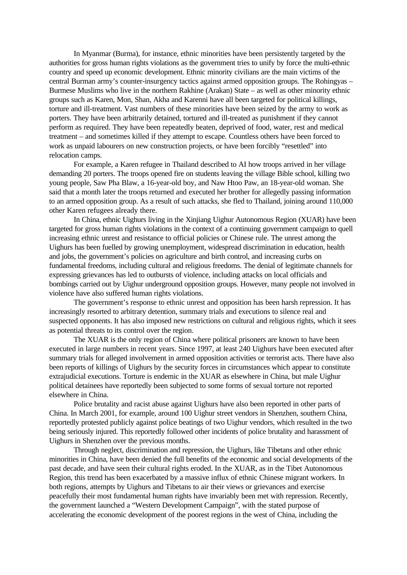In Myanmar (Burma), for instance, ethnic minorities have been persistently targeted by the authorities for gross human rights violations as the government tries to unify by force the multi-ethnic country and speed up economic development. Ethnic minority civilians are the main victims of the central Burman army's counter-insurgency tactics against armed opposition groups. The Rohingyas – Burmese Muslims who live in the northern Rakhine (Arakan) State – as well as other minority ethnic groups such as Karen, Mon, Shan, Akha and Karenni have all been targeted for political killings, torture and ill-treatment. Vast numbers of these minorities have been seized by the army to work as porters. They have been arbitrarily detained, tortured and ill-treated as punishment if they cannot perform as required. They have been repeatedly beaten, deprived of food, water, rest and medical treatment – and sometimes killed if they attempt to escape. Countless others have been forced to work as unpaid labourers on new construction projects, or have been forcibly "resettled" into relocation camps.

For example, a Karen refugee in Thailand described to AI how troops arrived in her village demanding 20 porters. The troops opened fire on students leaving the village Bible school, killing two young people, Saw Pha Blaw, a 16-year-old boy, and Naw Htoo Paw, an 18-year-old woman. She said that a month later the troops returned and executed her brother for allegedly passing information to an armed opposition group. As a result of such attacks, she fled to Thailand, joining around 110,000 other Karen refugees already there.

In China, ethnic Uighurs living in the Xinjiang Uighur Autonomous Region (XUAR) have been targeted for gross human rights violations in the context of a continuing government campaign to quell increasing ethnic unrest and resistance to official policies or Chinese rule. The unrest among the Uighurs has been fuelled by growing unemployment, widespread discrimination in education, health and jobs, the government's policies on agriculture and birth control, and increasing curbs on fundamental freedoms, including cultural and religious freedoms. The denial of legitimate channels for expressing grievances has led to outbursts of violence, including attacks on local officials and bombings carried out by Uighur underground opposition groups. However, many people not involved in violence have also suffered human rights violations.

The government's response to ethnic unrest and opposition has been harsh repression. It has increasingly resorted to arbitrary detention, summary trials and executions to silence real and suspected opponents. It has also imposed new restrictions on cultural and religious rights, which it sees as potential threats to its control over the region.

The XUAR is the only region of China where political prisoners are known to have been executed in large numbers in recent years. Since 1997, at least 240 Uighurs have been executed after summary trials for alleged involvement in armed opposition activities or terrorist acts. There have also been reports of killings of Uighurs by the security forces in circumstances which appear to constitute extrajudicial executions. Torture is endemic in the XUAR as elsewhere in China, but male Uighur political detainees have reportedly been subjected to some forms of sexual torture not reported elsewhere in China.

Police brutality and racist abuse against Uighurs have also been reported in other parts of China. In March 2001, for example, around 100 Uighur street vendors in Shenzhen, southern China, reportedly protested publicly against police beatings of two Uighur vendors, which resulted in the two being seriously injured. This reportedly followed other incidents of police brutality and harassment of Uighurs in Shenzhen over the previous months.

Through neglect, discrimination and repression, the Uighurs, like Tibetans and other ethnic minorities in China, have been denied the full benefits of the economic and social developments of the past decade, and have seen their cultural rights eroded. In the XUAR, as in the Tibet Autonomous Region, this trend has been exacerbated by a massive influx of ethnic Chinese migrant workers. In both regions, attempts by Uighurs and Tibetans to air their views or grievances and exercise peacefully their most fundamental human rights have invariably been met with repression. Recently, the government launched a "Western Development Campaign", with the stated purpose of accelerating the economic development of the poorest regions in the west of China, including the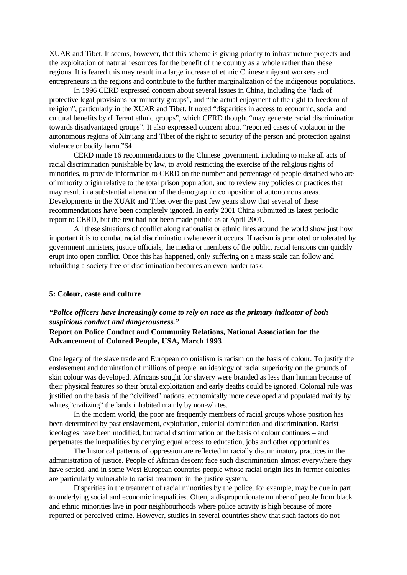XUAR and Tibet. It seems, however, that this scheme is giving priority to infrastructure projects and the exploitation of natural resources for the benefit of the country as a whole rather than these regions. It is feared this may result in a large increase of ethnic Chinese migrant workers and entrepreneurs in the regions and contribute to the further marginalization of the indigenous populations.

In 1996 CERD expressed concern about several issues in China, including the "lack of protective legal provisions for minority groups", and "the actual enjoyment of the right to freedom of religion", particularly in the XUAR and Tibet. It noted "disparities in access to economic, social and cultural benefits by different ethnic groups", which CERD thought "may generate racial discrimination towards disadvantaged groups". It also expressed concern about "reported cases of violation in the autonomous regions of Xinjiang and Tibet of the right to security of the person and protection against violence or bodily harm."64

CERD made 16 recommendations to the Chinese government, including to make all acts of racial discrimination punishable by law, to avoid restricting the exercise of the religious rights of minorities, to provide information to CERD on the number and percentage of people detained who are of minority origin relative to the total prison population, and to review any policies or practices that may result in a substantial alteration of the demographic composition of autonomous areas. Developments in the XUAR and Tibet over the past few years show that several of these recommendations have been completely ignored. In early 2001 China submitted its latest periodic report to CERD, but the text had not been made public as at April 2001.

All these situations of conflict along nationalist or ethnic lines around the world show just how important it is to combat racial discrimination whenever it occurs. If racism is promoted or tolerated by government ministers, justice officials, the media or members of the public, racial tensions can quickly erupt into open conflict. Once this has happened, only suffering on a mass scale can follow and rebuilding a society free of discrimination becomes an even harder task.

#### **5: Colour, caste and culture**

## *"Police officers have increasingly come to rely on race as the primary indicator of both suspicious conduct and dangerousness."*

## **Report on Police Conduct and Community Relations, National Association for the Advancement of Colored People, USA, March 1993**

One legacy of the slave trade and European colonialism is racism on the basis of colour. To justify the enslavement and domination of millions of people, an ideology of racial superiority on the grounds of skin colour was developed. Africans sought for slavery were branded as less than human because of their physical features so their brutal exploitation and early deaths could be ignored. Colonial rule was justified on the basis of the "civilized" nations, economically more developed and populated mainly by whites,"civilizing" the lands inhabited mainly by non-whites.

In the modern world, the poor are frequently members of racial groups whose position has been determined by past enslavement, exploitation, colonial domination and discrimination. Racist ideologies have been modified, but racial discrimination on the basis of colour continues – and perpetuates the inequalities by denying equal access to education, jobs and other opportunities.

The historical patterns of oppression are reflected in racially discriminatory practices in the administration of justice. People of African descent face such discrimination almost everywhere they have settled, and in some West European countries people whose racial origin lies in former colonies are particularly vulnerable to racist treatment in the justice system.

Disparities in the treatment of racial minorities by the police, for example, may be due in part to underlying social and economic inequalities. Often, a disproportionate number of people from black and ethnic minorities live in poor neighbourhoods where police activity is high because of more reported or perceived crime. However, studies in several countries show that such factors do not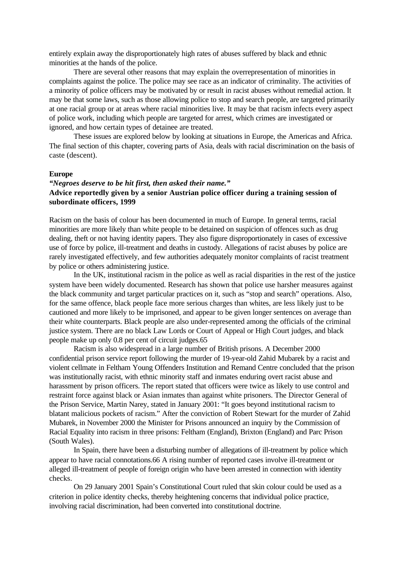entirely explain away the disproportionately high rates of abuses suffered by black and ethnic minorities at the hands of the police.

There are several other reasons that may explain the overrepresentation of minorities in complaints against the police. The police may see race as an indicator of criminality. The activities of a minority of police officers may be motivated by or result in racist abuses without remedial action. It may be that some laws, such as those allowing police to stop and search people, are targeted primarily at one racial group or at areas where racial minorities live. It may be that racism infects every aspect of police work, including which people are targeted for arrest, which crimes are investigated or ignored, and how certain types of detainee are treated.

These issues are explored below by looking at situations in Europe, the Americas and Africa. The final section of this chapter, covering parts of Asia, deals with racial discrimination on the basis of caste (descent).

#### **Europe**

## *"Negroes deserve to be hit first, then asked their name."* **Advice reportedly given by a senior Austrian police officer during a training session of subordinate officers, 1999**

Racism on the basis of colour has been documented in much of Europe. In general terms, racial minorities are more likely than white people to be detained on suspicion of offences such as drug dealing, theft or not having identity papers. They also figure disproportionately in cases of excessive use of force by police, ill-treatment and deaths in custody. Allegations of racist abuses by police are rarely investigated effectively, and few authorities adequately monitor complaints of racist treatment by police or others administering justice.

In the UK, institutional racism in the police as well as racial disparities in the rest of the justice system have been widely documented. Research has shown that police use harsher measures against the black community and target particular practices on it, such as "stop and search" operations. Also, for the same offence, black people face more serious charges than whites, are less likely just to be cautioned and more likely to be imprisoned, and appear to be given longer sentences on average than their white counterparts. Black people are also under-represented among the officials of the criminal justice system. There are no black Law Lords or Court of Appeal or High Court judges, and black people make up only 0.8 per cent of circuit judges.65

Racism is also widespread in a large number of British prisons. A December 2000 confidential prison service report following the murder of 19-year-old Zahid Mubarek by a racist and violent cellmate in Feltham Young Offenders Institution and Remand Centre concluded that the prison was institutionally racist, with ethnic minority staff and inmates enduring overt racist abuse and harassment by prison officers. The report stated that officers were twice as likely to use control and restraint force against black or Asian inmates than against white prisoners. The Director General of the Prison Service, Martin Narey, stated in January 2001: "It goes beyond institutional racism to blatant malicious pockets of racism." After the conviction of Robert Stewart for the murder of Zahid Mubarek, in November 2000 the Minister for Prisons announced an inquiry by the Commission of Racial Equality into racism in three prisons: Feltham (England), Brixton (England) and Parc Prison (South Wales).

In Spain, there have been a disturbing number of allegations of ill-treatment by police which appear to have racial connotations.66 A rising number of reported cases involve ill-treatment or alleged ill-treatment of people of foreign origin who have been arrested in connection with identity checks.

On 29 January 2001 Spain's Constitutional Court ruled that skin colour could be used as a criterion in police identity checks, thereby heightening concerns that individual police practice, involving racial discrimination, had been converted into constitutional doctrine.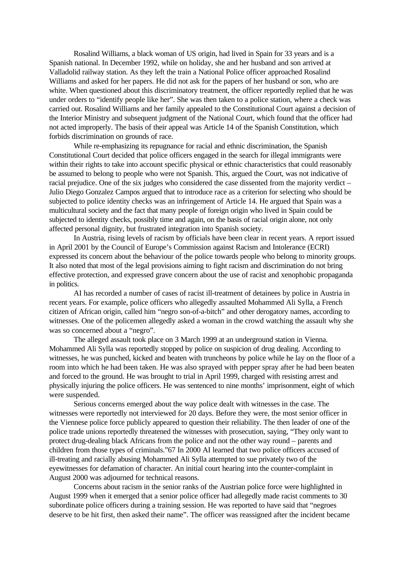Rosalind Williams, a black woman of US origin, had lived in Spain for 33 years and is a Spanish national. In December 1992, while on holiday, she and her husband and son arrived at Valladolid railway station. As they left the train a National Police officer approached Rosalind Williams and asked for her papers. He did not ask for the papers of her husband or son, who are white. When questioned about this discriminatory treatment, the officer reportedly replied that he was under orders to "identify people like her". She was then taken to a police station, where a check was carried out. Rosalind Williams and her family appealed to the Constitutional Court against a decision of the Interior Ministry and subsequent judgment of the National Court, which found that the officer had not acted improperly. The basis of their appeal was Article 14 of the Spanish Constitution, which forbids discrimination on grounds of race.

While re-emphasizing its repugnance for racial and ethnic discrimination, the Spanish Constitutional Court decided that police officers engaged in the search for illegal immigrants were within their rights to take into account specific physical or ethnic characteristics that could reasonably be assumed to belong to people who were not Spanish. This, argued the Court, was not indicative of racial prejudice. One of the six judges who considered the case dissented from the majority verdict – Julio Diego Gonzalez Campos argued that to introduce race as a criterion for selecting who should be subjected to police identity checks was an infringement of Article 14. He argued that Spain was a multicultural society and the fact that many people of foreign origin who lived in Spain could be subjected to identity checks, possibly time and again, on the basis of racial origin alone, not only affected personal dignity, but frustrated integration into Spanish society.

In Austria, rising levels of racism by officials have been clear in recent years. A report issued in April 2001 by the Council of Europe's Commission against Racism and Intolerance (ECRI) expressed its concern about the behaviour of the police towards people who belong to minority groups. It also noted that most of the legal provisions aiming to fight racism and discrimination do not bring effective protection, and expressed grave concern about the use of racist and xenophobic propaganda in politics.

AI has recorded a number of cases of racist ill-treatment of detainees by police in Austria in recent years. For example, police officers who allegedly assaulted Mohammed Ali Sylla, a French citizen of African origin, called him "negro son-of-a-bitch" and other derogatory names, according to witnesses. One of the policemen allegedly asked a woman in the crowd watching the assault why she was so concerned about a "negro".

The alleged assault took place on 3 March 1999 at an underground station in Vienna. Mohammed Ali Sylla was reportedly stopped by police on suspicion of drug dealing. According to witnesses, he was punched, kicked and beaten with truncheons by police while he lay on the floor of a room into which he had been taken. He was also sprayed with pepper spray after he had been beaten and forced to the ground. He was brought to trial in April 1999, charged with resisting arrest and physically injuring the police officers. He was sentenced to nine months' imprisonment, eight of which were suspended.

Serious concerns emerged about the way police dealt with witnesses in the case. The witnesses were reportedly not interviewed for 20 days. Before they were, the most senior officer in the Viennese police force publicly appeared to question their reliability. The then leader of one of the police trade unions reportedly threatened the witnesses with prosecution, saying, "They only want to protect drug-dealing black Africans from the police and not the other way round – parents and children from those types of criminals."67 In 2000 AI learned that two police officers accused of ill-treating and racially abusing Mohammed Ali Sylla attempted to sue privately two of the eyewitnesses for defamation of character. An initial court hearing into the counter-complaint in August 2000 was adjourned for technical reasons.

Concerns about racism in the senior ranks of the Austrian police force were highlighted in August 1999 when it emerged that a senior police officer had allegedly made racist comments to 30 subordinate police officers during a training session. He was reported to have said that "negroes deserve to be hit first, then asked their name". The officer was reassigned after the incident became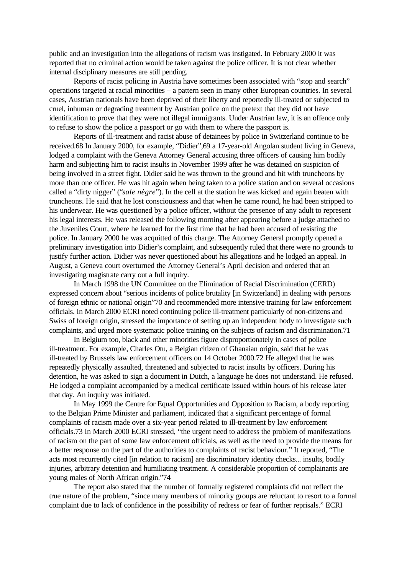public and an investigation into the allegations of racism was instigated. In February 2000 it was reported that no criminal action would be taken against the police officer. It is not clear whether internal disciplinary measures are still pending.

Reports of racist policing in Austria have sometimes been associated with "stop and search" operations targeted at racial minorities – a pattern seen in many other European countries. In several cases, Austrian nationals have been deprived of their liberty and reportedly ill-treated or subjected to cruel, inhuman or degrading treatment by Austrian police on the pretext that they did not have identification to prove that they were not illegal immigrants. Under Austrian law, it is an offence only to refuse to show the police a passport or go with them to where the passport is.

Reports of ill-treatment and racist abuse of detainees by police in Switzerland continue to be received.68 In January 2000, for example, "Didier",69 a 17-year-old Angolan student living in Geneva, lodged a complaint with the Geneva Attorney General accusing three officers of causing him bodily harm and subjecting him to racist insults in November 1999 after he was detained on suspicion of being involved in a street fight. Didier said he was thrown to the ground and hit with truncheons by more than one officer. He was hit again when being taken to a police station and on several occasions called a "dirty nigger" ("*sale nègre*"). In the cell at the station he was kicked and again beaten with truncheons. He said that he lost consciousness and that when he came round, he had been stripped to his underwear. He was questioned by a police officer, without the presence of any adult to represent his legal interests. He was released the following morning after appearing before a judge attached to the Juveniles Court, where he learned for the first time that he had been accused of resisting the police. In January 2000 he was acquitted of this charge. The Attorney General promptly opened a preliminary investigation into Didier's complaint, and subsequently ruled that there were no grounds to justify further action. Didier was never questioned about his allegations and he lodged an appeal. In August, a Geneva court overturned the Attorney General's April decision and ordered that an investigating magistrate carry out a full inquiry.

In March 1998 the UN Committee on the Elimination of Racial Discrimination (CERD) expressed concern about "serious incidents of police brutality [in Switzerland] in dealing with persons of foreign ethnic or national origin"70 and recommended more intensive training for law enforcement officials. In March 2000 ECRI noted continuing police ill-treatment particularly of non-citizens and Swiss of foreign origin, stressed the importance of setting up an independent body to investigate such complaints, and urged more systematic police training on the subjects of racism and discrimination.71

In Belgium too, black and other minorities figure disproportionately in cases of police ill-treatment. For example, Charles Otu, a Belgian citizen of Ghanaian origin, said that he was ill-treated by Brussels law enforcement officers on 14 October 2000.72 He alleged that he was repeatedly physically assaulted, threatened and subjected to racist insults by officers. During his detention, he was asked to sign a document in Dutch, a language he does not understand. He refused. He lodged a complaint accompanied by a medical certificate issued within hours of his release later that day. An inquiry was initiated.

In May 1999 the Centre for Equal Opportunities and Opposition to Racism, a body reporting to the Belgian Prime Minister and parliament, indicated that a significant percentage of formal complaints of racism made over a six-year period related to ill-treatment by law enforcement officials.73 In March 2000 ECRI stressed, "the urgent need to address the problem of manifestations of racism on the part of some law enforcement officials, as well as the need to provide the means for a better response on the part of the authorities to complaints of racist behaviour." It reported, "The acts most recurrently cited [in relation to racism] are discriminatory identity checks... insults, bodily injuries, arbitrary detention and humiliating treatment. A considerable proportion of complainants are young males of North African origin."74

The report also stated that the number of formally registered complaints did not reflect the true nature of the problem, "since many members of minority groups are reluctant to resort to a formal complaint due to lack of confidence in the possibility of redress or fear of further reprisals." ECRI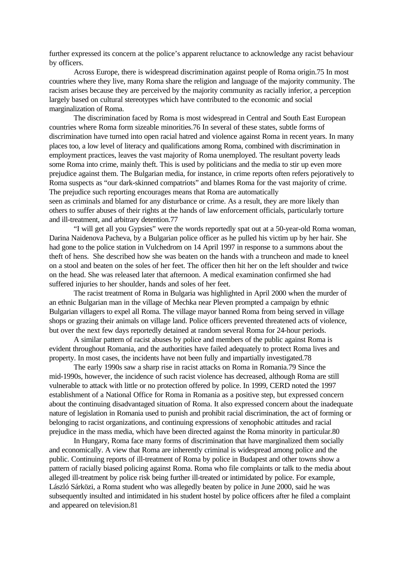further expressed its concern at the police's apparent reluctance to acknowledge any racist behaviour by officers.

Across Europe, there is widespread discrimination against people of Roma origin.75 In most countries where they live, many Roma share the religion and language of the majority community. The racism arises because they are perceived by the majority community as racially inferior, a perception largely based on cultural stereotypes which have contributed to the economic and social marginalization of Roma.

The discrimination faced by Roma is most widespread in Central and South East European countries where Roma form sizeable minorities.76 In several of these states, subtle forms of discrimination have turned into open racial hatred and violence against Roma in recent years. In many places too, a low level of literacy and qualifications among Roma, combined with discrimination in employment practices, leaves the vast majority of Roma unemployed. The resultant poverty leads some Roma into crime, mainly theft. This is used by politicians and the media to stir up even more prejudice against them. The Bulgarian media, for instance, in crime reports often refers pejoratively to Roma suspects as "our dark-skinned compatriots" and blames Roma for the vast majority of crime. The prejudice such reporting encourages means that Roma are automatically seen as criminals and blamed for any disturbance or crime. As a result, they are more likely than

others to suffer abuses of their rights at the hands of law enforcement officials, particularly torture and ill-treatment, and arbitrary detention.77

"I will get all you Gypsies" were the words reportedly spat out at a 50-year-old Roma woman, Darina Naidenova Pacheva, by a Bulgarian police officer as he pulled his victim up by her hair. She had gone to the police station in Vulchedrom on 14 April 1997 in response to a summons about the theft of hens. She described how she was beaten on the hands with a truncheon and made to kneel on a stool and beaten on the soles of her feet. The officer then hit her on the left shoulder and twice on the head. She was released later that afternoon. A medical examination confirmed she had suffered injuries to her shoulder, hands and soles of her feet.

The racist treatment of Roma in Bulgaria was highlighted in April 2000 when the murder of an ethnic Bulgarian man in the village of Mechka near Pleven prompted a campaign by ethnic Bulgarian villagers to expel all Roma. The village mayor banned Roma from being served in village shops or grazing their animals on village land. Police officers prevented threatened acts of violence, but over the next few days reportedly detained at random several Roma for 24-hour periods.

A similar pattern of racist abuses by police and members of the public against Roma is evident throughout Romania, and the authorities have failed adequately to protect Roma lives and property. In most cases, the incidents have not been fully and impartially investigated.78

The early 1990s saw a sharp rise in racist attacks on Roma in Romania.79 Since the mid-1990s, however, the incidence of such racist violence has decreased, although Roma are still vulnerable to attack with little or no protection offered by police. In 1999, CERD noted the 1997 establishment of a National Office for Roma in Romania as a positive step, but expressed concern about the continuing disadvantaged situation of Roma. It also expressed concern about the inadequate nature of legislation in Romania used to punish and prohibit racial discrimination, the act of forming or belonging to racist organizations, and continuing expressions of xenophobic attitudes and racial prejudice in the mass media, which have been directed against the Roma minority in particular.80

In Hungary, Roma face many forms of discrimination that have marginalized them socially and economically. A view that Roma are inherently criminal is widespread among police and the public. Continuing reports of ill-treatment of Roma by police in Budapest and other towns show a pattern of racially biased policing against Roma. Roma who file complaints or talk to the media about alleged ill-treatment by police risk being further ill-treated or intimidated by police. For example, László Sárközi, a Roma student who was allegedly beaten by police in June 2000, said he was subsequently insulted and intimidated in his student hostel by police officers after he filed a complaint and appeared on television.81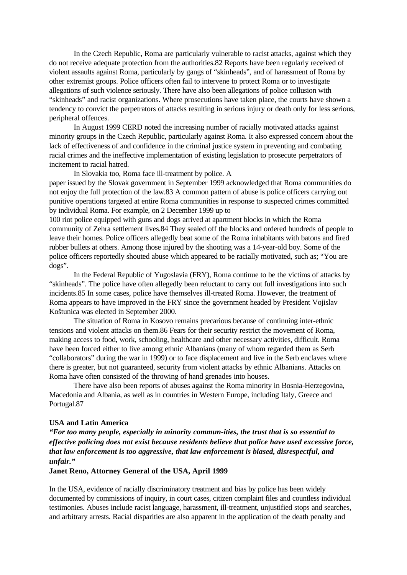In the Czech Republic, Roma are particularly vulnerable to racist attacks, against which they do not receive adequate protection from the authorities.82 Reports have been regularly received of violent assaults against Roma, particularly by gangs of "skinheads", and of harassment of Roma by other extremist groups. Police officers often fail to intervene to protect Roma or to investigate allegations of such violence seriously. There have also been allegations of police collusion with "skinheads" and racist organizations. Where prosecutions have taken place, the courts have shown a tendency to convict the perpetrators of attacks resulting in serious injury or death only for less serious, peripheral offences.

In August 1999 CERD noted the increasing number of racially motivated attacks against minority groups in the Czech Republic, particularly against Roma. It also expressed concern about the lack of effectiveness of and confidence in the criminal justice system in preventing and combating racial crimes and the ineffective implementation of existing legislation to prosecute perpetrators of incitement to racial hatred.

In Slovakia too, Roma face ill-treatment by police. A

paper issued by the Slovak government in September 1999 acknowledged that Roma communities do not enjoy the full protection of the law.83 A common pattern of abuse is police officers carrying out punitive operations targeted at entire Roma communities in response to suspected crimes committed by individual Roma. For example, on 2 December 1999 up to

100 riot police equipped with guns and dogs arrived at apartment blocks in which the Roma community of Zehra settlement lives.84 They sealed off the blocks and ordered hundreds of people to leave their homes. Police officers allegedly beat some of the Roma inhabitants with batons and fired rubber bullets at others. Among those injured by the shooting was a 14-year-old boy. Some of the police officers reportedly shouted abuse which appeared to be racially motivated, such as; "You are dogs".

In the Federal Republic of Yugoslavia (FRY), Roma continue to be the victims of attacks by "skinheads". The police have often allegedly been reluctant to carry out full investigations into such incidents.85 In some cases, police have themselves ill-treated Roma. However, the treatment of Roma appears to have improved in the FRY since the government headed by President Vojislav Koštunica was elected in September 2000.

The situation of Roma in Kosovo remains precarious because of continuing inter-ethnic tensions and violent attacks on them.86 Fears for their security restrict the movement of Roma, making access to food, work, schooling, healthcare and other necessary activities, difficult. Roma have been forced either to live among ethnic Albanians (many of whom regarded them as Serb "collaborators" during the war in 1999) or to face displacement and live in the Serb enclaves where there is greater, but not guaranteed, security from violent attacks by ethnic Albanians. Attacks on Roma have often consisted of the throwing of hand grenades into houses.

There have also been reports of abuses against the Roma minority in Bosnia-Herzegovina, Macedonia and Albania, as well as in countries in Western Europe, including Italy, Greece and Portugal.87

#### **USA and Latin America**

*"For too many people, especially in minority commun-ities, the trust that is so essential to effective policing does not exist because residents believe that police have used excessive force, that law enforcement is too aggressive, that law enforcement is biased, disrespectful, and unfair."*

### **Janet Reno, Attorney General of the USA, April 1999**

In the USA, evidence of racially discriminatory treatment and bias by police has been widely documented by commissions of inquiry, in court cases, citizen complaint files and countless individual testimonies. Abuses include racist language, harassment, ill-treatment, unjustified stops and searches, and arbitrary arrests. Racial disparities are also apparent in the application of the death penalty and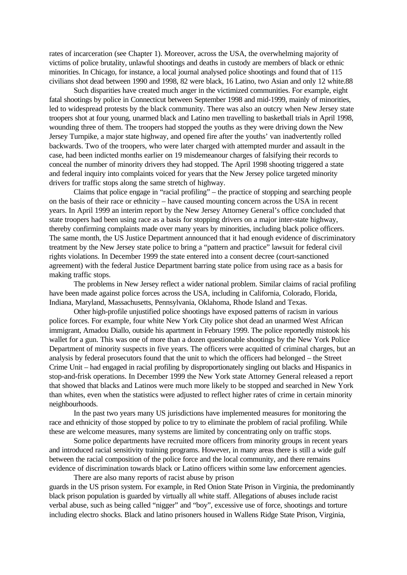rates of incarceration (see Chapter 1). Moreover, across the USA, the overwhelming majority of victims of police brutality, unlawful shootings and deaths in custody are members of black or ethnic minorities. In Chicago, for instance, a local journal analysed police shootings and found that of 115 civilians shot dead between 1990 and 1998, 82 were black, 16 Latino, two Asian and only 12 white.88

Such disparities have created much anger in the victimized communities. For example, eight fatal shootings by police in Connecticut between September 1998 and mid-1999, mainly of minorities, led to widespread protests by the black community. There was also an outcry when New Jersey state troopers shot at four young, unarmed black and Latino men travelling to basketball trials in April 1998, wounding three of them. The troopers had stopped the youths as they were driving down the New Jersey Turnpike, a major state highway, and opened fire after the youths' van inadvertently rolled backwards. Two of the troopers, who were later charged with attempted murder and assault in the case, had been indicted months earlier on 19 misdemeanour charges of falsifying their records to conceal the number of minority drivers they had stopped. The April 1998 shooting triggered a state and federal inquiry into complaints voiced for years that the New Jersey police targeted minority drivers for traffic stops along the same stretch of highway.

Claims that police engage in "racial profiling" – the practice of stopping and searching people on the basis of their race or ethnicity – have caused mounting concern across the USA in recent years. In April 1999 an interim report by the New Jersey Attorney General's office concluded that state troopers had been using race as a basis for stopping drivers on a major inter-state highway, thereby confirming complaints made over many years by minorities, including black police officers. The same month, the US Justice Department announced that it had enough evidence of discriminatory treatment by the New Jersey state police to bring a "pattern and practice" lawsuit for federal civil rights violations. In December 1999 the state entered into a consent decree (court-sanctioned agreement) with the federal Justice Department barring state police from using race as a basis for making traffic stops.

The problems in New Jersey reflect a wider national problem. Similar claims of racial profiling have been made against police forces across the USA, including in California, Colorado, Florida, Indiana, Maryland, Massachusetts, Pennsylvania, Oklahoma, Rhode Island and Texas.

Other high-profile unjustified police shootings have exposed patterns of racism in various police forces. For example, four white New York City police shot dead an unarmed West African immigrant, Amadou Diallo, outside his apartment in February 1999. The police reportedly mistook his wallet for a gun. This was one of more than a dozen questionable shootings by the New York Police Department of minority suspects in five years. The officers were acquitted of criminal charges, but an analysis by federal prosecutors found that the unit to which the officers had belonged – the Street Crime Unit – had engaged in racial profiling by disproportionately singling out blacks and Hispanics in stop-and-frisk operations. In December 1999 the New York state Attorney General released a report that showed that blacks and Latinos were much more likely to be stopped and searched in New York than whites, even when the statistics were adjusted to reflect higher rates of crime in certain minority neighbourhoods.

In the past two years many US jurisdictions have implemented measures for monitoring the race and ethnicity of those stopped by police to try to eliminate the problem of racial profiling. While these are welcome measures, many systems are limited by concentrating only on traffic stops.

Some police departments have recruited more officers from minority groups in recent years and introduced racial sensitivity training programs. However, in many areas there is still a wide gulf between the racial composition of the police force and the local community, and there remains evidence of discrimination towards black or Latino officers within some law enforcement agencies.

There are also many reports of racist abuse by prison guards in the US prison system. For example, in Red Onion State Prison in Virginia, the predominantly black prison population is guarded by virtually all white staff. Allegations of abuses include racist verbal abuse, such as being called "nigger" and "boy", excessive use of force, shootings and torture including electro shocks. Black and latino prisoners housed in Wallens Ridge State Prison, Virginia,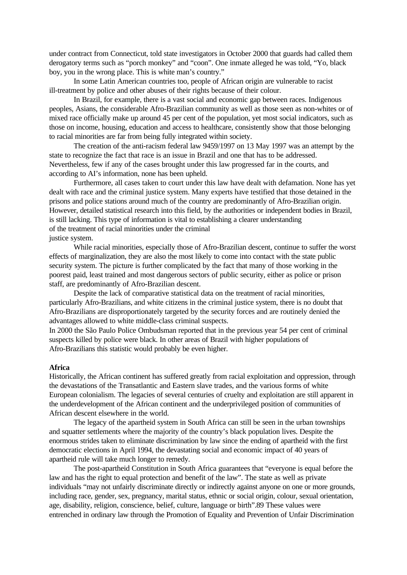under contract from Connecticut, told state investigators in October 2000 that guards had called them derogatory terms such as "porch monkey" and "coon". One inmate alleged he was told, "Yo, black boy, you in the wrong place. This is white man's country."

In some Latin American countries too, people of African origin are vulnerable to racist ill-treatment by police and other abuses of their rights because of their colour.

In Brazil, for example, there is a vast social and economic gap between races. Indigenous peoples, Asians, the considerable Afro-Brazilian community as well as those seen as non-whites or of mixed race officially make up around 45 per cent of the population, yet most social indicators, such as those on income, housing, education and access to healthcare, consistently show that those belonging to racial minorities are far from being fully integrated within society.

The creation of the anti-racism federal law 9459/1997 on 13 May 1997 was an attempt by the state to recognize the fact that race is an issue in Brazil and one that has to be addressed. Nevertheless, few if any of the cases brought under this law progressed far in the courts, and according to AI's information, none has been upheld.

Furthermore, all cases taken to court under this law have dealt with defamation. None has yet dealt with race and the criminal justice system. Many experts have testified that those detained in the prisons and police stations around much of the country are predominantly of Afro-Brazilian origin. However, detailed statistical research into this field, by the authorities or independent bodies in Brazil, is still lacking. This type of information is vital to establishing a clearer understanding of the treatment of racial minorities under the criminal justice system.

While racial minorities, especially those of Afro-Brazilian descent, continue to suffer the worst effects of marginalization, they are also the most likely to come into contact with the state public security system. The picture is further complicated by the fact that many of those working in the poorest paid, least trained and most dangerous sectors of public security, either as police or prison staff, are predominantly of Afro-Brazilian descent.

Despite the lack of comparative statistical data on the treatment of racial minorities, particularly Afro-Brazilians, and white citizens in the criminal justice system, there is no doubt that Afro-Brazilians are disproportionately targeted by the security forces and are routinely denied the advantages allowed to white middle-class criminal suspects.

In 2000 the São Paulo Police Ombudsman reported that in the previous year 54 per cent of criminal suspects killed by police were black. In other areas of Brazil with higher populations of Afro-Brazilians this statistic would probably be even higher.

#### **Africa**

Historically, the African continent has suffered greatly from racial exploitation and oppression, through the devastations of the Transatlantic and Eastern slave trades, and the various forms of white European colonialism. The legacies of several centuries of cruelty and exploitation are still apparent in the underdevelopment of the African continent and the underprivileged position of communities of African descent elsewhere in the world.

The legacy of the apartheid system in South Africa can still be seen in the urban townships and squatter settlements where the majority of the country's black population lives. Despite the enormous strides taken to eliminate discrimination by law since the ending of apartheid with the first democratic elections in April 1994, the devastating social and economic impact of 40 years of apartheid rule will take much longer to remedy.

The post-apartheid Constitution in South Africa guarantees that "everyone is equal before the law and has the right to equal protection and benefit of the law". The state as well as private individuals "may not unfairly discriminate directly or indirectly against anyone on one or more grounds, including race, gender, sex, pregnancy, marital status, ethnic or social origin, colour, sexual orientation, age, disability, religion, conscience, belief, culture, language or birth".89 These values were entrenched in ordinary law through the Promotion of Equality and Prevention of Unfair Discrimination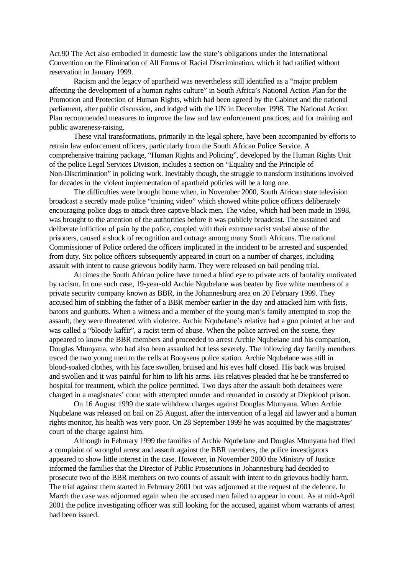Act.90 The Act also embodied in domestic law the state's obligations under the International Convention on the Elimination of All Forms of Racial Discrimination, which it had ratified without reservation in January 1999.

Racism and the legacy of apartheid was nevertheless still identified as a "major problem affecting the development of a human rights culture" in South Africa's National Action Plan for the Promotion and Protection of Human Rights, which had been agreed by the Cabinet and the national parliament, after public discussion, and lodged with the UN in December 1998. The National Action Plan recommended measures to improve the law and law enforcement practices, and for training and public awareness-raising.

These vital transformations, primarily in the legal sphere, have been accompanied by efforts to retrain law enforcement officers, particularly from the South African Police Service. A comprehensive training package, "Human Rights and Policing", developed by the Human Rights Unit of the police Legal Services Division, includes a section on "Equality and the Principle of Non-Discrimination" in policing work. Inevitably though, the struggle to transform institutions involved for decades in the violent implementation of apartheid policies will be a long one.

The difficulties were brought home when, in November 2000, South African state television broadcast a secretly made police "training video" which showed white police officers deliberately encouraging police dogs to attack three captive black men. The video, which had been made in 1998, was brought to the attention of the authorities before it was publicly broadcast. The sustained and deliberate infliction of pain by the police, coupled with their extreme racist verbal abuse of the prisoners, caused a shock of recognition and outrage among many South Africans. The national Commissioner of Police ordered the officers implicated in the incident to be arrested and suspended from duty. Six police officers subsequently appeared in court on a number of charges, including assault with intent to cause grievous bodily harm. They were released on bail pending trial.

At times the South African police have turned a blind eye to private acts of brutality motivated by racism. In one such case, 19-year-old Archie Nqubelane was beaten by five white members of a private security company known as BBR, in the Johannesburg area on 20 February 1999. They accused him of stabbing the father of a BBR member earlier in the day and attacked him with fists, batons and gunbutts. When a witness and a member of the young man's family attempted to stop the assault, they were threatened with violence. Archie Nqubelane's relative had a gun pointed at her and was called a "bloody kaffir", a racist term of abuse. When the police arrived on the scene, they appeared to know the BBR members and proceeded to arrest Archie Nqubelane and his companion, Douglas Mtunyana, who had also been assaulted but less severely. The following day family members traced the two young men to the cells at Booysens police station. Archie Nqubelane was still in blood-soaked clothes, with his face swollen, bruised and his eyes half closed. His back was bruised and swollen and it was painful for him to lift his arms. His relatives pleaded that he be transferred to hospital for treatment, which the police permitted. Two days after the assault both detainees were charged in a magistrates' court with attempted murder and remanded in custody at Diepkloof prison.

On 16 August 1999 the state withdrew charges against Douglas Mtunyana. When Archie Nqubelane was released on bail on 25 August, after the intervention of a legal aid lawyer and a human rights monitor, his health was very poor. On 28 September 1999 he was acquitted by the magistrates' court of the charge against him.

Although in February 1999 the families of Archie Nqubelane and Douglas Mtunyana had filed a complaint of wrongful arrest and assault against the BBR members, the police investigators appeared to show little interest in the case. However, in November 2000 the Ministry of Justice informed the families that the Director of Public Prosecutions in Johannesburg had decided to prosecute two of the BBR members on two counts of assault with intent to do grievous bodily harm. The trial against them started in February 2001 but was adjourned at the request of the defence. In March the case was adjourned again when the accused men failed to appear in court. As at mid-April 2001 the police investigating officer was still looking for the accused, against whom warrants of arrest had been issued.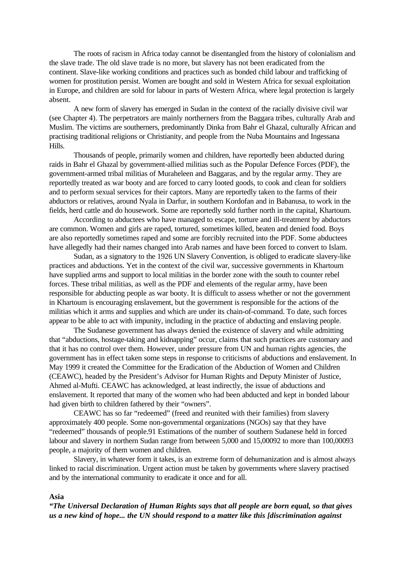The roots of racism in Africa today cannot be disentangled from the history of colonialism and the slave trade. The old slave trade is no more, but slavery has not been eradicated from the continent. Slave-like working conditions and practices such as bonded child labour and trafficking of women for prostitution persist. Women are bought and sold in Western Africa for sexual exploitation in Europe, and children are sold for labour in parts of Western Africa, where legal protection is largely absent.

A new form of slavery has emerged in Sudan in the context of the racially divisive civil war (see Chapter 4). The perpetrators are mainly northerners from the Baggara tribes, culturally Arab and Muslim. The victims are southerners, predominantly Dinka from Bahr el Ghazal, culturally African and practising traditional religions or Christianity, and people from the Nuba Mountains and Ingessana Hills.

Thousands of people, primarily women and children, have reportedly been abducted during raids in Bahr el Ghazal by government-allied militias such as the Popular Defence Forces (PDF), the government-armed tribal militias of Muraheleen and Baggaras, and by the regular army. They are reportedly treated as war booty and are forced to carry looted goods, to cook and clean for soldiers and to perform sexual services for their captors. Many are reportedly taken to the farms of their abductors or relatives, around Nyala in Darfur, in southern Kordofan and in Babanusa, to work in the fields, herd cattle and do housework. Some are reportedly sold further north in the capital, Khartoum.

According to abductees who have managed to escape, torture and ill-treatment by abductors are common. Women and girls are raped, tortured, sometimes killed, beaten and denied food. Boys are also reportedly sometimes raped and some are forcibly recruited into the PDF. Some abductees have allegedly had their names changed into Arab names and have been forced to convert to Islam.

Sudan, as a signatory to the 1926 UN Slavery Convention, is obliged to eradicate slavery-like practices and abductions. Yet in the context of the civil war, successive governments in Khartoum have supplied arms and support to local militias in the border zone with the south to counter rebel forces. These tribal militias, as well as the PDF and elements of the regular army, have been responsible for abducting people as war booty. It is difficult to assess whether or not the government in Khartoum is encouraging enslavement, but the government is responsible for the actions of the militias which it arms and supplies and which are under its chain-of-command. To date, such forces appear to be able to act with impunity, including in the practice of abducting and enslaving people.

The Sudanese government has always denied the existence of slavery and while admitting that "abductions, hostage-taking and kidnapping" occur, claims that such practices are customary and that it has no control over them. However, under pressure from UN and human rights agencies, the government has in effect taken some steps in response to criticisms of abductions and enslavement. In May 1999 it created the Committee for the Eradication of the Abduction of Women and Children (CEAWC), headed by the President's Advisor for Human Rights and Deputy Minister of Justice, Ahmed al-Mufti. CEAWC has acknowledged, at least indirectly, the issue of abductions and enslavement. It reported that many of the women who had been abducted and kept in bonded labour had given birth to children fathered by their "owners".

CEAWC has so far "redeemed" (freed and reunited with their families) from slavery approximately 400 people. Some non-governmental organizations (NGOs) say that they have "redeemed" thousands of people.91 Estimations of the number of southern Sudanese held in forced labour and slavery in northern Sudan range from between 5,000 and 15,00092 to more than 100,00093 people, a majority of them women and children.

Slavery, in whatever form it takes, is an extreme form of dehumanization and is almost always linked to racial discrimination. Urgent action must be taken by governments where slavery practised and by the international community to eradicate it once and for all.

## **Asia**

*"The Universal Declaration of Human Rights says that all people are born equal, so that gives us a new kind of hope... the UN should respond to a matter like this [discrimination against*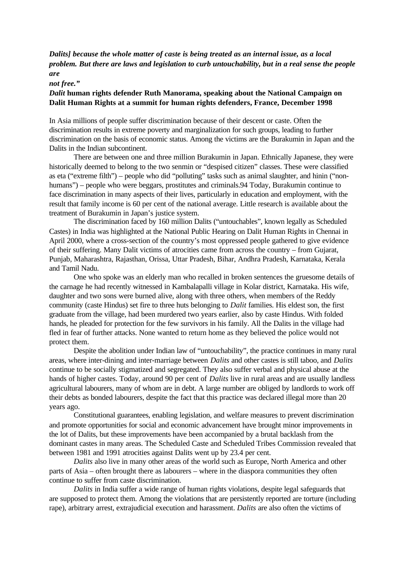*Dalits] because the whole matter of caste is being treated as an internal issue, as a local problem. But there are laws and legislation to curb untouchability, but in a real sense the people are* 

*not free."*

## *Dalit* **human rights defender Ruth Manorama, speaking about the National Campaign on Dalit Human Rights at a summit for human rights defenders, France, December 1998**

In Asia millions of people suffer discrimination because of their descent or caste. Often the discrimination results in extreme poverty and marginalization for such groups, leading to further discrimination on the basis of economic status. Among the victims are the Burakumin in Japan and the Dalits in the Indian subcontinent.

There are between one and three million Burakumin in Japan. Ethnically Japanese, they were historically deemed to belong to the two senmin or "despised citizen" classes. These were classified as eta ("extreme filth") – people who did "polluting" tasks such as animal slaughter, and hinin ("nonhumans") – people who were beggars, prostitutes and criminals. 94 Today, Burakumin continue to face discrimination in many aspects of their lives, particularly in education and employment, with the result that family income is 60 per cent of the national average. Little research is available about the treatment of Burakumin in Japan's justice system.

The discrimination faced by 160 million Dalits ("untouchables", known legally as Scheduled Castes) in India was highlighted at the National Public Hearing on Dalit Human Rights in Chennai in April 2000, where a cross-section of the country's most oppressed people gathered to give evidence of their suffering. Many Dalit victims of atrocities came from across the country – from Gujarat, Punjab, Maharashtra, Rajasthan, Orissa, Uttar Pradesh, Bihar, Andhra Pradesh, Karnataka, Kerala and Tamil Nadu.

One who spoke was an elderly man who recalled in broken sentences the gruesome details of the carnage he had recently witnessed in Kambalapalli village in Kolar district, Karnataka. His wife, daughter and two sons were burned alive, along with three others, when members of the Reddy community (caste Hindus) set fire to three huts belonging to *Dalit* families. His eldest son, the first graduate from the village, had been murdered two years earlier, also by caste Hindus. With folded hands, he pleaded for protection for the few survivors in his family. All the Dalits in the village had fled in fear of further attacks. None wanted to return home as they believed the police would not protect them.

Despite the abolition under Indian law of "untouchability", the practice continues in many rural areas, where inter-dining and inter-marriage between *Dalits* and other castes is still taboo, and *Dalits* continue to be socially stigmatized and segregated. They also suffer verbal and physical abuse at the hands of higher castes. Today, around 90 per cent of *Dalits* live in rural areas and are usually landless agricultural labourers, many of whom are in debt. A large number are obliged by landlords to work off their debts as bonded labourers, despite the fact that this practice was declared illegal more than 20 years ago.

Constitutional guarantees, enabling legislation, and welfare measures to prevent discrimination and promote opportunities for social and economic advancement have brought minor improvements in the lot of Dalits, but these improvements have been accompanied by a brutal backlash from the dominant castes in many areas. The Scheduled Caste and Scheduled Tribes Commission revealed that between 1981 and 1991 atrocities against Dalits went up by 23.4 per cent.

*Dalits* also live in many other areas of the world such as Europe, North America and other parts of Asia – often brought there as labourers – where in the diaspora communities they often continue to suffer from caste discrimination.

*Dalits* in India suffer a wide range of human rights violations, despite legal safeguards that are supposed to protect them. Among the violations that are persistently reported are torture (including rape), arbitrary arrest, extrajudicial execution and harassment. *Dalits* are also often the victims of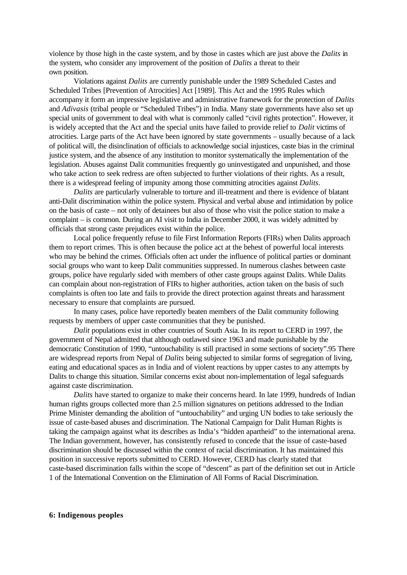violence by those high in the caste system, and by those in castes which are just above the *Dalits* in the system, who consider any improvement of the position of *Dalits* a threat to their own position.

Violations against *Dalits* are currently punishable under the 1989 Scheduled Castes and Scheduled Tribes [Prevention of Atrocities] Act [1989]. This Act and the 1995 Rules which accompany it form an impressive legislative and administrative framework for the protection of *Dalits* and *Adivasis* (tribal people or "Scheduled Tribes") in India. Many state governments have also set up special units of government to deal with what is commonly called "civil rights protection". However, it is widely accepted that the Act and the special units have failed to provide relief to *Dalit* victims of atrocities. Large parts of the Act have been ignored by state governments – usually because of a lack of political will, the disinclination of officials to acknowledge social injustices, caste bias in the criminal justice system, and the absence of any institution to monitor systematically the implementation of the legislation. Abuses against Dalit communities frequently go uninvestigated and unpunished, and those who take action to seek redress are often subjected to further violations of their rights. As a result, there is a widespread feeling of impunity among those committing atrocities against *Dalits*.

*Dalits* are particularly vulnerable to torture and ill-treatment and there is evidence of blatant anti-Dalit discrimination within the police system. Physical and verbal abuse and intimidation by police on the basis of caste – not only of detainees but also of those who visit the police station to make a complaint – is common. During an AI visit to India in December 2000, it was widely admitted by officials that strong caste prejudices exist within the police.

Local police frequently refuse to file First Information Reports (FIRs) when Dalits approach them to report crimes. This is often because the police act at the behest of powerful local interests who may be behind the crimes. Officials often act under the influence of political parties or dominant social groups who want to keep Dalit communities suppressed. In numerous clashes between caste groups, police have regularly sided with members of other caste groups against Dalits. While Dalits can complain about non-registration of FIRs to higher authorities, action taken on the basis of such complaints is often too late and fails to provide the direct protection against threats and harassment necessary to ensure that complaints are pursued.

In many cases, police have reportedly beaten members of the Dalit community following requests by members of upper caste communities that they be punished.

*Dalit* populations exist in other countries of South Asia. In its report to CERD in 1997, the government of Nepal admitted that although outlawed since 1963 and made punishable by the democratic Constitution of 1990, "untouchability is still practised in some sections of society".95 There are widespread reports from Nepal of *Dalits* being subjected to similar forms of segregation of living, eating and educational spaces as in India and of violent reactions by upper castes to any attempts by Dalits to change this situation. Similar concerns exist about non-implementation of legal safeguards against caste discrimination.

*Dalits* have started to organize to make their concerns heard. In late 1999, hundreds of Indian human rights groups collected more than 2.5 million signatures on petitions addressed to the Indian Prime Minister demanding the abolition of "untouchability" and urging UN bodies to take seriously the issue of caste-based abuses and discrimination. The National Campaign for Dalit Human Rights is taking the campaign against what its describes as India's "hidden apartheid" to the international arena. The Indian government, however, has consistently refused to concede that the issue of caste-based discrimination should be discussed within the context of racial discrimination. It has maintained this position in successive reports submitted to CERD. However, CERD has clearly stated that caste-based discrimination falls within the scope of "descent" as part of the definition set out in Article 1 of the International Convention on the Elimination of All Forms of Racial Discrimination.

#### **6: Indigenous peoples**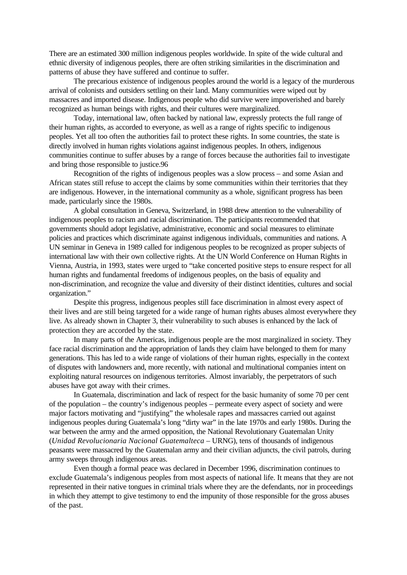There are an estimated 300 million indigenous peoples worldwide. In spite of the wide cultural and ethnic diversity of indigenous peoples, there are often striking similarities in the discrimination and patterns of abuse they have suffered and continue to suffer.

The precarious existence of indigenous peoples around the world is a legacy of the murderous arrival of colonists and outsiders settling on their land. Many communities were wiped out by massacres and imported disease. Indigenous people who did survive were impoverished and barely recognized as human beings with rights, and their cultures were marginalized.

Today, international law, often backed by national law, expressly protects the full range of their human rights, as accorded to everyone, as well as a range of rights specific to indigenous peoples. Yet all too often the authorities fail to protect these rights. In some countries, the state is directly involved in human rights violations against indigenous peoples. In others, indigenous communities continue to suffer abuses by a range of forces because the authorities fail to investigate and bring those responsible to justice.96

Recognition of the rights of indigenous peoples was a slow process – and some Asian and African states still refuse to accept the claims by some communities within their territories that they are indigenous. However, in the international community as a whole, significant progress has been made, particularly since the 1980s.

A global consultation in Geneva, Switzerland, in 1988 drew attention to the vulnerability of indigenous peoples to racism and racial discrimination. The participants recommended that governments should adopt legislative, administrative, economic and social measures to eliminate policies and practices which discriminate against indigenous individuals, communities and nations. A UN seminar in Geneva in 1989 called for indigenous peoples to be recognized as proper subjects of international law with their own collective rights. At the UN World Conference on Human Rights in Vienna, Austria, in 1993, states were urged to "take concerted positive steps to ensure respect for all human rights and fundamental freedoms of indigenous peoples, on the basis of equality and non-discrimination, and recognize the value and diversity of their distinct identities, cultures and social organization."

Despite this progress, indigenous peoples still face discrimination in almost every aspect of their lives and are still being targeted for a wide range of human rights abuses almost everywhere they live. As already shown in Chapter 3, their vulnerability to such abuses is enhanced by the lack of protection they are accorded by the state.

In many parts of the Americas, indigenous people are the most marginalized in society. They face racial discrimination and the appropriation of lands they claim have belonged to them for many generations. This has led to a wide range of violations of their human rights, especially in the context of disputes with landowners and, more recently, with national and multinational companies intent on exploiting natural resources on indigenous territories. Almost invariably, the perpetrators of such abuses have got away with their crimes.

In Guatemala, discrimination and lack of respect for the basic humanity of some 70 per cent of the population – the country's indigenous peoples – permeate every aspect of society and were major factors motivating and "justifying" the wholesale rapes and massacres carried out against indigenous peoples during Guatemala's long "dirty war" in the late 1970s and early 1980s. During the war between the army and the armed opposition, the National Revolutionary Guatemalan Unity (*Unidad Revolucionaria Nacional Guatemalteca* – URNG), tens of thousands of indigenous peasants were massacred by the Guatemalan army and their civilian adjuncts, the civil patrols, during army sweeps through indigenous areas.

Even though a formal peace was declared in December 1996, discrimination continues to exclude Guatemala's indigenous peoples from most aspects of national life. It means that they are not represented in their native tongues in criminal trials where they are the defendants, nor in proceedings in which they attempt to give testimony to end the impunity of those responsible for the gross abuses of the past.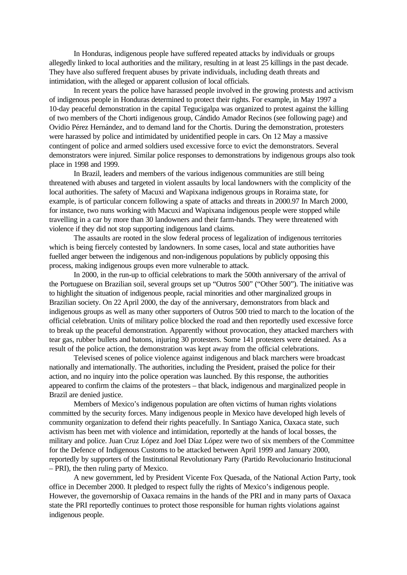In Honduras, indigenous people have suffered repeated attacks by individuals or groups allegedly linked to local authorities and the military, resulting in at least 25 killings in the past decade. They have also suffered frequent abuses by private individuals, including death threats and intimidation, with the alleged or apparent collusion of local officials.

In recent years the police have harassed people involved in the growing protests and activism of indigenous people in Honduras determined to protect their rights. For example, in May 1997 a 10-day peaceful demonstration in the capital Tegucigalpa was organized to protest against the killing of two members of the Chorti indigenous group, Cándido Amador Recinos (see following page) and Ovidio Pérez Hernández, and to demand land for the Chortis. During the demonstration, protesters were harassed by police and intimidated by unidentified people in cars. On 12 May a massive contingent of police and armed soldiers used excessive force to evict the demonstrators. Several demonstrators were injured. Similar police responses to demonstrations by indigenous groups also took place in 1998 and 1999.

In Brazil, leaders and members of the various indigenous communities are still being threatened with abuses and targeted in violent assaults by local landowners with the complicity of the local authorities. The safety of Macuxi and Wapixana indigenous groups in Roraima state, for example, is of particular concern following a spate of attacks and threats in 2000.97 In March 2000, for instance, two nuns working with Macuxi and Wapixana indigenous people were stopped while travelling in a car by more than 30 landowners and their farm-hands. They were threatened with violence if they did not stop supporting indigenous land claims.

The assaults are rooted in the slow federal process of legalization of indigenous territories which is being fiercely contested by landowners. In some cases, local and state authorities have fuelled anger between the indigenous and non-indigenous populations by publicly opposing this process, making indigenous groups even more vulnerable to attack.

In 2000, in the run-up to official celebrations to mark the 500th anniversary of the arrival of the Portuguese on Brazilian soil, several groups set up "Outros 500" ("Other 500"). The initiative was to highlight the situation of indigenous people, racial minorities and other marginalized groups in Brazilian society. On 22 April 2000, the day of the anniversary, demonstrators from black and indigenous groups as well as many other supporters of Outros 500 tried to march to the location of the official celebration. Units of military police blocked the road and then reportedly used excessive force to break up the peaceful demonstration. Apparently without provocation, they attacked marchers with tear gas, rubber bullets and batons, injuring 30 protesters. Some 141 protesters were detained. As a result of the police action, the demonstration was kept away from the official celebrations.

Televised scenes of police violence against indigenous and black marchers were broadcast nationally and internationally. The authorities, including the President, praised the police for their action, and no inquiry into the police operation was launched. By this response, the authorities appeared to confirm the claims of the protesters – that black, indigenous and marginalized people in Brazil are denied justice.

Members of Mexico's indigenous population are often victims of human rights violations committed by the security forces. Many indigenous people in Mexico have developed high levels of community organization to defend their rights peacefully. In Santiago Xanica, Oaxaca state, such activism has been met with violence and intimidation, reportedly at the hands of local bosses, the military and police. Juan Cruz López and Joel Díaz López were two of six members of the Committee for the Defence of Indigenous Customs to be attacked between April 1999 and January 2000, reportedly by supporters of the Institutional Revolutionary Party (Partido Revolucionario Institucional – PRI), the then ruling party of Mexico.

A new government, led by President Vicente Fox Quesada, of the National Action Party, took office in December 2000. It pledged to respect fully the rights of Mexico's indigenous people. However, the governorship of Oaxaca remains in the hands of the PRI and in many parts of Oaxaca state the PRI reportedly continues to protect those responsible for human rights violations against indigenous people.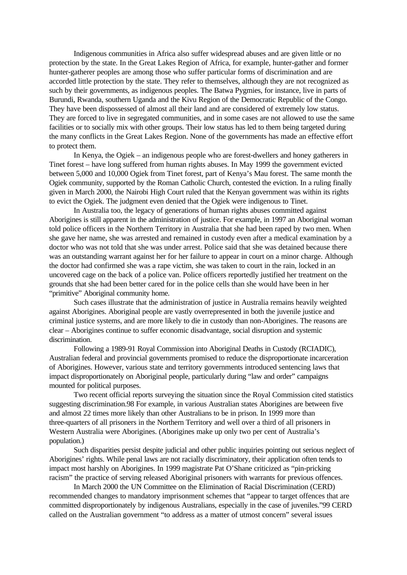Indigenous communities in Africa also suffer widespread abuses and are given little or no protection by the state. In the Great Lakes Region of Africa, for example, hunter-gather and former hunter-gatherer peoples are among those who suffer particular forms of discrimination and are accorded little protection by the state. They refer to themselves, although they are not recognized as such by their governments, as indigenous peoples. The Batwa Pygmies, for instance, live in parts of Burundi, Rwanda, southern Uganda and the Kivu Region of the Democratic Republic of the Congo. They have been dispossessed of almost all their land and are considered of extremely low status. They are forced to live in segregated communities, and in some cases are not allowed to use the same facilities or to socially mix with other groups. Their low status has led to them being targeted during the many conflicts in the Great Lakes Region. None of the governments has made an effective effort to protect them.

In Kenya, the Ogiek – an indigenous people who are forest-dwellers and honey gatherers in Tinet forest – have long suffered from human rights abuses. In May 1999 the government evicted between 5,000 and 10,000 Ogiek from Tinet forest, part of Kenya's Mau forest. The same month the Ogiek community, supported by the Roman Catholic Church, contested the eviction. In a ruling finally given in March 2000, the Nairobi High Court ruled that the Kenyan government was within its rights to evict the Ogiek. The judgment even denied that the Ogiek were indigenous to Tinet.

In Australia too, the legacy of generations of human rights abuses committed against Aborigines is still apparent in the administration of justice. For example, in 1997 an Aboriginal woman told police officers in the Northern Territory in Australia that she had been raped by two men. When she gave her name, she was arrested and remained in custody even after a medical examination by a doctor who was not told that she was under arrest. Police said that she was detained because there was an outstanding warrant against her for her failure to appear in court on a minor charge. Although the doctor had confirmed she was a rape victim, she was taken to court in the rain, locked in an uncovered cage on the back of a police van. Police officers reportedly justified her treatment on the grounds that she had been better cared for in the police cells than she would have been in her "primitive" Aboriginal community home.

Such cases illustrate that the administration of justice in Australia remains heavily weighted against Aborigines. Aboriginal people are vastly overrepresented in both the juvenile justice and criminal justice systems, and are more likely to die in custody than non-Aborigines. The reasons are clear – Aborigines continue to suffer economic disadvantage, social disruption and systemic discrimination.

Following a 1989-91 Royal Commission into Aboriginal Deaths in Custody (RCIADIC), Australian federal and provincial governments promised to reduce the disproportionate incarceration of Aborigines. However, various state and territory governments introduced sentencing laws that impact disproportionately on Aboriginal people, particularly during "law and order" campaigns mounted for political purposes.

Two recent official reports surveying the situation since the Royal Commission cited statistics suggesting discrimination.98 For example, in various Australian states Aborigines are between five and almost 22 times more likely than other Australians to be in prison. In 1999 more than three-quarters of all prisoners in the Northern Territory and well over a third of all prisoners in Western Australia were Aborigines. (Aborigines make up only two per cent of Australia's population.)

Such disparities persist despite judicial and other public inquiries pointing out serious neglect of Aborigines' rights. While penal laws are not racially discriminatory, their application often tends to impact most harshly on Aborigines. In 1999 magistrate Pat O'Shane criticized as "pin-pricking racism" the practice of serving released Aboriginal prisoners with warrants for previous offences.

In March 2000 the UN Committee on the Elimination of Racial Discrimination (CERD) recommended changes to mandatory imprisonment schemes that "appear to target offences that are committed disproportionately by indigenous Australians, especially in the case of juveniles."99 CERD called on the Australian government "to address as a matter of utmost concern" several issues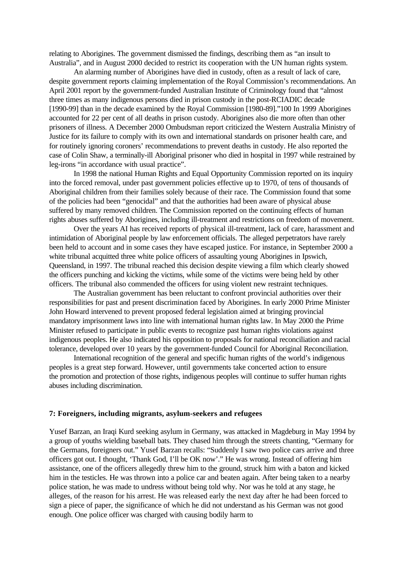relating to Aborigines. The government dismissed the findings, describing them as "an insult to Australia", and in August 2000 decided to restrict its cooperation with the UN human rights system.

An alarming number of Aborigines have died in custody, often as a result of lack of care, despite government reports claiming implementation of the Royal Commission's recommendations. An April 2001 report by the government-funded Australian Institute of Criminology found that "almost three times as many indigenous persons died in prison custody in the post-RCIADIC decade [1990-99] than in the decade examined by the Royal Commission [1980-89]."100 In 1999 Aborigines accounted for 22 per cent of all deaths in prison custody. Aborigines also die more often than other prisoners of illness. A December 2000 Ombudsman report criticized the Western Australia Ministry of Justice for its failure to comply with its own and international standards on prisoner health care, and for routinely ignoring coroners' recommendations to prevent deaths in custody. He also reported the case of Colin Shaw, a terminally-ill Aboriginal prisoner who died in hospital in 1997 while restrained by leg-irons "in accordance with usual practice".

In 1998 the national Human Rights and Equal Opportunity Commission reported on its inquiry into the forced removal, under past government policies effective up to 1970, of tens of thousands of Aboriginal children from their families solely because of their race. The Commission found that some of the policies had been "genocidal" and that the authorities had been aware of physical abuse suffered by many removed children. The Commission reported on the continuing effects of human rights abuses suffered by Aborigines, including ill-treatment and restrictions on freedom of movement.

Over the years AI has received reports of physical ill-treatment, lack of care, harassment and intimidation of Aboriginal people by law enforcement officials. The alleged perpetrators have rarely been held to account and in some cases they have escaped justice. For instance, in September 2000 a white tribunal acquitted three white police officers of assaulting young Aborigines in Ipswich, Queensland, in 1997. The tribunal reached this decision despite viewing a film which clearly showed the officers punching and kicking the victims, while some of the victims were being held by other officers. The tribunal also commended the officers for using violent new restraint techniques.

The Australian government has been reluctant to confront provincial authorities over their responsibilities for past and present discrimination faced by Aborigines. In early 2000 Prime Minister John Howard intervened to prevent proposed federal legislation aimed at bringing provincial mandatory imprisonment laws into line with international human rights law. In May 2000 the Prime Minister refused to participate in public events to recognize past human rights violations against indigenous peoples. He also indicated his opposition to proposals for national reconciliation and racial tolerance, developed over 10 years by the government-funded Council for Aboriginal Reconciliation.

International recognition of the general and specific human rights of the world's indigenous peoples is a great step forward. However, until governments take concerted action to ensure the promotion and protection of those rights, indigenous peoples will continue to suffer human rights abuses including discrimination.

#### **7: Foreigners, including migrants, asylum-seekers and refugees**

Yusef Barzan, an Iraqi Kurd seeking asylum in Germany, was attacked in Magdeburg in May 1994 by a group of youths wielding baseball bats. They chased him through the streets chanting, "Germany for the Germans, foreigners out." Yusef Barzan recalls: "Suddenly I saw two police cars arrive and three officers got out. I thought, 'Thank God, I'll be OK now'." He was wrong. Instead of offering him assistance, one of the officers allegedly threw him to the ground, struck him with a baton and kicked him in the testicles. He was thrown into a police car and beaten again. After being taken to a nearby police station, he was made to undress without being told why. Nor was he told at any stage, he alleges, of the reason for his arrest. He was released early the next day after he had been forced to sign a piece of paper, the significance of which he did not understand as his German was not good enough. One police officer was charged with causing bodily harm to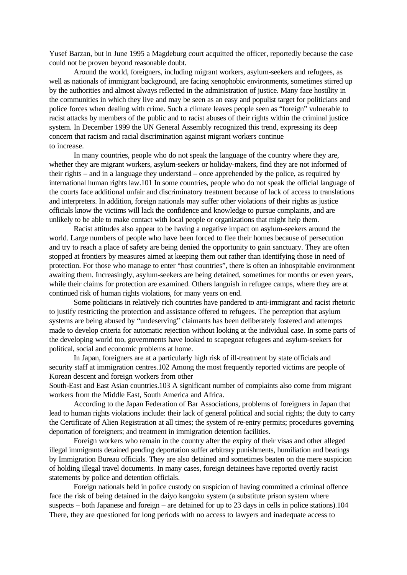Yusef Barzan, but in June 1995 a Magdeburg court acquitted the officer, reportedly because the case could not be proven beyond reasonable doubt.

Around the world, foreigners, including migrant workers, asylum-seekers and refugees, as well as nationals of immigrant background, are facing xenophobic environments, sometimes stirred up by the authorities and almost always reflected in the administration of justice. Many face hostility in the communities in which they live and may be seen as an easy and populist target for politicians and police forces when dealing with crime. Such a climate leaves people seen as "foreign" vulnerable to racist attacks by members of the public and to racist abuses of their rights within the criminal justice system. In December 1999 the UN General Assembly recognized this trend, expressing its deep concern that racism and racial discrimination against migrant workers continue to increase.

In many countries, people who do not speak the language of the country where they are, whether they are migrant workers, asylum-seekers or holiday-makers, find they are not informed of their rights – and in a language they understand – once apprehended by the police, as required by international human rights law.101 In some countries, people who do not speak the official language of the courts face additional unfair and discriminatory treatment because of lack of access to translations and interpreters. In addition, foreign nationals may suffer other violations of their rights as justice officials know the victims will lack the confidence and knowledge to pursue complaints, and are unlikely to be able to make contact with local people or organizations that might help them.

Racist attitudes also appear to be having a negative impact on asylum-seekers around the world. Large numbers of people who have been forced to flee their homes because of persecution and try to reach a place of safety are being denied the opportunity to gain sanctuary. They are often stopped at frontiers by measures aimed at keeping them out rather than identifying those in need of protection. For those who manage to enter "host countries", there is often an inhospitable environment awaiting them. Increasingly, asylum-seekers are being detained, sometimes for months or even years, while their claims for protection are examined. Others languish in refugee camps, where they are at continued risk of human rights violations, for many years on end.

Some politicians in relatively rich countries have pandered to anti-immigrant and racist rhetoric to justify restricting the protection and assistance offered to refugees. The perception that asylum systems are being abused by "undeserving" claimants has been deliberately fostered and attempts made to develop criteria for automatic rejection without looking at the individual case. In some parts of the developing world too, governments have looked to scapegoat refugees and asylum-seekers for political, social and economic problems at home.

In Japan, foreigners are at a particularly high risk of ill-treatment by state officials and security staff at immigration centres.102 Among the most frequently reported victims are people of Korean descent and foreign workers from other

South-East and East Asian countries.103 A significant number of complaints also come from migrant workers from the Middle East, South America and Africa.

According to the Japan Federation of Bar Associations, problems of foreigners in Japan that lead to human rights violations include: their lack of general political and social rights; the duty to carry the Certificate of Alien Registration at all times; the system of re-entry permits; procedures governing deportation of foreigners; and treatment in immigration detention facilities.

Foreign workers who remain in the country after the expiry of their visas and other alleged illegal immigrants detained pending deportation suffer arbitrary punishments, humiliation and beatings by Immigration Bureau officials. They are also detained and sometimes beaten on the mere suspicion of holding illegal travel documents. In many cases, foreign detainees have reported overtly racist statements by police and detention officials.

Foreign nationals held in police custody on suspicion of having committed a criminal offence face the risk of being detained in the daiyo kangoku system (a substitute prison system where suspects – both Japanese and foreign – are detained for up to 23 days in cells in police stations).104 There, they are questioned for long periods with no access to lawyers and inadequate access to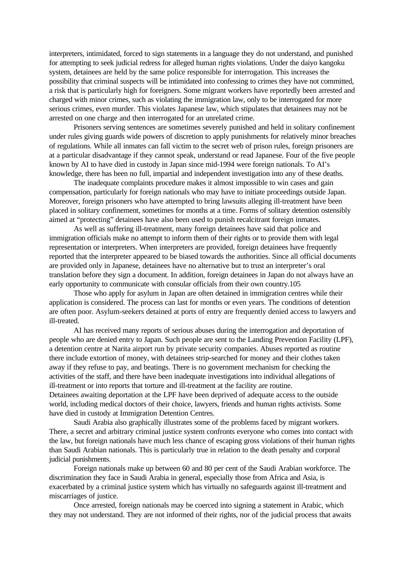interpreters, intimidated, forced to sign statements in a language they do not understand, and punished for attempting to seek judicial redress for alleged human rights violations. Under the daiyo kangoku system, detainees are held by the same police responsible for interrogation. This increases the possibility that criminal suspects will be intimidated into confessing to crimes they have not committed, a risk that is particularly high for foreigners. Some migrant workers have reportedly been arrested and charged with minor crimes, such as violating the immigration law, only to be interrogated for more serious crimes, even murder. This violates Japanese law, which stipulates that detainees may not be arrested on one charge and then interrogated for an unrelated crime.

Prisoners serving sentences are sometimes severely punished and held in solitary confinement under rules giving guards wide powers of discretion to apply punishments for relatively minor breaches of regulations. While all inmates can fall victim to the secret web of prison rules, foreign prisoners are at a particular disadvantage if they cannot speak, understand or read Japanese. Four of the five people known by AI to have died in custody in Japan since mid-1994 were foreign nationals. To AI's knowledge, there has been no full, impartial and independent investigation into any of these deaths.

The inadequate complaints procedure makes it almost impossible to win cases and gain compensation, particularly for foreign nationals who may have to initiate proceedings outside Japan. Moreover, foreign prisoners who have attempted to bring lawsuits alleging ill-treatment have been placed in solitary confinement, sometimes for months at a time. Forms of solitary detention ostensibly aimed at "protecting" detainees have also been used to punish recalcitrant foreign inmates.

As well as suffering ill-treatment, many foreign detainees have said that police and immigration officials make no attempt to inform them of their rights or to provide them with legal representation or interpreters. When interpreters are provided, foreign detainees have frequently reported that the interpreter appeared to be biased towards the authorities. Since all official documents are provided only in Japanese, detainees have no alternative but to trust an interpreter's oral translation before they sign a document. In addition, foreign detainees in Japan do not always have an early opportunity to communicate with consular officials from their own country.105

Those who apply for asylum in Japan are often detained in immigration centres while their application is considered. The process can last for months or even years. The conditions of detention are often poor. Asylum-seekers detained at ports of entry are frequently denied access to lawyers and ill-treated.

AI has received many reports of serious abuses during the interrogation and deportation of people who are denied entry to Japan. Such people are sent to the Landing Prevention Facility (LPF), a detention centre at Narita airport run by private security companies. Abuses reported as routine there include extortion of money, with detainees strip-searched for money and their clothes taken away if they refuse to pay, and beatings. There is no government mechanism for checking the activities of the staff, and there have been inadequate investigations into individual allegations of ill-treatment or into reports that torture and ill-treatment at the facility are routine. Detainees awaiting deportation at the LPF have been deprived of adequate access to the outside world, including medical doctors of their choice, lawyers, friends and human rights activists. Some have died in custody at Immigration Detention Centres.

Saudi Arabia also graphically illustrates some of the problems faced by migrant workers. There, a secret and arbitrary criminal justice system confronts everyone who comes into contact with the law, but foreign nationals have much less chance of escaping gross violations of their human rights than Saudi Arabian nationals. This is particularly true in relation to the death penalty and corporal judicial punishments.

Foreign nationals make up between 60 and 80 per cent of the Saudi Arabian workforce. The discrimination they face in Saudi Arabia in general, especially those from Africa and Asia, is exacerbated by a criminal justice system which has virtually no safeguards against ill-treatment and miscarriages of justice.

Once arrested, foreign nationals may be coerced into signing a statement in Arabic, which they may not understand. They are not informed of their rights, nor of the judicial process that awaits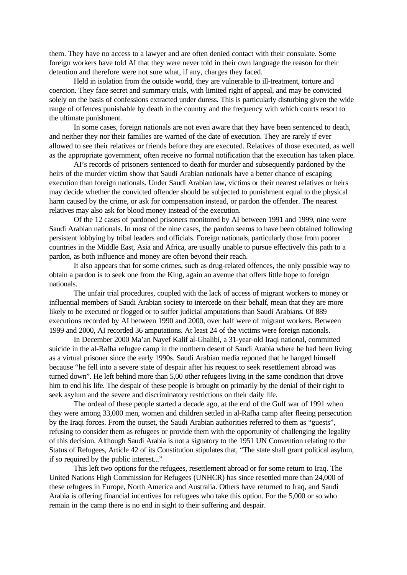them. They have no access to a lawyer and are often denied contact with their consulate. Some foreign workers have told AI that they were never told in their own language the reason for their detention and therefore were not sure what, if any, charges they faced.

Held in isolation from the outside world, they are vulnerable to ill-treatment, torture and coercion. They face secret and summary trials, with limited right of appeal, and may be convicted solely on the basis of confessions extracted under duress. This is particularly disturbing given the wide range of offences punishable by death in the country and the frequency with which courts resort to the ultimate punishment.

In some cases, foreign nationals are not even aware that they have been sentenced to death, and neither they nor their families are warned of the date of execution. They are rarely if ever allowed to see their relatives or friends before they are executed. Relatives of those executed, as well as the appropriate government, often receive no formal notification that the execution has taken place.

AI's records of prisoners sentenced to death for murder and subsequently pardoned by the heirs of the murder victim show that Saudi Arabian nationals have a better chance of escaping execution than foreign nationals. Under Saudi Arabian law, victims or their nearest relatives or heirs may decide whether the convicted offender should be subjected to punishment equal to the physical harm caused by the crime, or ask for compensation instead, or pardon the offender. The nearest relatives may also ask for blood money instead of the execution.

Of the 12 cases of pardoned prisoners monitored by AI between 1991 and 1999, nine were Saudi Arabian nationals. In most of the nine cases, the pardon seems to have been obtained following persistent lobbying by tribal leaders and officials. Foreign nationals, particularly those from poorer countries in the Middle East, Asia and Africa, are usually unable to pursue effectively this path to a pardon, as both influence and money are often beyond their reach.

It also appears that for some crimes, such as drug-related offences, the only possible way to obtain a pardon is to seek one from the King, again an avenue that offers little hope to foreign nationals.

The unfair trial procedures, coupled with the lack of access of migrant workers to money or influential members of Saudi Arabian society to intercede on their behalf, mean that they are more likely to be executed or flogged or to suffer judicial amputations than Saudi Arabians. Of 889 executions recorded by AI between 1990 and 2000, over half were of migrant workers. Between 1999 and 2000, AI recorded 36 amputations. At least 24 of the victims were foreign nationals.

In December 2000 Ma'an Nayef Kalif al-Ghalibi, a 31-year-old Iraqi national, committed suicide in the al-Rafha refugee camp in the northern desert of Saudi Arabia where he had been living as a virtual prisoner since the early 1990s. Saudi Arabian media reported that he hanged himself because "he fell into a severe state of despair after his request to seek resettlement abroad was turned down". He left behind more than 5,00 other refugees living in the same condition that drove him to end his life. The despair of these people is brought on primarily by the denial of their right to seek asylum and the severe and discriminatory restrictions on their daily life.

The ordeal of these people started a decade ago, at the end of the Gulf war of 1991 when they were among 33,000 men, women and children settled in al-Rafha camp after fleeing persecution by the Iraqi forces. From the outset, the Saudi Arabian authorities referred to them as "guests", refusing to consider them as refugees or provide them with the opportunity of challenging the legality of this decision. Although Saudi Arabia is not a signatory to the 1951 UN Convention relating to the Status of Refugees, Article 42 of its Constitution stipulates that, "The state shall grant political asylum, if so required by the public interest..."

This left two options for the refugees, resettlement abroad or for some return to Iraq. The United Nations High Commission for Refugees (UNHCR) has since resettled more than 24,000 of these refugees in Europe, North America and Australia. Others have returned to Iraq, and Saudi Arabia is offering financial incentives for refugees who take this option. For the 5,000 or so who remain in the camp there is no end in sight to their suffering and despair.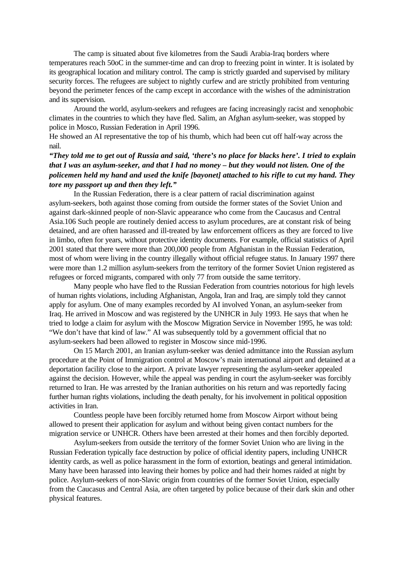The camp is situated about five kilometres from the Saudi Arabia-Iraq borders where temperatures reach 50oC in the summer-time and can drop to freezing point in winter. It is isolated by its geographical location and military control. The camp is strictly guarded and supervised by military security forces. The refugees are subject to nightly curfew and are strictly prohibited from venturing beyond the perimeter fences of the camp except in accordance with the wishes of the administration and its supervision.

Around the world, asylum-seekers and refugees are facing increasingly racist and xenophobic climates in the countries to which they have fled. Salim, an Afghan asylum-seeker, was stopped by police in Mosco, Russian Federation in April 1996.

He showed an AI representative the top of his thumb, which had been cut off half-way across the nail.

# *"They told me to get out of Russia and said, 'there's no place for blacks here'. I tried to explain that I was an asylum-seeker, and that I had no money – but they would not listen. One of the policemen held my hand and used the knife [bayonet] attached to his rifle to cut my hand. They tore my passport up and then they left."*

In the Russian Federation, there is a clear pattern of racial discrimination against asylum-seekers, both against those coming from outside the former states of the Soviet Union and against dark-skinned people of non-Slavic appearance who come from the Caucasus and Central Asia.106 Such people are routinely denied access to asylum procedures, are at constant risk of being detained, and are often harassed and ill-treated by law enforcement officers as they are forced to live in limbo, often for years, without protective identity documents. For example, official statistics of April 2001 stated that there were more than 200,000 people from Afghanistan in the Russian Federation, most of whom were living in the country illegally without official refugee status. In January 1997 there were more than 1.2 million asylum-seekers from the territory of the former Soviet Union registered as refugees or forced migrants, compared with only 77 from outside the same territory.

Many people who have fled to the Russian Federation from countries notorious for high levels of human rights violations, including Afghanistan, Angola, Iran and Iraq, are simply told they cannot apply for asylum. One of many examples recorded by AI involved Yonan, an asylum-seeker from Iraq. He arrived in Moscow and was registered by the UNHCR in July 1993. He says that when he tried to lodge a claim for asylum with the Moscow Migration Service in November 1995, he was told: "We don't have that kind of law." AI was subsequently told by a government official that no asylum-seekers had been allowed to register in Moscow since mid-1996.

On 15 March 2001, an Iranian asylum-seeker was denied admittance into the Russian asylum procedure at the Point of Immigration control at Moscow's main international airport and detained at a deportation facility close to the airport. A private lawyer representing the asylum-seeker appealed against the decision. However, while the appeal was pending in court the asylum-seeker was forcibly returned to Iran. He was arrested by the Iranian authorities on his return and was reportedly facing further human rights violations, including the death penalty, for his involvement in political opposition activities in Iran.

Countless people have been forcibly returned home from Moscow Airport without being allowed to present their application for asylum and without being given contact numbers for the migration service or UNHCR. Others have been arrested at their homes and then forcibly deported.

Asylum-seekers from outside the territory of the former Soviet Union who are living in the Russian Federation typically face destruction by police of official identity papers, including UNHCR identity cards, as well as police harassment in the form of extortion, beatings and general intimidation. Many have been harassed into leaving their homes by police and had their homes raided at night by police. Asylum-seekers of non-Slavic origin from countries of the former Soviet Union, especially from the Caucasus and Central Asia, are often targeted by police because of their dark skin and other physical features.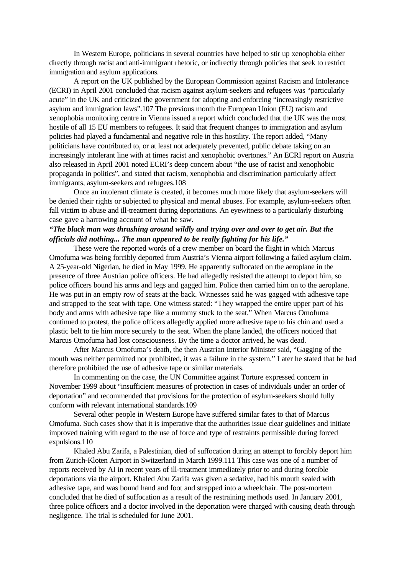In Western Europe, politicians in several countries have helped to stir up xenophobia either directly through racist and anti-immigrant rhetoric, or indirectly through policies that seek to restrict immigration and asylum applications.

A report on the UK published by the European Commission against Racism and Intolerance (ECRI) in April 2001 concluded that racism against asylum-seekers and refugees was "particularly acute" in the UK and criticized the government for adopting and enforcing "increasingly restrictive asylum and immigration laws".107 The previous month the European Union (EU) racism and xenophobia monitoring centre in Vienna issued a report which concluded that the UK was the most hostile of all 15 EU members to refugees. It said that frequent changes to immigration and asylum policies had played a fundamental and negative role in this hostility. The report added, "Many politicians have contributed to, or at least not adequately prevented, public debate taking on an increasingly intolerant line with at times racist and xenophobic overtones." An ECRI report on Austria also released in April 2001 noted ECRI's deep concern about "the use of racist and xenophobic propaganda in politics", and stated that racism, xenophobia and discrimination particularly affect immigrants, asylum-seekers and refugees.108

Once an intolerant climate is created, it becomes much more likely that asylum-seekers will be denied their rights or subjected to physical and mental abuses. For example, asylum-seekers often fall victim to abuse and ill-treatment during deportations. An eyewitness to a particularly disturbing case gave a harrowing account of what he saw.

# *"The black man was thrashing around wildly and trying over and over to get air. But the officials did nothing... The man appeared to be really fighting for his life."*

These were the reported words of a crew member on board the flight in which Marcus Omofuma was being forcibly deported from Austria's Vienna airport following a failed asylum claim. A 25-year-old Nigerian, he died in May 1999. He apparently suffocated on the aeroplane in the presence of three Austrian police officers. He had allegedly resisted the attempt to deport him, so police officers bound his arms and legs and gagged him. Police then carried him on to the aeroplane. He was put in an empty row of seats at the back. Witnesses said he was gagged with adhesive tape and strapped to the seat with tape. One witness stated: "They wrapped the entire upper part of his body and arms with adhesive tape like a mummy stuck to the seat." When Marcus Omofuma continued to protest, the police officers allegedly applied more adhesive tape to his chin and used a plastic belt to tie him more securely to the seat. When the plane landed, the officers noticed that Marcus Omofuma had lost consciousness. By the time a doctor arrived, he was dead.

After Marcus Omofuma's death, the then Austrian Interior Minister said, "Gagging of the mouth was neither permitted nor prohibited, it was a failure in the system." Later he stated that he had therefore prohibited the use of adhesive tape or similar materials.

In commenting on the case, the UN Committee against Torture expressed concern in November 1999 about "insufficient measures of protection in cases of individuals under an order of deportation" and recommended that provisions for the protection of asylum-seekers should fully conform with relevant international standards.109

Several other people in Western Europe have suffered similar fates to that of Marcus Omofuma. Such cases show that it is imperative that the authorities issue clear guidelines and initiate improved training with regard to the use of force and type of restraints permissible during forced expulsions.110

Khaled Abu Zarifa, a Palestinian, died of suffocation during an attempt to forcibly deport him from Zurich-Kloten Airport in Switzerland in March 1999.111 This case was one of a number of reports received by AI in recent years of ill-treatment immediately prior to and during forcible deportations via the airport. Khaled Abu Zarifa was given a sedative, had his mouth sealed with adhesive tape, and was bound hand and foot and strapped into a wheelchair. The post-mortem concluded that he died of suffocation as a result of the restraining methods used. In January 2001, three police officers and a doctor involved in the deportation were charged with causing death through negligence. The trial is scheduled for June 2001.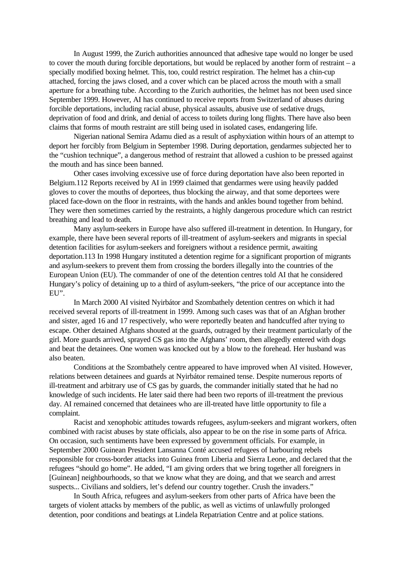In August 1999, the Zurich authorities announced that adhesive tape would no longer be used to cover the mouth during forcible deportations, but would be replaced by another form of restraint – a specially modified boxing helmet. This, too, could restrict respiration. The helmet has a chin-cup attached, forcing the jaws closed, and a cover which can be placed across the mouth with a small aperture for a breathing tube. According to the Zurich authorities, the helmet has not been used since September 1999. However, AI has continued to receive reports from Switzerland of abuses during forcible deportations, including racial abuse, physical assaults, abusive use of sedative drugs, deprivation of food and drink, and denial of access to toilets during long flights. There have also been claims that forms of mouth restraint are still being used in isolated cases, endangering life.

Nigerian national Semira Adamu died as a result of asphyxiation within hours of an attempt to deport her forcibly from Belgium in September 1998. During deportation, gendarmes subjected her to the "cushion technique", a dangerous method of restraint that allowed a cushion to be pressed against the mouth and has since been banned.

Other cases involving excessive use of force during deportation have also been reported in Belgium.112 Reports received by AI in 1999 claimed that gendarmes were using heavily padded gloves to cover the mouths of deportees, thus blocking the airway, and that some deportees were placed face-down on the floor in restraints, with the hands and ankles bound together from behind. They were then sometimes carried by the restraints, a highly dangerous procedure which can restrict breathing and lead to death.

Many asylum-seekers in Europe have also suffered ill-treatment in detention. In Hungary, for example, there have been several reports of ill-treatment of asylum-seekers and migrants in special detention facilities for asylum-seekers and foreigners without a residence permit, awaiting deportation.113 In 1998 Hungary instituted a detention regime for a significant proportion of migrants and asylum-seekers to prevent them from crossing the borders illegally into the countries of the European Union (EU). The commander of one of the detention centres told AI that he considered Hungary's policy of detaining up to a third of asylum-seekers, "the price of our acceptance into the EU".

In March 2000 AI visited Nyirbátor and Szombathely detention centres on which it had received several reports of ill-treatment in 1999. Among such cases was that of an Afghan brother and sister, aged 16 and 17 respectively, who were reportedly beaten and handcuffed after trying to escape. Other detained Afghans shouted at the guards, outraged by their treatment particularly of the girl. More guards arrived, sprayed CS gas into the Afghans' room, then allegedly entered with dogs and beat the detainees. One women was knocked out by a blow to the forehead. Her husband was also beaten.

Conditions at the Szombathely centre appeared to have improved when AI visited. However, relations between detainees and guards at Nyirbátor remained tense. Despite numerous reports of ill-treatment and arbitrary use of CS gas by guards, the commander initially stated that he had no knowledge of such incidents. He later said there had been two reports of ill-treatment the previous day. AI remained concerned that detainees who are ill-treated have little opportunity to file a complaint.

Racist and xenophobic attitudes towards refugees, asylum-seekers and migrant workers, often combined with racist abuses by state officials, also appear to be on the rise in some parts of Africa. On occasion, such sentiments have been expressed by government officials. For example, in September 2000 Guinean President Lansanna Conté accused refugees of harbouring rebels responsible for cross-border attacks into Guinea from Liberia and Sierra Leone, and declared that the refugees "should go home". He added, "I am giving orders that we bring together all foreigners in [Guinean] neighbourhoods, so that we know what they are doing, and that we search and arrest suspects... Civilians and soldiers, let's defend our country together. Crush the invaders."

In South Africa, refugees and asylum-seekers from other parts of Africa have been the targets of violent attacks by members of the public, as well as victims of unlawfully prolonged detention, poor conditions and beatings at Lindela Repatriation Centre and at police stations.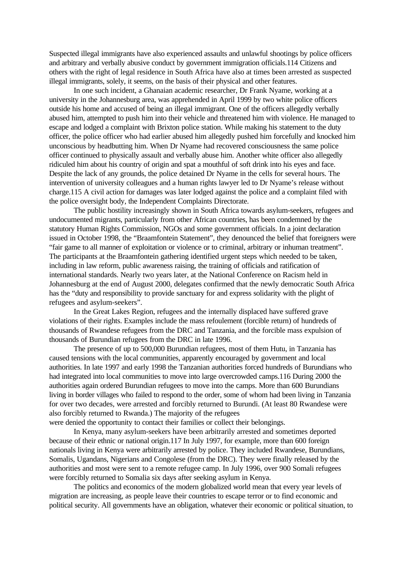Suspected illegal immigrants have also experienced assaults and unlawful shootings by police officers and arbitrary and verbally abusive conduct by government immigration officials.114 Citizens and others with the right of legal residence in South Africa have also at times been arrested as suspected illegal immigrants, solely, it seems, on the basis of their physical and other features.

In one such incident, a Ghanaian academic researcher, Dr Frank Nyame, working at a university in the Johannesburg area, was apprehended in April 1999 by two white police officers outside his home and accused of being an illegal immigrant. One of the officers allegedly verbally abused him, attempted to push him into their vehicle and threatened him with violence. He managed to escape and lodged a complaint with Brixton police station. While making his statement to the duty officer, the police officer who had earlier abused him allegedly pushed him forcefully and knocked him unconscious by headbutting him. When Dr Nyame had recovered consciousness the same police officer continued to physically assault and verbally abuse him. Another white officer also allegedly ridiculed him about his country of origin and spat a mouthful of soft drink into his eyes and face. Despite the lack of any grounds, the police detained Dr Nyame in the cells for several hours. The intervention of university colleagues and a human rights lawyer led to Dr Nyame's release without charge.115 A civil action for damages was later lodged against the police and a complaint filed with the police oversight body, the Independent Complaints Directorate.

The public hostility increasingly shown in South Africa towards asylum-seekers, refugees and undocumented migrants, particularly from other African countries, has been condemned by the statutory Human Rights Commission, NGOs and some government officials. In a joint declaration issued in October 1998, the "Braamfontein Statement", they denounced the belief that foreigners were "fair game to all manner of exploitation or violence or to criminal, arbitrary or inhuman treatment". The participants at the Braamfontein gathering identified urgent steps which needed to be taken, including in law reform, public awareness raising, the training of officials and ratification of international standards. Nearly two years later, at the National Conference on Racism held in Johannesburg at the end of August 2000, delegates confirmed that the newly democratic South Africa has the "duty and responsibility to provide sanctuary for and express solidarity with the plight of refugees and asylum-seekers".

In the Great Lakes Region, refugees and the internally displaced have suffered grave violations of their rights. Examples include the mass refoulement (forcible return) of hundreds of thousands of Rwandese refugees from the DRC and Tanzania, and the forcible mass expulsion of thousands of Burundian refugees from the DRC in late 1996.

The presence of up to 500,000 Burundian refugees, most of them Hutu, in Tanzania has caused tensions with the local communities, apparently encouraged by government and local authorities. In late 1997 and early 1998 the Tanzanian authorities forced hundreds of Burundians who had integrated into local communities to move into large overcrowded camps.116 During 2000 the authorities again ordered Burundian refugees to move into the camps. More than 600 Burundians living in border villages who failed to respond to the order, some of whom had been living in Tanzania for over two decades, were arrested and forcibly returned to Burundi. (At least 80 Rwandese were also forcibly returned to Rwanda.) The majority of the refugees

were denied the opportunity to contact their families or collect their belongings.

In Kenya, many asylum-seekers have been arbitrarily arrested and sometimes deported because of their ethnic or national origin.117 In July 1997, for example, more than 600 foreign nationals living in Kenya were arbitrarily arrested by police. They included Rwandese, Burundians, Somalis, Ugandans, Nigerians and Congolese (from the DRC). They were finally released by the authorities and most were sent to a remote refugee camp. In July 1996, over 900 Somali refugees were forcibly returned to Somalia six days after seeking asylum in Kenya.

The politics and economics of the modern globalized world mean that every year levels of migration are increasing, as people leave their countries to escape terror or to find economic and political security. All governments have an obligation, whatever their economic or political situation, to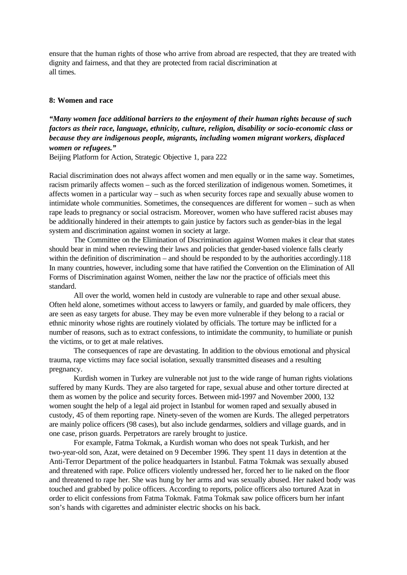ensure that the human rights of those who arrive from abroad are respected, that they are treated with dignity and fairness, and that they are protected from racial discrimination at all times.

### **8: Women and race**

*"Many women face additional barriers to the enjoyment of their human rights because of such factors as their race, language, ethnicity, culture, religion, disability or socio-economic class or because they are indigenous people, migrants, including women migrant workers, displaced women or refugees."*

Beijing Platform for Action, Strategic Objective 1, para 222

Racial discrimination does not always affect women and men equally or in the same way. Sometimes, racism primarily affects women – such as the forced sterilization of indigenous women. Sometimes, it affects women in a particular way – such as when security forces rape and sexually abuse women to intimidate whole communities. Sometimes, the consequences are different for women – such as when rape leads to pregnancy or social ostracism. Moreover, women who have suffered racist abuses may be additionally hindered in their attempts to gain justice by factors such as gender-bias in the legal system and discrimination against women in society at large.

The Committee on the Elimination of Discrimination against Women makes it clear that states should bear in mind when reviewing their laws and policies that gender-based violence falls clearly within the definition of discrimination – and should be responded to by the authorities accordingly.118 In many countries, however, including some that have ratified the Convention on the Elimination of All Forms of Discrimination against Women, neither the law nor the practice of officials meet this standard.

All over the world, women held in custody are vulnerable to rape and other sexual abuse. Often held alone, sometimes without access to lawyers or family, and guarded by male officers, they are seen as easy targets for abuse. They may be even more vulnerable if they belong to a racial or ethnic minority whose rights are routinely violated by officials. The torture may be inflicted for a number of reasons, such as to extract confessions, to intimidate the community, to humiliate or punish the victims, or to get at male relatives.

The consequences of rape are devastating. In addition to the obvious emotional and physical trauma, rape victims may face social isolation, sexually transmitted diseases and a resulting pregnancy.

Kurdish women in Turkey are vulnerable not just to the wide range of human rights violations suffered by many Kurds. They are also targeted for rape, sexual abuse and other torture directed at them as women by the police and security forces. Between mid-1997 and November 2000, 132 women sought the help of a legal aid project in Istanbul for women raped and sexually abused in custody, 45 of them reporting rape. Ninety-seven of the women are Kurds. The alleged perpetrators are mainly police officers (98 cases), but also include gendarmes, soldiers and village guards, and in one case, prison guards. Perpetrators are rarely brought to justice.

For example, Fatma Tokmak, a Kurdish woman who does not speak Turkish, and her two-year-old son, Azat, were detained on 9 December 1996. They spent 11 days in detention at the Anti-Terror Department of the police headquarters in Istanbul. Fatma Tokmak was sexually abused and threatened with rape. Police officers violently undressed her, forced her to lie naked on the floor and threatened to rape her. She was hung by her arms and was sexually abused. Her naked body was touched and grabbed by police officers. According to reports, police officers also tortured Azat in order to elicit confessions from Fatma Tokmak. Fatma Tokmak saw police officers burn her infant son's hands with cigarettes and administer electric shocks on his back.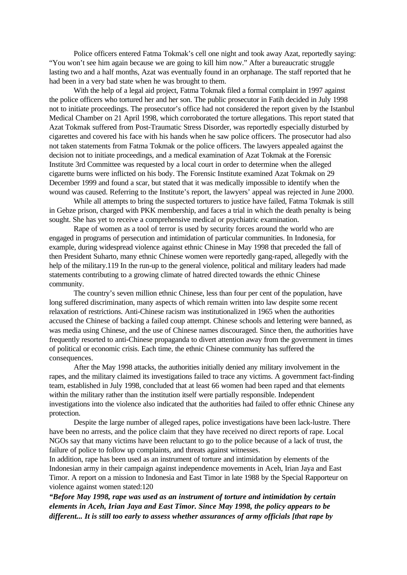Police officers entered Fatma Tokmak's cell one night and took away Azat, reportedly saying: "You won't see him again because we are going to kill him now." After a bureaucratic struggle lasting two and a half months, Azat was eventually found in an orphanage. The staff reported that he had been in a very bad state when he was brought to them.

With the help of a legal aid project, Fatma Tokmak filed a formal complaint in 1997 against the police officers who tortured her and her son. The public prosecutor in Fatih decided in July 1998 not to initiate proceedings. The prosecutor's office had not considered the report given by the Istanbul Medical Chamber on 21 April 1998, which corroborated the torture allegations. This report stated that Azat Tokmak suffered from Post-Traumatic Stress Disorder, was reportedly especially disturbed by cigarettes and covered his face with his hands when he saw police officers. The prosecutor had also not taken statements from Fatma Tokmak or the police officers. The lawyers appealed against the decision not to initiate proceedings, and a medical examination of Azat Tokmak at the Forensic Institute 3rd Committee was requested by a local court in order to determine when the alleged cigarette burns were inflicted on his body. The Forensic Institute examined Azat Tokmak on 29 December 1999 and found a scar, but stated that it was medically impossible to identify when the wound was caused. Referring to the Institute's report, the lawyers' appeal was rejected in June 2000.

While all attempts to bring the suspected torturers to justice have failed, Fatma Tokmak is still in Gebze prison, charged with PKK membership, and faces a trial in which the death penalty is being sought. She has yet to receive a comprehensive medical or psychiatric examination.

Rape of women as a tool of terror is used by security forces around the world who are engaged in programs of persecution and intimidation of particular communities. In Indonesia, for example, during widespread violence against ethnic Chinese in May 1998 that preceded the fall of then President Suharto, many ethnic Chinese women were reportedly gang-raped, allegedly with the help of the military.119 In the run-up to the general violence, political and military leaders had made statements contributing to a growing climate of hatred directed towards the ethnic Chinese community.

The country's seven million ethnic Chinese, less than four per cent of the population, have long suffered discrimination, many aspects of which remain written into law despite some recent relaxation of restrictions. Anti-Chinese racism was institutionalized in 1965 when the authorities accused the Chinese of backing a failed coup attempt. Chinese schools and lettering were banned, as was media using Chinese, and the use of Chinese names discouraged. Since then, the authorities have frequently resorted to anti-Chinese propaganda to divert attention away from the government in times of political or economic crisis. Each time, the ethnic Chinese community has suffered the consequences.

After the May 1998 attacks, the authorities initially denied any military involvement in the rapes, and the military claimed its investigations failed to trace any victims. A government fact-finding team, established in July 1998, concluded that at least 66 women had been raped and that elements within the military rather than the institution itself were partially responsible. Independent investigations into the violence also indicated that the authorities had failed to offer ethnic Chinese any protection.

Despite the large number of alleged rapes, police investigations have been lack-lustre. There have been no arrests, and the police claim that they have received no direct reports of rape. Local NGOs say that many victims have been reluctant to go to the police because of a lack of trust, the failure of police to follow up complaints, and threats against witnesses.

In addition, rape has been used as an instrument of torture and intimidation by elements of the Indonesian army in their campaign against independence movements in Aceh, Irian Jaya and East Timor. A report on a mission to Indonesia and East Timor in late 1988 by the Special Rapporteur on violence against women stated:120

*"Before May 1998, rape was used as an instrument of torture and intimidation by certain elements in Aceh, Irian Jaya and East Timor. Since May 1998, the policy appears to be different... It is still too early to assess whether assurances of army officials [that rape by*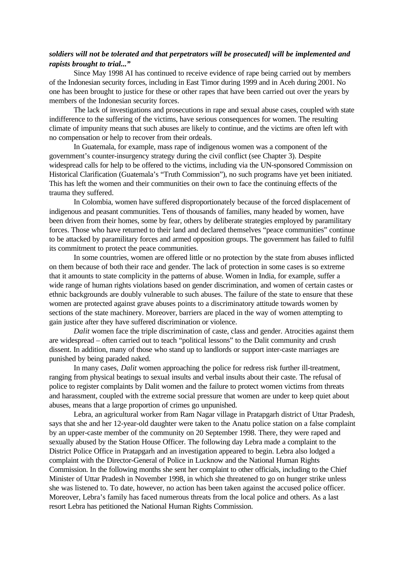## *soldiers will not be tolerated and that perpetrators will be prosecuted] will be implemented and rapists brought to trial..."*

Since May 1998 AI has continued to receive evidence of rape being carried out by members of the Indonesian security forces, including in East Timor during 1999 and in Aceh during 2001. No one has been brought to justice for these or other rapes that have been carried out over the years by members of the Indonesian security forces.

The lack of investigations and prosecutions in rape and sexual abuse cases, coupled with state indifference to the suffering of the victims, have serious consequences for women. The resulting climate of impunity means that such abuses are likely to continue, and the victims are often left with no compensation or help to recover from their ordeals.

In Guatemala, for example, mass rape of indigenous women was a component of the government's counter-insurgency strategy during the civil conflict (see Chapter 3). Despite widespread calls for help to be offered to the victims, including via the UN-sponsored Commission on Historical Clarification (Guatemala's "Truth Commission"), no such programs have yet been initiated. This has left the women and their communities on their own to face the continuing effects of the trauma they suffered.

In Colombia, women have suffered disproportionately because of the forced displacement of indigenous and peasant communities. Tens of thousands of families, many headed by women, have been driven from their homes, some by fear, others by deliberate strategies employed by paramilitary forces. Those who have returned to their land and declared themselves "peace communities" continue to be attacked by paramilitary forces and armed opposition groups. The government has failed to fulfil its commitment to protect the peace communities.

In some countries, women are offered little or no protection by the state from abuses inflicted on them because of both their race and gender. The lack of protection in some cases is so extreme that it amounts to state complicity in the patterns of abuse. Women in India, for example, suffer a wide range of human rights violations based on gender discrimination, and women of certain castes or ethnic backgrounds are doubly vulnerable to such abuses. The failure of the state to ensure that these women are protected against grave abuses points to a discriminatory attitude towards women by sections of the state machinery. Moreover, barriers are placed in the way of women attempting to gain justice after they have suffered discrimination or violence.

*Dalit* women face the triple discrimination of caste, class and gender. Atrocities against them are widespread – often carried out to teach "political lessons" to the Dalit community and crush dissent. In addition, many of those who stand up to landlords or support inter-caste marriages are punished by being paraded naked.

In many cases, *Dalit* women approaching the police for redress risk further ill-treatment, ranging from physical beatings to sexual insults and verbal insults about their caste. The refusal of police to register complaints by Dalit women and the failure to protect women victims from threats and harassment, coupled with the extreme social pressure that women are under to keep quiet about abuses, means that a large proportion of crimes go unpunished.

Lebra, an agricultural worker from Ram Nagar village in Pratapgarh district of Uttar Pradesh, says that she and her 12-year-old daughter were taken to the Anatu police station on a false complaint by an upper-caste member of the community on 20 September 1998. There, they were raped and sexually abused by the Station House Officer. The following day Lebra made a complaint to the District Police Office in Pratapgarh and an investigation appeared to begin. Lebra also lodged a complaint with the Director-General of Police in Lucknow and the National Human Rights Commission. In the following months she sent her complaint to other officials, including to the Chief Minister of Uttar Pradesh in November 1998, in which she threatened to go on hunger strike unless she was listened to. To date, however, no action has been taken against the accused police officer. Moreover, Lebra's family has faced numerous threats from the local police and others. As a last resort Lebra has petitioned the National Human Rights Commission.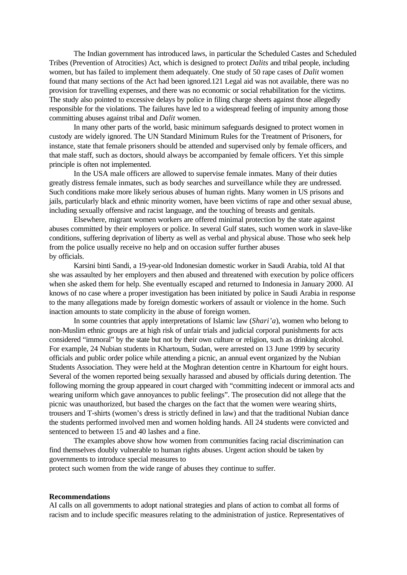The Indian government has introduced laws, in particular the Scheduled Castes and Scheduled Tribes (Prevention of Atrocities) Act, which is designed to protect *Dalits* and tribal people, including women, but has failed to implement them adequately. One study of 50 rape cases of *Dalit* women found that many sections of the Act had been ignored.121 Legal aid was not available, there was no provision for travelling expenses, and there was no economic or social rehabilitation for the victims. The study also pointed to excessive delays by police in filing charge sheets against those allegedly responsible for the violations. The failures have led to a widespread feeling of impunity among those committing abuses against tribal and *Dalit* women.

In many other parts of the world, basic minimum safeguards designed to protect women in custody are widely ignored. The UN Standard Minimum Rules for the Treatment of Prisoners, for instance, state that female prisoners should be attended and supervised only by female officers, and that male staff, such as doctors, should always be accompanied by female officers. Yet this simple principle is often not implemented.

In the USA male officers are allowed to supervise female inmates. Many of their duties greatly distress female inmates, such as body searches and surveillance while they are undressed. Such conditions make more likely serious abuses of human rights. Many women in US prisons and jails, particularly black and ethnic minority women, have been victims of rape and other sexual abuse, including sexually offensive and racist language, and the touching of breasts and genitals.

Elsewhere, migrant women workers are offered minimal protection by the state against abuses committed by their employers or police. In several Gulf states, such women work in slave-like conditions, suffering deprivation of liberty as well as verbal and physical abuse. Those who seek help from the police usually receive no help and on occasion suffer further abuses by officials.

Karsini binti Sandi, a 19-year-old Indonesian domestic worker in Saudi Arabia, told AI that she was assaulted by her employers and then abused and threatened with execution by police officers when she asked them for help. She eventually escaped and returned to Indonesia in January 2000. AI knows of no case where a proper investigation has been initiated by police in Saudi Arabia in response to the many allegations made by foreign domestic workers of assault or violence in the home. Such inaction amounts to state complicity in the abuse of foreign women.

In some countries that apply interpretations of Islamic law (*Shari'a*), women who belong to non-Muslim ethnic groups are at high risk of unfair trials and judicial corporal punishments for acts considered "immoral" by the state but not by their own culture or religion, such as drinking alcohol. For example, 24 Nubian students in Khartoum, Sudan, were arrested on 13 June 1999 by security officials and public order police while attending a picnic, an annual event organized by the Nubian Students Association. They were held at the Moghran detention centre in Khartoum for eight hours. Several of the women reported being sexually harassed and abused by officials during detention. The following morning the group appeared in court charged with "committing indecent or immoral acts and wearing uniform which gave annoyances to public feelings". The prosecution did not allege that the picnic was unauthorized, but based the charges on the fact that the women were wearing shirts, trousers and T-shirts (women's dress is strictly defined in law) and that the traditional Nubian dance the students performed involved men and women holding hands. All 24 students were convicted and sentenced to between 15 and 40 lashes and a fine.

The examples above show how women from communities facing racial discrimination can find themselves doubly vulnerable to human rights abuses. Urgent action should be taken by governments to introduce special measures to

protect such women from the wide range of abuses they continue to suffer.

### **Recommendations**

AI calls on all governments to adopt national strategies and plans of action to combat all forms of racism and to include specific measures relating to the administration of justice. Representatives of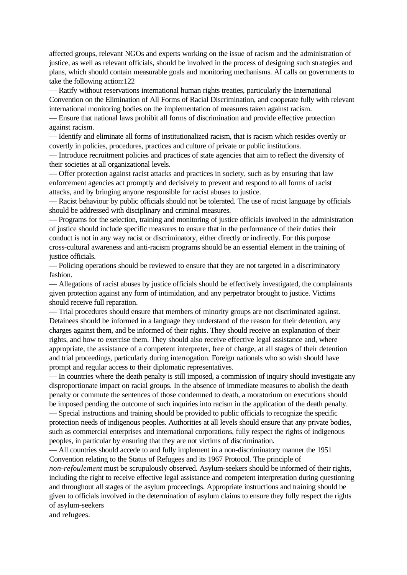affected groups, relevant NGOs and experts working on the issue of racism and the administration of justice, as well as relevant officials, should be involved in the process of designing such strategies and plans, which should contain measurable goals and monitoring mechanisms. AI calls on governments to take the following action:122

— Ratify without reservations international human rights treaties, particularly the International Convention on the Elimination of All Forms of Racial Discrimination, and cooperate fully with relevant international monitoring bodies on the implementation of measures taken against racism.

— Ensure that national laws prohibit all forms of discrimination and provide effective protection against racism.

— Identify and eliminate all forms of institutionalized racism, that is racism which resides overtly or covertly in policies, procedures, practices and culture of private or public institutions.

— Introduce recruitment policies and practices of state agencies that aim to reflect the diversity of their societies at all organizational levels.

— Offer protection against racist attacks and practices in society, such as by ensuring that law enforcement agencies act promptly and decisively to prevent and respond to all forms of racist attacks, and by bringing anyone responsible for racist abuses to justice.

— Racist behaviour by public officials should not be tolerated. The use of racist language by officials should be addressed with disciplinary and criminal measures.

— Programs for the selection, training and monitoring of justice officials involved in the administration of justice should include specific measures to ensure that in the performance of their duties their conduct is not in any way racist or discriminatory, either directly or indirectly. For this purpose cross-cultural awareness and anti-racism programs should be an essential element in the training of justice officials.

— Policing operations should be reviewed to ensure that they are not targeted in a discriminatory fashion.

— Allegations of racist abuses by justice officials should be effectively investigated, the complainants given protection against any form of intimidation, and any perpetrator brought to justice. Victims should receive full reparation.

— Trial procedures should ensure that members of minority groups are not discriminated against. Detainees should be informed in a language they understand of the reason for their detention, any charges against them, and be informed of their rights. They should receive an explanation of their rights, and how to exercise them. They should also receive effective legal assistance and, where appropriate, the assistance of a competent interpreter, free of charge, at all stages of their detention and trial proceedings, particularly during interrogation. Foreign nationals who so wish should have prompt and regular access to their diplomatic representatives.

— In countries where the death penalty is still imposed, a commission of inquiry should investigate any disproportionate impact on racial groups. In the absence of immediate measures to abolish the death penalty or commute the sentences of those condemned to death, a moratorium on executions should be imposed pending the outcome of such inquiries into racism in the application of the death penalty.

— Special instructions and training should be provided to public officials to recognize the specific protection needs of indigenous peoples. Authorities at all levels should ensure that any private bodies, such as commercial enterprises and international corporations, fully respect the rights of indigenous peoples, in particular by ensuring that they are not victims of discrimination.

— All countries should accede to and fully implement in a non-discriminatory manner the 1951 Convention relating to the Status of Refugees and its 1967 Protocol. The principle of

*non-refoulement* must be scrupulously observed. Asylum-seekers should be informed of their rights, including the right to receive effective legal assistance and competent interpretation during questioning and throughout all stages of the asylum proceedings. Appropriate instructions and training should be given to officials involved in the determination of asylum claims to ensure they fully respect the rights of asylum-seekers

and refugees.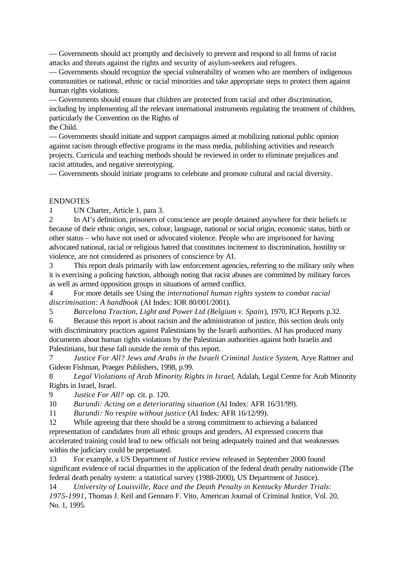— Governments should act promptly and decisively to prevent and respond to all forms of racist attacks and threats against the rights and security of asylum-seekers and refugees.

— Governments should recognize the special vulnerability of women who are members of indigenous communities or national, ethnic or racial minorities and take appropriate steps to protect them against human rights violations.

— Governments should ensure that children are protected from racial and other discrimination, including by implementing all the relevant international instruments regulating the treatment of children, particularly the Convention on the Rights of

the Child.

— Governments should initiate and support campaigns aimed at mobilizing national public opinion against racism through effective programs in the mass media, publishing activities and research projects. Curricula and teaching methods should be reviewed in order to eliminate prejudices and racist attitudes, and negative stereotyping.

— Governments should initiate programs to celebrate and promote cultural and racial diversity.

## ENDNOTES

1 UN Charter, Article 1, para 3.

2 In AI's definition, prisoners of conscience are people detained anywhere for their beliefs or because of their ethnic origin, sex, colour, language, national or social origin, economic status, birth or other status – who have not used or advocated violence. People who are imprisoned for having advocated national, racial or religious hatred that constitutes incitement to discrimination, hostility or violence, are not considered as prisoners of conscience by AI.

3 This report deals primarily with law enforcement agencies, referring to the military only when it is exercising a policing function, although noting that racist abuses are committed by military forces as well as armed opposition groups in situations of armed conflict.

4 For more details see Using the *international human rights system to combat racial discrimination: A handbook* (AI Index: IOR 80/001/2001).

5 *Barcelona Traction, Light and Power Ltd (Belgium v. Spain*), 1970, ICJ Reports p.32.

6 Because this report is about racism and the administration of justice, this section deals only with discriminatory practices against Palestinians by the Israeli authorities. AI has produced many documents about human rights violations by the Palestinian authorities against both Israelis and Palestinians, but these fall outside the remit of this report.

7 *Justice For All? Jews and Arabs in the Israeli Criminal Justice System*, Arye Rattner and Gideon Fishman, Praeger Publishers, 1998, p.99.

8 *Legal Violations of Arab Minority Rights in Israel*, Adalah, Legal Centre for Arab Minority Rights in Israel, Israel.

9 *Justice For All?* op. cit. p. 120.

10 *Burundi: Acting on a deteriorating situation* (AI Index: AFR 16/31/99).

11 *Burundi: No respite without justice* (AI Index: AFR 16/12/99).

12 While agreeing that there should be a strong commitment to achieving a balanced representation of candidates from all ethnic groups and genders, AI expressed concern that accelerated training could lead to new officials not being adequately trained and that weaknesses within the judiciary could be perpetuated.

13 For example, a US Department of Justice review released in September 2000 found significant evidence of racial disparities in the application of the federal death penalty nationwide (The federal death penalty system: a statistical survey (1988-2000), US Department of Justice).

14 *University of Louisville, Race and the Death Penalty in Kentucky Murder Trials: 1975-1991*, Thomas J. Keil and Gennaro F. Vito, American Journal of Criminal Justice, Vol. 20, No. 1, 1995.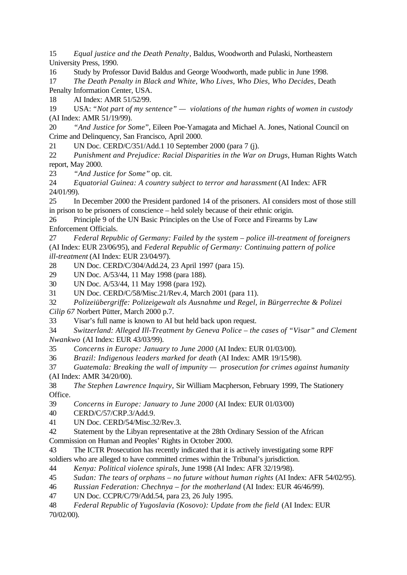15 *Equal justice and the Death Penalty*, Baldus, Woodworth and Pulaski, Northeastern University Press, 1990.

16 Study by Professor David Baldus and George Woodworth, made public in June 1998.

17 *The Death Penalty in Black and White, Who Lives, Who Dies, Who Decides*, Death Penalty Information Center, USA.

18 AI Index: AMR 51/52/99.

19 USA: *"Not part of my sentence" — violations of the human rights of women in custody* (AI Index: AMR 51/19/99).

20 *"And Justice for Some*", Eileen Poe-Yamagata and Michael A. Jones, National Council on Crime and Delinquency, San Francisco, April 2000.

21 UN Doc. CERD/C/351/Add.1 10 September 2000 (para 7 (j).

22 *Punishment and Prejudice: Racial Disparities in the War on Drugs*, Human Rights Watch report, May 2000.

23 *"And Justice for Some"* op. cit.

24 *Equatorial Guinea: A country subject to terror and harassment* (AI Index: AFR 24/01/99).

25 In December 2000 the President pardoned 14 of the prisoners. AI considers most of those still in prison to be prisoners of conscience – held solely because of their ethnic origin.

26 Principle 9 of the UN Basic Principles on the Use of Force and Firearms by Law Enforcement Officials.

27 *Federal Republic of Germany: Failed by the system – police ill-treatment of foreigners* (AI Index: EUR 23/06/95), and *Federal Republic of Germany: Continuing pattern of police ill-treatment* (AI Index: EUR 23/04/97).

28 UN Doc. CERD/C/304/Add.24, 23 April 1997 (para 15).

29 UN Doc. A/53/44, 11 May 1998 (para 188).

30 UN Doc. A/53/44, 11 May 1998 (para 192).

31 UN Doc. CERD/C/58/Misc.21/Rev.4, March 2001 (para 11).

32 *Polizeiübergriffe: Polizeigewalt als Ausnahme und Regel, in Bürgerrechte & Polizei Cilip 67* Norbert Pütter, March 2000 p.7.

33 Visar's full name is known to AI but held back upon request.

34 *Switzerland: Alleged Ill-Treatment by Geneva Police – the cases of "Visar" and Clement Nwankwo* (AI Index: EUR 43/03/99).

35 *Concerns in Europe: January to June 2000* (AI Index: EUR 01/03/00).

36 *Brazil: Indigenous leaders marked for death* (AI Index: AMR 19/15/98).

37 *Guatemala: Breaking the wall of impunity — prosecution for crimes against humanity* (AI Index: AMR 34/20/00).

38 *The Stephen Lawrence Inquiry,* Sir William Macpherson, February 1999, The Stationery Office.

39 *Concerns in Europe: January to June 2000* (AI Index: EUR 01/03/00)

40 CERD/C/57/CRP.3/Add.9.

41 UN Doc. CERD/54/Misc.32/Rev.3.

42 Statement by the Libyan representative at the 28th Ordinary Session of the African Commission on Human and Peoples' Rights in October 2000.

43 The ICTR Prosecution has recently indicated that it is actively investigating some RPF soldiers who are alleged to have committed crimes within the Tribunal's jurisdiction.

44 *Kenya: Political violence spirals*, June 1998 (AI Index: AFR 32/19/98).

45 *Sudan: The tears of orphans – no future without human rights* (AI Index: AFR 54/02/95).

46 *Russian Federation: Chechnya – for the motherland* (AI Index: EUR 46/46/99).

47 UN Doc. CCPR/C/79/Add.54, para 23, 26 July 1995.

48 *Federal Republic of Yugoslavia (Kosovo): Update from the field* (AI Index: EUR 70/02/00).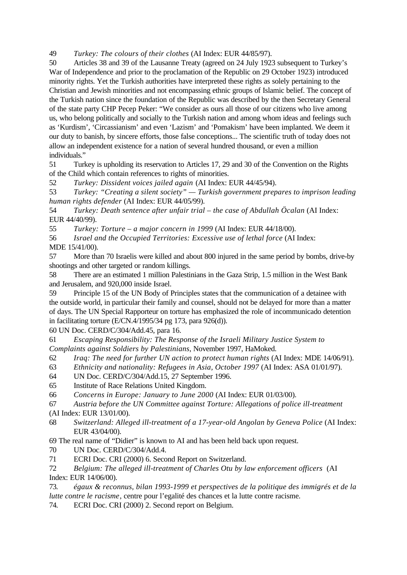49 *Turkey: The colours of their clothes* (AI Index: EUR 44/85/97).

50 Articles 38 and 39 of the Lausanne Treaty (agreed on 24 July 1923 subsequent to Turkey's War of Independence and prior to the proclamation of the Republic on 29 October 1923) introduced minority rights. Yet the Turkish authorities have interpreted these rights as solely pertaining to the Christian and Jewish minorities and not encompassing ethnic groups of Islamic belief. The concept of the Turkish nation since the foundation of the Republic was described by the then Secretary General of the state party CHP Pecep Peker: "We consider as ours all those of our citizens who live among us, who belong politically and socially to the Turkish nation and among whom ideas and feelings such as 'Kurdism', 'Circassianism' and even 'Lazism' and 'Pomakism' have been implanted. We deem it our duty to banish, by sincere efforts, those false conceptions... The scientific truth of today does not allow an independent existence for a nation of several hundred thousand, or even a million individuals."

51 Turkey is upholding its reservation to Articles 17, 29 and 30 of the Convention on the Rights of the Child which contain references to rights of minorities.

52 *Turkey: Dissident voices jailed again* (AI Index: EUR 44/45/94).

53 *Turkey: "Creating a silent society" — Turkish government prepares to imprison leading human rights defender* (AI Index: EUR 44/05/99).

54 *Turkey: Death sentence after unfair trial – the case of Abdullah Öcalan* (AI Index: EUR 44/40/99).

55 *Turkey: Torture – a major concern in 1999* (AI Index: EUR 44/18/00).

56 *Israel and the Occupied Territories: Excessive use of lethal force* (AI Index:

MDE 15/41/00).

57 More than 70 Israelis were killed and about 800 injured in the same period by bombs, drive-by shootings and other targeted or random killings.

58 There are an estimated 1 million Palestinians in the Gaza Strip, 1.5 million in the West Bank and Jerusalem, and 920,000 inside Israel.

59 Principle 15 of the UN Body of Principles states that the communication of a detainee with the outside world, in particular their family and counsel, should not be delayed for more than a matter of days. The UN Special Rapporteur on torture has emphasized the role of incommunicado detention in facilitating torture (E/CN.4/1995/34 pg 173, para 926(d)).

60 UN Doc. CERD/C/304/Add.45, para 16.

61 *Escaping Responsibility: The Response of the Israeli Military Justice System to Complaints against Soldiers by Palestinians*, November 1997, HaMoked.

- 62 *Iraq: The need for further UN action to protect human rights* (AI Index: MDE 14/06/91).
- 63 *Ethnicity and nationality: Refugees in Asia, October 1997* (AI Index: ASA 01/01/97).
- 64 UN Doc. CERD/C/304/Add.15, 27 September 1996.
- 65 Institute of Race Relations United Kingdom.

66 *Concerns in Europe: January to June 2000* (AI Index: EUR 01/03/00).

67 *Austria before the UN Committee against Torture: Allegations of police ill-treatment* (AI Index: EUR 13/01/00).

- 68 *Switzerland: Alleged ill-treatment of a 17-year-old Angolan by Geneva Police* (AI Index: EUR 43/04/00).
- 69 The real name of "Didier" is known to AI and has been held back upon request.
- 70 UN Doc. CERD/C/304/Add.4.
- 71 ECRI Doc. CRI (2000) 6. Second Report on Switzerland.

72 *Belgium: The alleged ill-treatment of Charles Otu by law enforcement officers* (AI Index: EUR 14/06/00).

73. *égaux & reconnus, bilan 1993-1999 et perspectives de la politique des immigrés et de la lutte contre le racisme*, centre pour l'egalité des chances et la lutte contre racisme.

74. ECRI Doc. CRI (2000) 2. Second report on Belgium.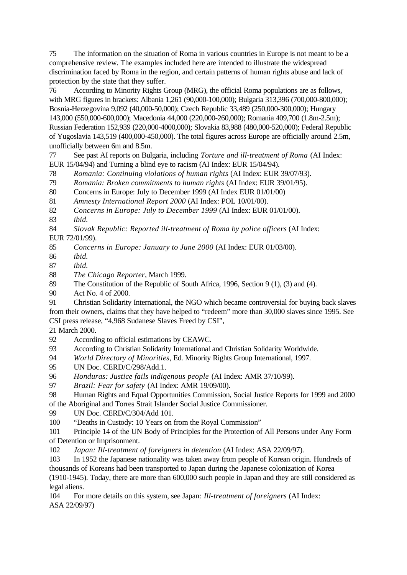75 The information on the situation of Roma in various countries in Europe is not meant to be a comprehensive review. The examples included here are intended to illustrate the widespread discrimination faced by Roma in the region, and certain patterns of human rights abuse and lack of protection by the state that they suffer.

76 According to Minority Rights Group (MRG), the official Roma populations are as follows, with MRG figures in brackets: Albania 1,261 (90,000-100,000); Bulgaria 313,396 (700,000-800,000); Bosnia-Herzegovina 9,092 (40,000-50,000); Czech Republic 33,489 (250,000-300,000); Hungary 143,000 (550,000-600,000); Macedonia 44,000 (220,000-260,000); Romania 409,700 (1.8m-2.5m); Russian Federation 152,939 (220,000-4000,000); Slovakia 83,988 (480,000-520,000); Federal Republic of Yugoslavia 143,519 (400,000-450,000). The total figures across Europe are officially around 2.5m, unofficially between 6m and 8.5m.

77 See past AI reports on Bulgaria, including *Torture and ill-treatment of Roma* (AI Index: EUR 15/04/94) and Turning a blind eye to racism (AI Index: EUR 15/04/94).

- 78 *Romania: Continuing violations of human rights* (AI Index: EUR 39/07/93).
- 79 *Romania: Broken commitments to human rights* (AI Index: EUR 39/01/95).
- 80 Concerns in Europe: July to December 1999 (AI Index EUR 01/01/00)
- 81 *Amnesty International Report 2000* (AI Index: POL 10/01/00).
- 82 *Concerns in Europe: July to December 1999* (AI Index: EUR 01/01/00).
- 83 *ibid.*
- 84 *Slovak Republic: Reported ill-treatment of Roma by police officers* (AI Index: EUR 72/01/99).
- 85 *Concerns in Europe: January to June 2000* (AI Index: EUR 01/03/00).
- 86 *ibid.*
- 87 *ibid.*
- 88 *The Chicago Reporter*, March 1999.
- 89 The Constitution of the Republic of South Africa, 1996, Section 9 (1), (3) and (4).
- 90 Act No. 4 of 2000.

91 Christian Solidarity International, the NGO which became controversial for buying back slaves from their owners, claims that they have helped to "redeem" more than 30,000 slaves since 1995. See CSI press release, "4,968 Sudanese Slaves Freed by CSI",

21 March 2000.

- 92 According to official estimations by CEAWC.
- 93 According to Christian Solidarity International and Christian Solidarity Worldwide.
- 94 *World Directory of Minorities*, Ed. Minority Rights Group International, 1997.
- 95 UN Doc. CERD/C/298/Add.1.
- 96 *Honduras: Justice fails indigenous people* (AI Index: AMR 37/10/99).
- 97 *Brazil: Fear for safety* (AI Index: AMR 19/09/00).
- 98 Human Rights and Equal Opportunities Commission, Social Justice Reports for 1999 and 2000 of the Aboriginal and Torres Strait Islander Social Justice Commissioner.
- 99 UN Doc. CERD/C/304/Add 101.
- 100 "Deaths in Custody: 10 Years on from the Royal Commission"
- 101 Principle 14 of the UN Body of Principles for the Protection of All Persons under Any Form of Detention or Imprisonment.
- 102 *Japan: Ill-treatment of foreigners in detention* (AI Index: ASA 22/09/97).
- 103 In 1952 the Japanese nationality was taken away from people of Korean origin. Hundreds of thousands of Koreans had been transported to Japan during the Japanese colonization of Korea (1910-1945). Today, there are more than 600,000 such people in Japan and they are still considered as legal aliens.
- 104 For more details on this system, see Japan: *Ill-treatment of foreigners* (AI Index: ASA 22/09/97)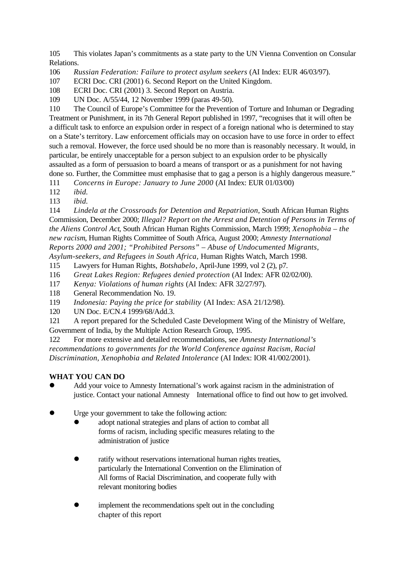105 This violates Japan's commitments as a state party to the UN Vienna Convention on Consular Relations.

106 *Russian Federation: Failure to protect asylum seekers* (AI Index: EUR 46/03/97).

- 107 ECRI Doc. CRI (2001) 6. Second Report on the United Kingdom.
- 108 ECRI Doc. CRI (2001) 3. Second Report on Austria.
- 109 UN Doc. A/55/44, 12 November 1999 (paras 49-50).

110 The Council of Europe's Committee for the Prevention of Torture and Inhuman or Degrading Treatment or Punishment, in its 7th General Report published in 1997, "recognises that it will often be a difficult task to enforce an expulsion order in respect of a foreign national who is determined to stay on a State's territory. Law enforcement officials may on occasion have to use force in order to effect such a removal. However, the force used should be no more than is reasonably necessary. It would, in particular, be entirely unacceptable for a person subject to an expulsion order to be physically assaulted as a form of persuasion to board a means of transport or as a punishment for not having done so. Further, the Committee must emphasise that to gag a person is a highly dangerous measure."

111 *Concerns in Europe: January to June 2000* (AI Index: EUR 01/03/00)

- 112 *ibid.*
- 113 *ibid.*

114 *Lindela at the Crossroads for Detention and Repatriation*, South African Human Rights Commission, December 2000; *Illegal? Report on the Arrest and Detention of Persons in Terms of the Aliens Control Act*, South African Human Rights Commission, March 1999; *Xenophobia – the new racism*, Human Rights Committee of South Africa, August 2000; *Amnesty International Reports 2000 and 2001; "Prohibited Persons" – Abuse of Undocumented Migrants, Asylum-seekers, and Refugees in South Africa,* Human Rights Watch, March 1998.

115 Lawyers for Human Rights, *Botshabelo*, April-June 1999, vol 2 (2), p7.

- 116 *Great Lakes Region: Refugees denied protection* (AI Index: AFR 02/02/00).
- 117 *Kenya: Violations of human rights* (AI Index: AFR 32/27/97).
- 118 General Recommendation No. 19.
- 119 *Indonesia: Paying the price for stability* (AI Index: ASA 21/12/98).
- 120 UN Doc. E/CN.4 1999/68/Add.3.
- 121 A report prepared for the Scheduled Caste Development Wing of the Ministry of Welfare, Government of India, by the Multiple Action Research Group, 1995.

122 For more extensive and detailed recommendations, see *Amnesty International's recommendations to governments for the World Conference against Racism, Racial Discrimination, Xenophobia and Related Intolerance* (AI Index: IOR 41/002/2001).

## **WHAT YOU CAN DO**

- Add your voice to Amnesty International's work against racism in the administration of justice. Contact your national Amnesty International office to find out how to get involved.
- Urge your government to take the following action:
	- adopt national strategies and plans of action to combat all forms of racism, including specific measures relating to the administration of justice
	- ratify without reservations international human rights treaties, particularly the International Convention on the Elimination of All forms of Racial Discrimination, and cooperate fully with relevant monitoring bodies
	- implement the recommendations spelt out in the concluding chapter of this report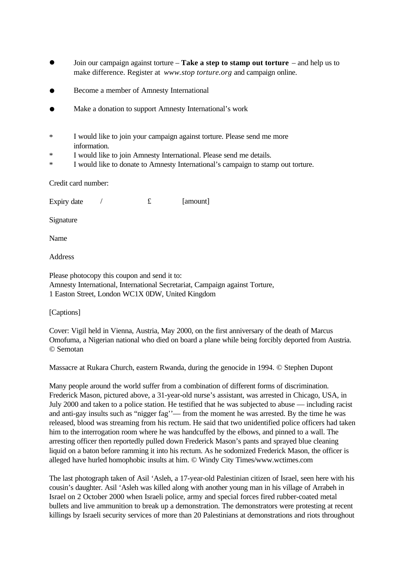- l Join our campaign against torture **Take a step to stamp out torture** and help us to make difference. Register at *www.stop torture.org* and campaign online.
- l Become a member of Amnesty International
- Make a donation to support Amnesty International's work
- \* I would like to join your campaign against torture. Please send me more information.
- \* I would like to join Amnesty International. Please send me details.
- \* I would like to donate to Amnesty International's campaign to stamp out torture.

Credit card number:

Expiry date  $\angle$   $\qquad$   $\qquad$   $\qquad$   $\qquad$   $\qquad$   $\qquad$   $\qquad$   $\qquad$   $\qquad$   $\qquad$   $\qquad$   $\qquad$   $\qquad$   $\qquad$   $\qquad$   $\qquad$   $\qquad$   $\qquad$   $\qquad$   $\qquad$   $\qquad$   $\qquad$   $\qquad$   $\qquad$   $\qquad$   $\qquad$   $\qquad$   $\qquad$   $\qquad$   $\qquad$   $\qquad$   $\qquad$   $\qquad$   $\qquad$ 

Signature

Name

Address

Please photocopy this coupon and send it to: Amnesty International, International Secretariat, Campaign against Torture, 1 Easton Street, London WC1X 0DW, United Kingdom

[Captions]

Cover: Vigil held in Vienna, Austria, May 2000, on the first anniversary of the death of Marcus Omofuma, a Nigerian national who died on board a plane while being forcibly deported from Austria. © Semotan

Massacre at Rukara Church, eastern Rwanda, during the genocide in 1994. © Stephen Dupont

Many people around the world suffer from a combination of different forms of discrimination. Frederick Mason, pictured above, a 31-year-old nurse's assistant, was arrested in Chicago, USA, in July 2000 and taken to a police station. He testified that he was subjected to abuse — including racist and anti-gay insults such as "nigger fag''— from the moment he was arrested. By the time he was released, blood was streaming from his rectum. He said that two unidentified police officers had taken him to the interrogation room where he was handcuffed by the elbows, and pinned to a wall. The arresting officer then reportedly pulled down Frederick Mason's pants and sprayed blue cleaning liquid on a baton before ramming it into his rectum. As he sodomized Frederick Mason, the officer is alleged have hurled homophobic insults at him. © Windy City Times/www.wctimes.com

The last photograph taken of Asil 'Asleh, a 17-year-old Palestinian citizen of Israel, seen here with his cousin's daughter. Asil 'Asleh was killed along with another young man in his village of Arrabeh in Israel on 2 October 2000 when Israeli police, army and special forces fired rubber-coated metal bullets and live ammunition to break up a demonstration. The demonstrators were protesting at recent killings by Israeli security services of more than 20 Palestinians at demonstrations and riots throughout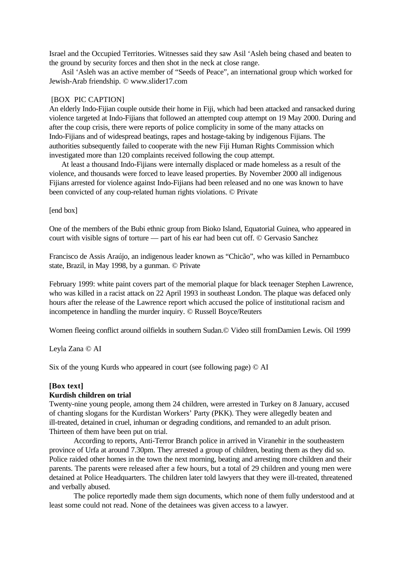Israel and the Occupied Territories. Witnesses said they saw Asil 'Asleh being chased and beaten to the ground by security forces and then shot in the neck at close range.

 Asil 'Asleh was an active member of "Seeds of Peace", an international group which worked for Jewish-Arab friendship. © www.slider17.com

#### [BOX PIC CAPTION]

An elderly Indo-Fijian couple outside their home in Fiji, which had been attacked and ransacked during violence targeted at Indo-Fijians that followed an attempted coup attempt on 19 May 2000. During and after the coup crisis, there were reports of police complicity in some of the many attacks on Indo-Fijians and of widespread beatings, rapes and hostage-taking by indigenous Fijians. The authorities subsequently failed to cooperate with the new Fiji Human Rights Commission which investigated more than 120 complaints received following the coup attempt.

 At least a thousand Indo-Fijians were internally displaced or made homeless as a result of the violence, and thousands were forced to leave leased properties. By November 2000 all indigenous Fijians arrested for violence against Indo-Fijians had been released and no one was known to have been convicted of any coup-related human rights violations. © Private

[end box]

One of the members of the Bubi ethnic group from Bioko Island, Equatorial Guinea, who appeared in court with visible signs of torture — part of his ear had been cut off. © Gervasio Sanchez

Francisco de Assis Araújo, an indigenous leader known as "Chicão", who was killed in Pernambuco state, Brazil, in May 1998, by a gunman. © Private

February 1999: white paint covers part of the memorial plaque for black teenager Stephen Lawrence, who was killed in a racist attack on 22 April 1993 in southeast London. The plaque was defaced only hours after the release of the Lawrence report which accused the police of institutional racism and incompetence in handling the murder inquiry. © Russell Boyce/Reuters

Women fleeing conflict around oilfields in southern Sudan.© Video still fromDamien Lewis. Oil 1999

Leyla Zana © AI

Six of the young Kurds who appeared in court (see following page) © AI

### **[Box text]**

### **Kurdish children on trial**

Twenty-nine young people, among them 24 children, were arrested in Turkey on 8 January, accused of chanting slogans for the Kurdistan Workers' Party (PKK). They were allegedly beaten and ill-treated, detained in cruel, inhuman or degrading conditions, and remanded to an adult prison. Thirteen of them have been put on trial.

According to reports, Anti-Terror Branch police in arrived in Viranehir in the southeastern province of Urfa at around 7.30pm. They arrested a group of children, beating them as they did so. Police raided other homes in the town the next morning, beating and arresting more children and their parents. The parents were released after a few hours, but a total of 29 children and young men were detained at Police Headquarters. The children later told lawyers that they were ill-treated, threatened and verbally abused.

The police reportedly made them sign documents, which none of them fully understood and at least some could not read. None of the detainees was given access to a lawyer.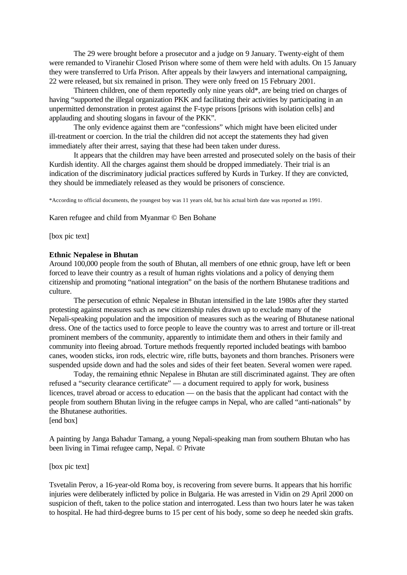The 29 were brought before a prosecutor and a judge on 9 January. Twenty-eight of them were remanded to Viranehir Closed Prison where some of them were held with adults. On 15 January they were transferred to Urfa Prison. After appeals by their lawyers and international campaigning, 22 were released, but six remained in prison. They were only freed on 15 February 2001.

Thirteen children, one of them reportedly only nine years old\*, are being tried on charges of having "supported the illegal organization PKK and facilitating their activities by participating in an unpermitted demonstration in protest against the F-type prisons [prisons with isolation cells] and applauding and shouting slogans in favour of the PKK".

The only evidence against them are "confessions" which might have been elicited under ill-treatment or coercion. In the trial the children did not accept the statements they had given immediately after their arrest, saying that these had been taken under duress.

It appears that the children may have been arrested and prosecuted solely on the basis of their Kurdish identity. All the charges against them should be dropped immediately. Their trial is an indication of the discriminatory judicial practices suffered by Kurds in Turkey. If they are convicted, they should be immediately released as they would be prisoners of conscience.

\*According to official documents, the youngest boy was 11 years old, but his actual birth date was reported as 1991.

Karen refugee and child from Myanmar © Ben Bohane

[box pic text]

#### **Ethnic Nepalese in Bhutan**

Around 100,000 people from the south of Bhutan, all members of one ethnic group, have left or been forced to leave their country as a result of human rights violations and a policy of denying them citizenship and promoting "national integration" on the basis of the northern Bhutanese traditions and culture.

The persecution of ethnic Nepalese in Bhutan intensified in the late 1980s after they started protesting against measures such as new citizenship rules drawn up to exclude many of the Nepali-speaking population and the imposition of measures such as the wearing of Bhutanese national dress. One of the tactics used to force people to leave the country was to arrest and torture or ill-treat prominent members of the community, apparently to intimidate them and others in their family and community into fleeing abroad. Torture methods frequently reported included beatings with bamboo canes, wooden sticks, iron rods, electric wire, rifle butts, bayonets and thorn branches. Prisoners were suspended upside down and had the soles and sides of their feet beaten. Several women were raped.

Today, the remaining ethnic Nepalese in Bhutan are still discriminated against. They are often refused a "security clearance certificate" — a document required to apply for work, business licences, travel abroad or access to education — on the basis that the applicant had contact with the people from southern Bhutan living in the refugee camps in Nepal, who are called "anti-nationals" by the Bhutanese authorities.

[end box]

A painting by Janga Bahadur Tamang, a young Nepali-speaking man from southern Bhutan who has been living in Timai refugee camp, Nepal. © Private

## [box pic text]

Tsvetalin Perov, a 16-year-old Roma boy, is recovering from severe burns. It appears that his horrific injuries were deliberately inflicted by police in Bulgaria. He was arrested in Vidin on 29 April 2000 on suspicion of theft, taken to the police station and interrogated. Less than two hours later he was taken to hospital. He had third-degree burns to 15 per cent of his body, some so deep he needed skin grafts.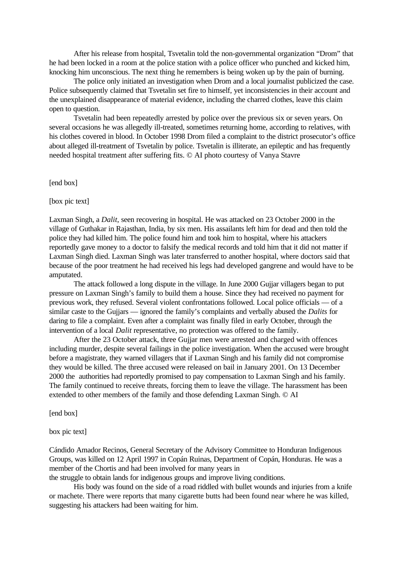After his release from hospital, Tsvetalin told the non-governmental organization "Drom" that he had been locked in a room at the police station with a police officer who punched and kicked him, knocking him unconscious. The next thing he remembers is being woken up by the pain of burning.

The police only initiated an investigation when Drom and a local journalist publicized the case. Police subsequently claimed that Tsvetalin set fire to himself, yet inconsistencies in their account and the unexplained disappearance of material evidence, including the charred clothes, leave this claim open to question.

Tsvetalin had been repeatedly arrested by police over the previous six or seven years. On several occasions he was allegedly ill-treated, sometimes returning home, according to relatives, with his clothes covered in blood. In October 1998 Drom filed a complaint to the district prosecutor's office about alleged ill-treatment of Tsvetalin by police. Tsvetalin is illiterate, an epileptic and has frequently needed hospital treatment after suffering fits. © AI photo courtesy of Vanya Stavre

### [end box]

#### [box pic text]

Laxman Singh, a *Dalit*, seen recovering in hospital. He was attacked on 23 October 2000 in the village of Guthakar in Rajasthan, India, by six men. His assailants left him for dead and then told the police they had killed him. The police found him and took him to hospital, where his attackers reportedly gave money to a doctor to falsify the medical records and told him that it did not matter if Laxman Singh died. Laxman Singh was later transferred to another hospital, where doctors said that because of the poor treatment he had received his legs had developed gangrene and would have to be amputated.

The attack followed a long dispute in the village. In June 2000 Gujjar villagers began to put pressure on Laxman Singh's family to build them a house. Since they had received no payment for previous work, they refused. Several violent confrontations followed. Local police officials — of a similar caste to the Gujjars — ignored the family's complaints and verbally abused the *Dalits* for daring to file a complaint. Even after a complaint was finally filed in early October, through the intervention of a local *Dalit* representative, no protection was offered to the family.

After the 23 October attack, three Gujjar men were arrested and charged with offences including murder, despite several failings in the police investigation. When the accused were brought before a magistrate, they warned villagers that if Laxman Singh and his family did not compromise they would be killed. The three accused were released on bail in January 2001. On 13 December 2000 the authorities had reportedly promised to pay compensation to Laxman Singh and his family. The family continued to receive threats, forcing them to leave the village. The harassment has been extended to other members of the family and those defending Laxman Singh. © AI

[end box]

box pic text]

Cándido Amador Recinos, General Secretary of the Advisory Committee to Honduran Indigenous Groups, was killed on 12 April 1997 in Copán Ruinas, Department of Copán, Honduras. He was a member of the Chortis and had been involved for many years in

the struggle to obtain lands for indigenous groups and improve living conditions.

His body was found on the side of a road riddled with bullet wounds and injuries from a knife or machete. There were reports that many cigarette butts had been found near where he was killed, suggesting his attackers had been waiting for him.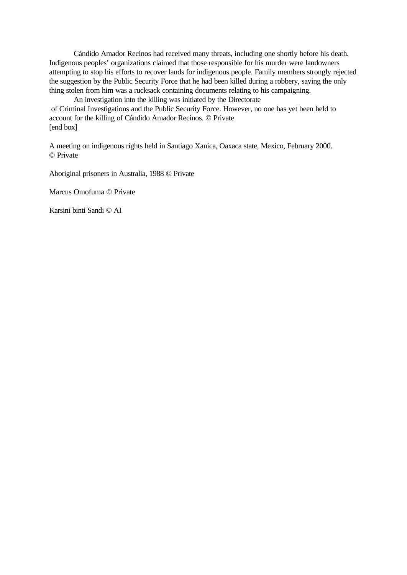Cándido Amador Recinos had received many threats, including one shortly before his death. Indigenous peoples' organizations claimed that those responsible for his murder were landowners attempting to stop his efforts to recover lands for indigenous people. Family members strongly rejected the suggestion by the Public Security Force that he had been killed during a robbery, saying the only thing stolen from him was a rucksack containing documents relating to his campaigning.

An investigation into the killing was initiated by the Directorate of Criminal Investigations and the Public Security Force. However, no one has yet been held to account for the killing of Cándido Amador Recinos. © Private [end box]

A meeting on indigenous rights held in Santiago Xanica, Oaxaca state, Mexico, February 2000. © Private

Aboriginal prisoners in Australia, 1988 © Private

Marcus Omofuma © Private

Karsini binti Sandi © AI